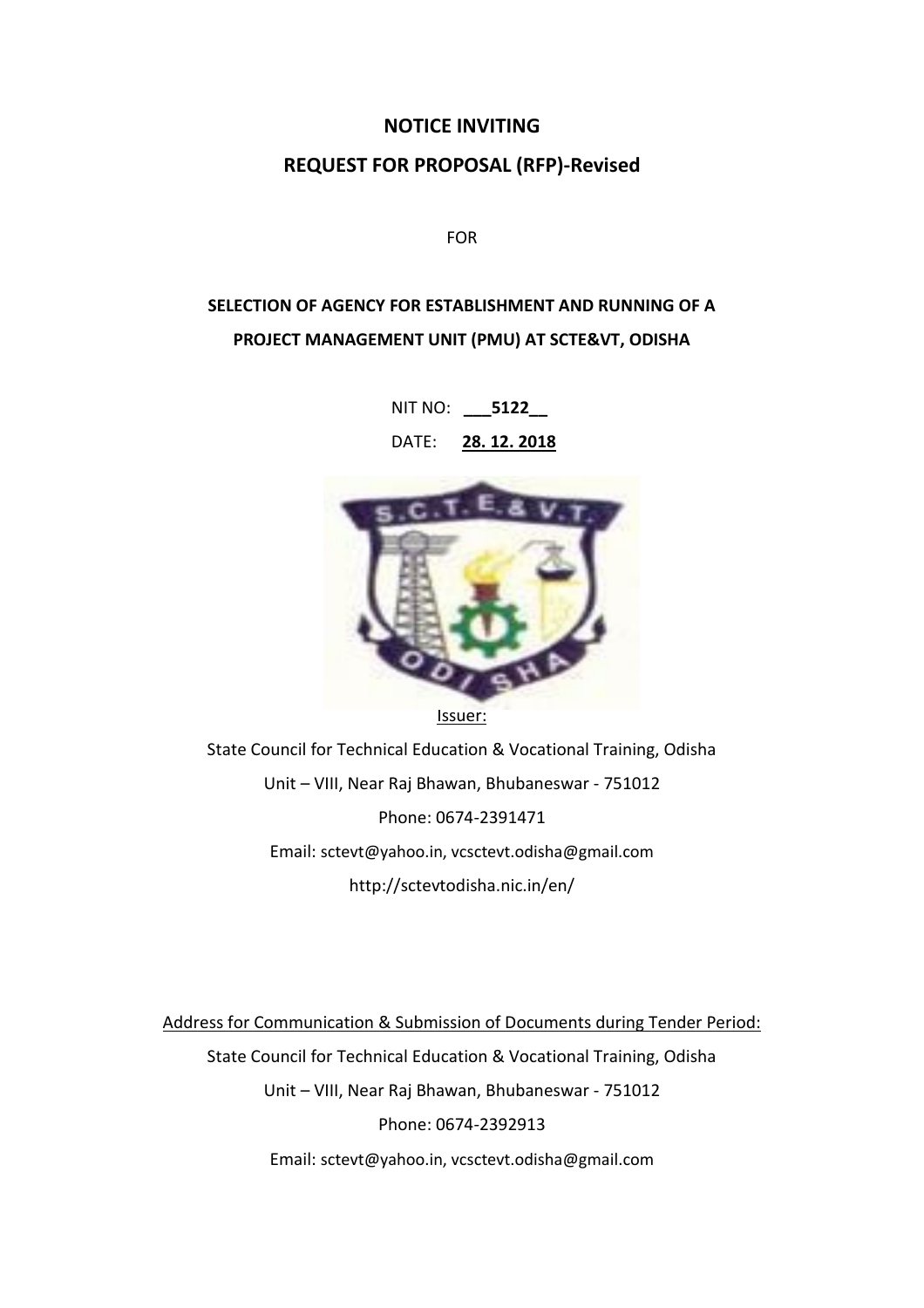#### **NOTICE INVITING**

#### **REQUEST FOR PROPOSAL (RFP)-Revised**

FOR

# **SELECTION OF AGENCY FOR ESTABLISHMENT AND RUNNING OF A PROJECT MANAGEMENT UNIT (PMU) AT SCTE&VT, ODISHA**

NIT NO: **\_\_\_5122\_\_**

DATE: **28. 12. 2018**



State Council for Technical Education & Vocational Training, Odisha Unit – VIII, Near Raj Bhawan, Bhubaneswar - 751012 Phone: 0674-2391471 Email: sctevt@yahoo.in, vcsctevt.odisha@gmail.com http://sctevtodisha.nic.in/en/

Address for Communication & Submission of Documents during Tender Period: State Council for Technical Education & Vocational Training, Odisha Unit – VIII, Near Raj Bhawan, Bhubaneswar - 751012 Phone: 0674-2392913 Email: sctevt@yahoo.in, vcsctevt.odisha@gmail.com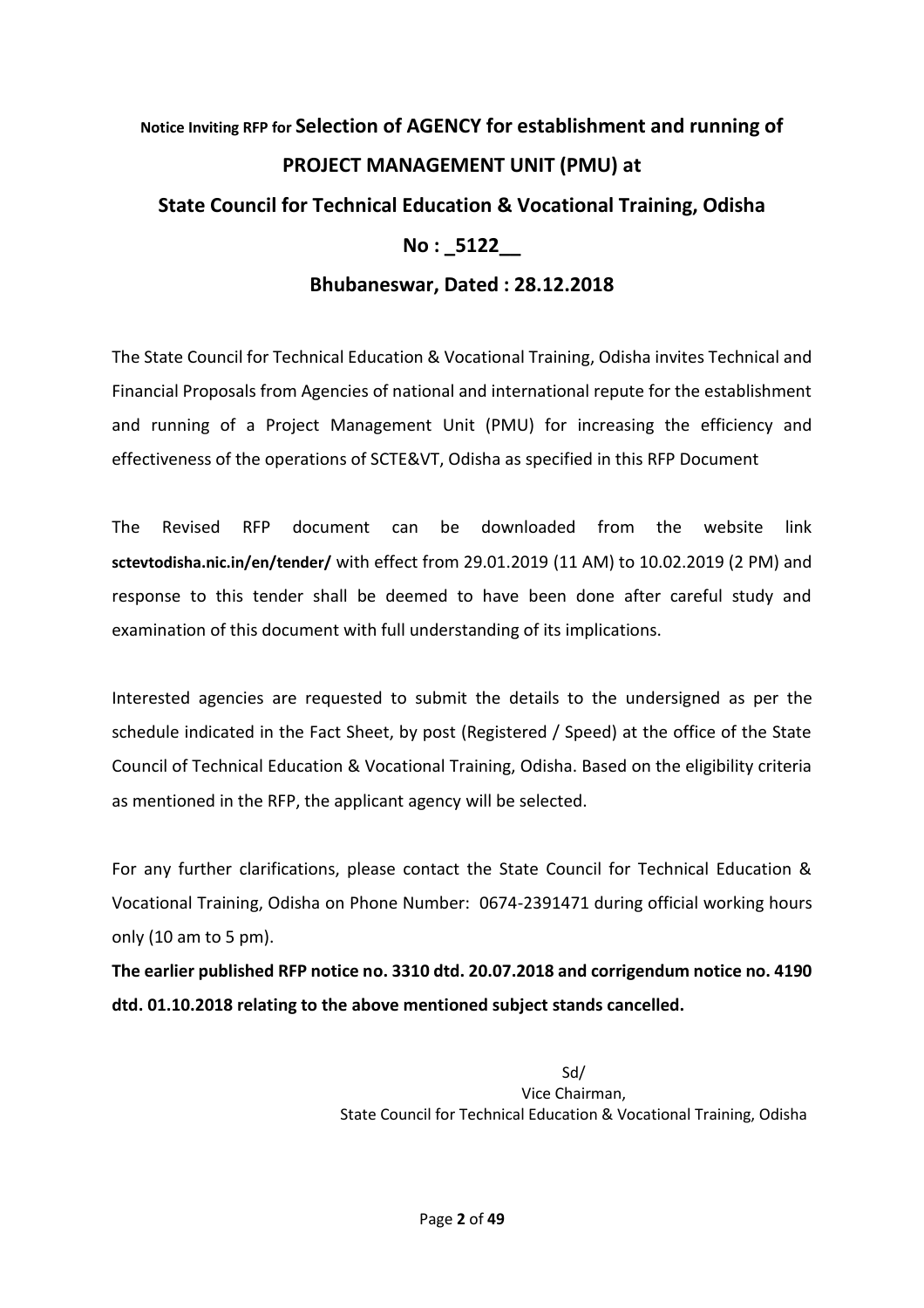# **Notice Inviting RFP for Selection of AGENCY for establishment and running of PROJECT MANAGEMENT UNIT (PMU) at State Council for Technical Education & Vocational Training, Odisha No : \_5122\_\_**

# **Bhubaneswar, Dated : 28.12.2018**

The State Council for Technical Education & Vocational Training, Odisha invites Technical and Financial Proposals from Agencies of national and international repute for the establishment and running of a Project Management Unit (PMU) for increasing the efficiency and effectiveness of the operations of SCTE&VT, Odisha as specified in this RFP Document

The Revised RFP document can be downloaded from the website link **sctevtodisha.nic.in/en/tender/** with effect from 29.01.2019 (11 AM) to 10.02.2019 (2 PM) and response to this tender shall be deemed to have been done after careful study and examination of this document with full understanding of its implications.

Interested agencies are requested to submit the details to the undersigned as per the schedule indicated in the Fact Sheet, by post (Registered / Speed) at the office of the State Council of Technical Education & Vocational Training, Odisha. Based on the eligibility criteria as mentioned in the RFP, the applicant agency will be selected.

For any further clarifications, please contact the State Council for Technical Education & Vocational Training, Odisha on Phone Number: 0674-2391471 during official working hours only (10 am to 5 pm).

**The earlier published RFP notice no. 3310 dtd. 20.07.2018 and corrigendum notice no. 4190 dtd. 01.10.2018 relating to the above mentioned subject stands cancelled.**

> Sd/ Vice Chairman, State Council for Technical Education & Vocational Training, Odisha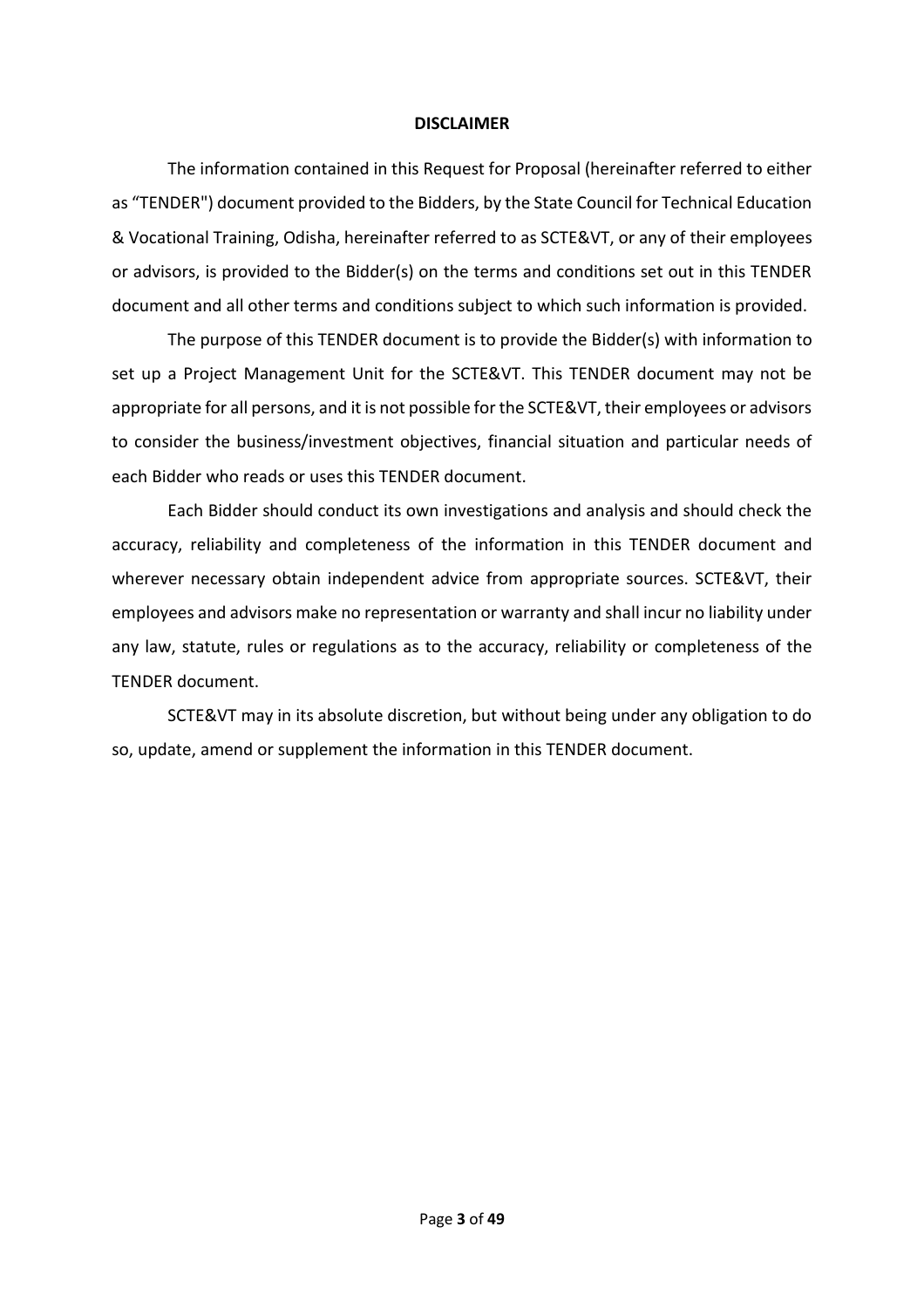#### **DISCLAIMER**

The information contained in this Request for Proposal (hereinafter referred to either as "TENDER") document provided to the Bidders, by the State Council for Technical Education & Vocational Training, Odisha, hereinafter referred to as SCTE&VT, or any of their employees or advisors, is provided to the Bidder(s) on the terms and conditions set out in this TENDER document and all other terms and conditions subject to which such information is provided.

The purpose of this TENDER document is to provide the Bidder(s) with information to set up a Project Management Unit for the SCTE&VT. This TENDER document may not be appropriate for all persons, and it is not possible for the SCTE&VT, their employees or advisors to consider the business/investment objectives, financial situation and particular needs of each Bidder who reads or uses this TENDER document.

Each Bidder should conduct its own investigations and analysis and should check the accuracy, reliability and completeness of the information in this TENDER document and wherever necessary obtain independent advice from appropriate sources. SCTE&VT, their employees and advisors make no representation or warranty and shall incur no liability under any law, statute, rules or regulations as to the accuracy, reliability or completeness of the TENDER document.

SCTE&VT may in its absolute discretion, but without being under any obligation to do so, update, amend or supplement the information in this TENDER document.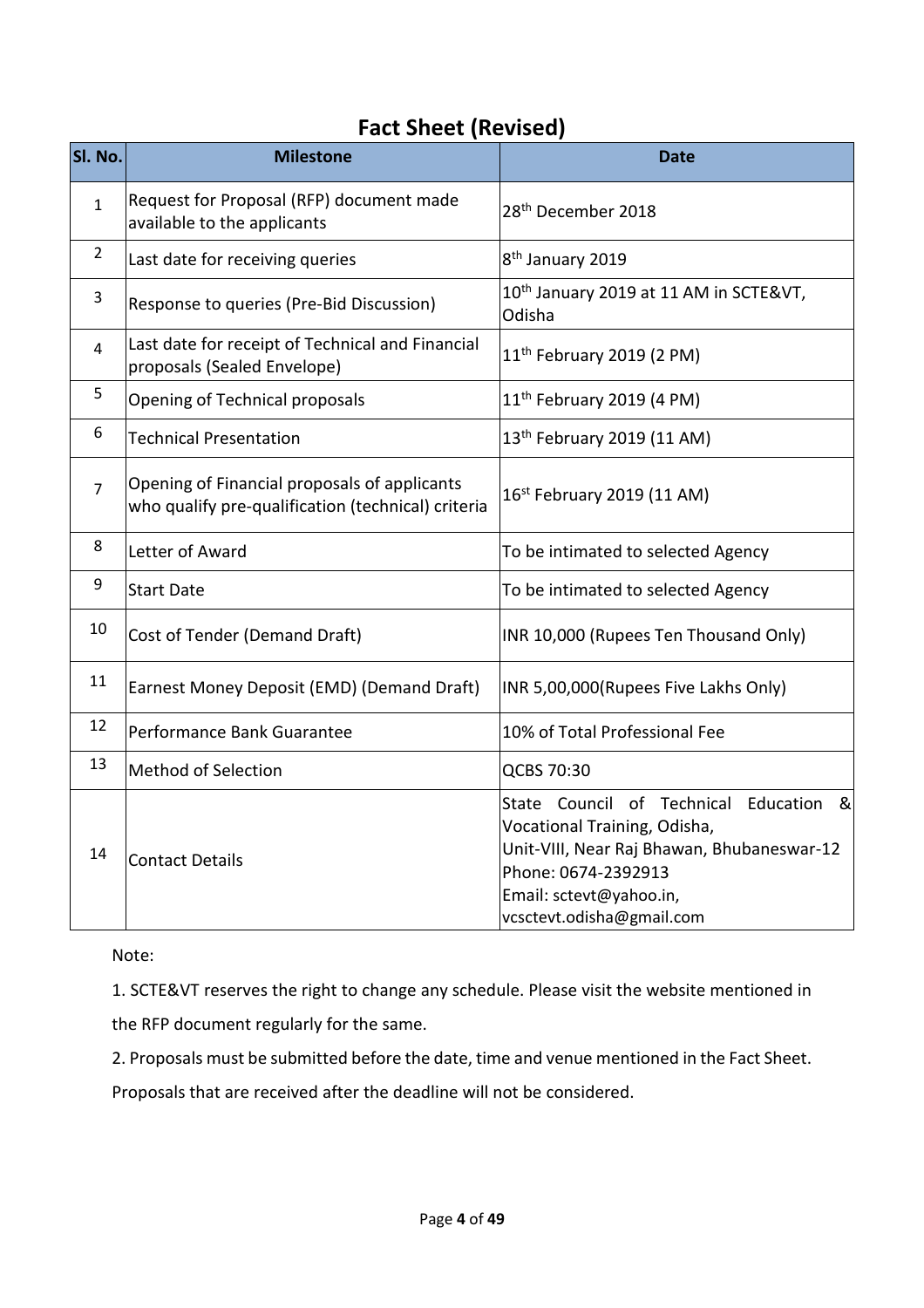# **Fact Sheet (Revised)**

| SI. No.        | <b>Milestone</b>                                                                                   | <b>Date</b>                                                                                                                                                                                             |
|----------------|----------------------------------------------------------------------------------------------------|---------------------------------------------------------------------------------------------------------------------------------------------------------------------------------------------------------|
| $\mathbf{1}$   | Request for Proposal (RFP) document made<br>available to the applicants                            | 28 <sup>th</sup> December 2018                                                                                                                                                                          |
| $\overline{2}$ | Last date for receiving queries                                                                    | 8 <sup>th</sup> January 2019                                                                                                                                                                            |
| 3              | Response to queries (Pre-Bid Discussion)                                                           | 10 <sup>th</sup> January 2019 at 11 AM in SCTE&VT,<br>Odisha                                                                                                                                            |
| 4              | Last date for receipt of Technical and Financial<br>proposals (Sealed Envelope)                    | 11 <sup>th</sup> February 2019 (2 PM)                                                                                                                                                                   |
| 5              | Opening of Technical proposals                                                                     | $11th$ February 2019 (4 PM)                                                                                                                                                                             |
| 6              | <b>Technical Presentation</b>                                                                      | 13 <sup>th</sup> February 2019 (11 AM)                                                                                                                                                                  |
| $\overline{7}$ | Opening of Financial proposals of applicants<br>who qualify pre-qualification (technical) criteria | 16 <sup>st</sup> February 2019 (11 AM)                                                                                                                                                                  |
| 8              | Letter of Award                                                                                    | To be intimated to selected Agency                                                                                                                                                                      |
| 9              | <b>Start Date</b>                                                                                  | To be intimated to selected Agency                                                                                                                                                                      |
| 10             | Cost of Tender (Demand Draft)                                                                      | INR 10,000 (Rupees Ten Thousand Only)                                                                                                                                                                   |
| 11             | Earnest Money Deposit (EMD) (Demand Draft)                                                         | INR 5,00,000(Rupees Five Lakhs Only)                                                                                                                                                                    |
| 12             | Performance Bank Guarantee                                                                         | 10% of Total Professional Fee                                                                                                                                                                           |
| 13             | <b>Method of Selection</b>                                                                         | QCBS 70:30                                                                                                                                                                                              |
| 14             | <b>Contact Details</b>                                                                             | State Council of Technical Education<br>୍ଷ<br>Vocational Training, Odisha,<br>Unit-VIII, Near Raj Bhawan, Bhubaneswar-12<br>Phone: 0674-2392913<br>Email: sctevt@yahoo.in,<br>vcsctevt.odisha@gmail.com |

Note:

1. SCTE&VT reserves the right to change any schedule. Please visit the website mentioned in the RFP document regularly for the same.

2. Proposals must be submitted before the date, time and venue mentioned in the Fact Sheet.

Proposals that are received after the deadline will not be considered.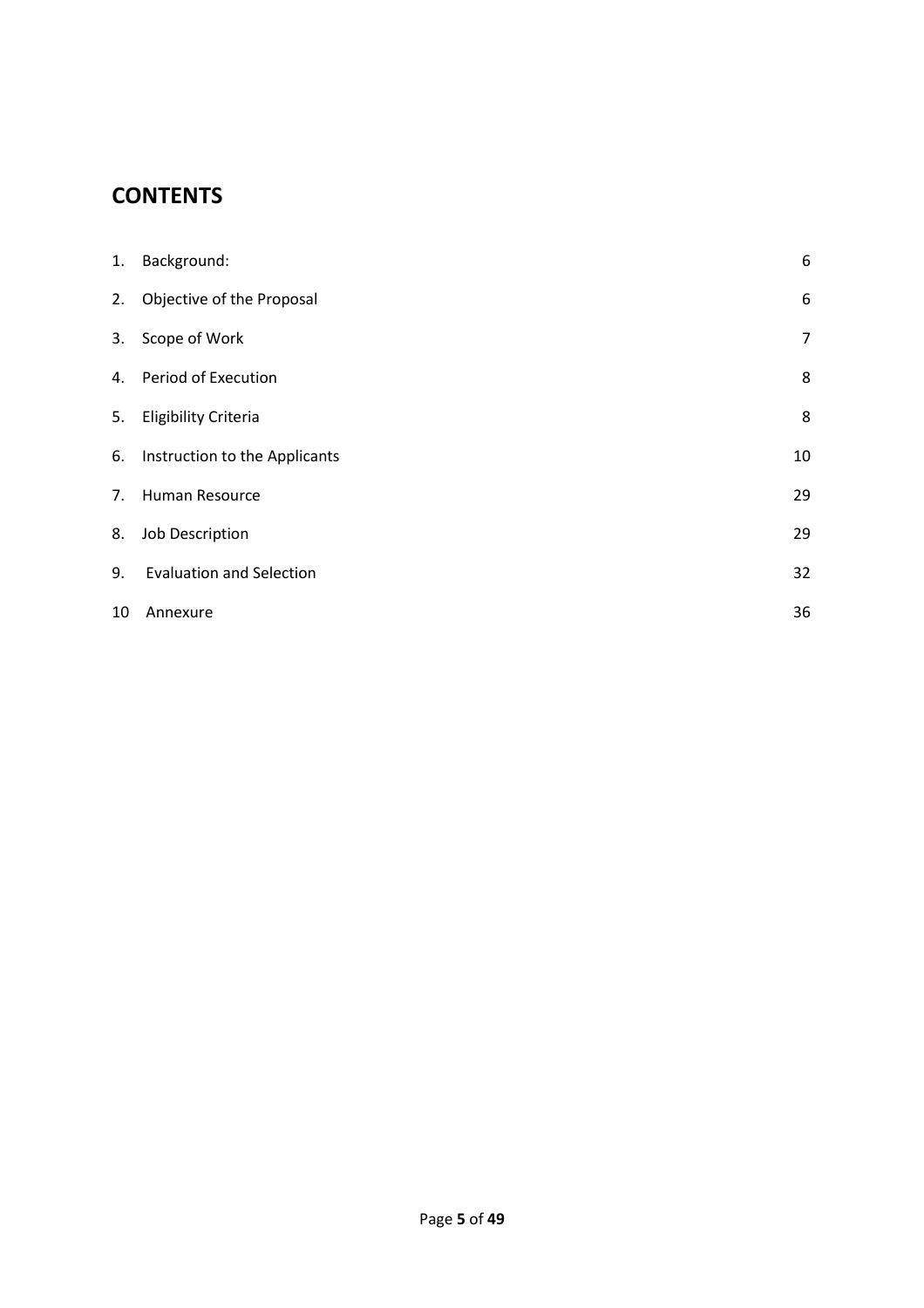# **CONTENTS**

<span id="page-4-0"></span>

| 1. | Background:                      | 6              |
|----|----------------------------------|----------------|
| 2. | Objective of the Proposal        | 6              |
| 3. | Scope of Work                    | $\overline{7}$ |
| 4. | Period of Execution              | 8              |
|    | 5. Eligibility Criteria          | 8              |
|    | 6. Instruction to the Applicants | 10             |
| 7. | Human Resource                   | 29             |
| 8. | Job Description                  | 29             |
| 9. | <b>Evaluation and Selection</b>  | 32             |
| 10 | Annexure                         | 36             |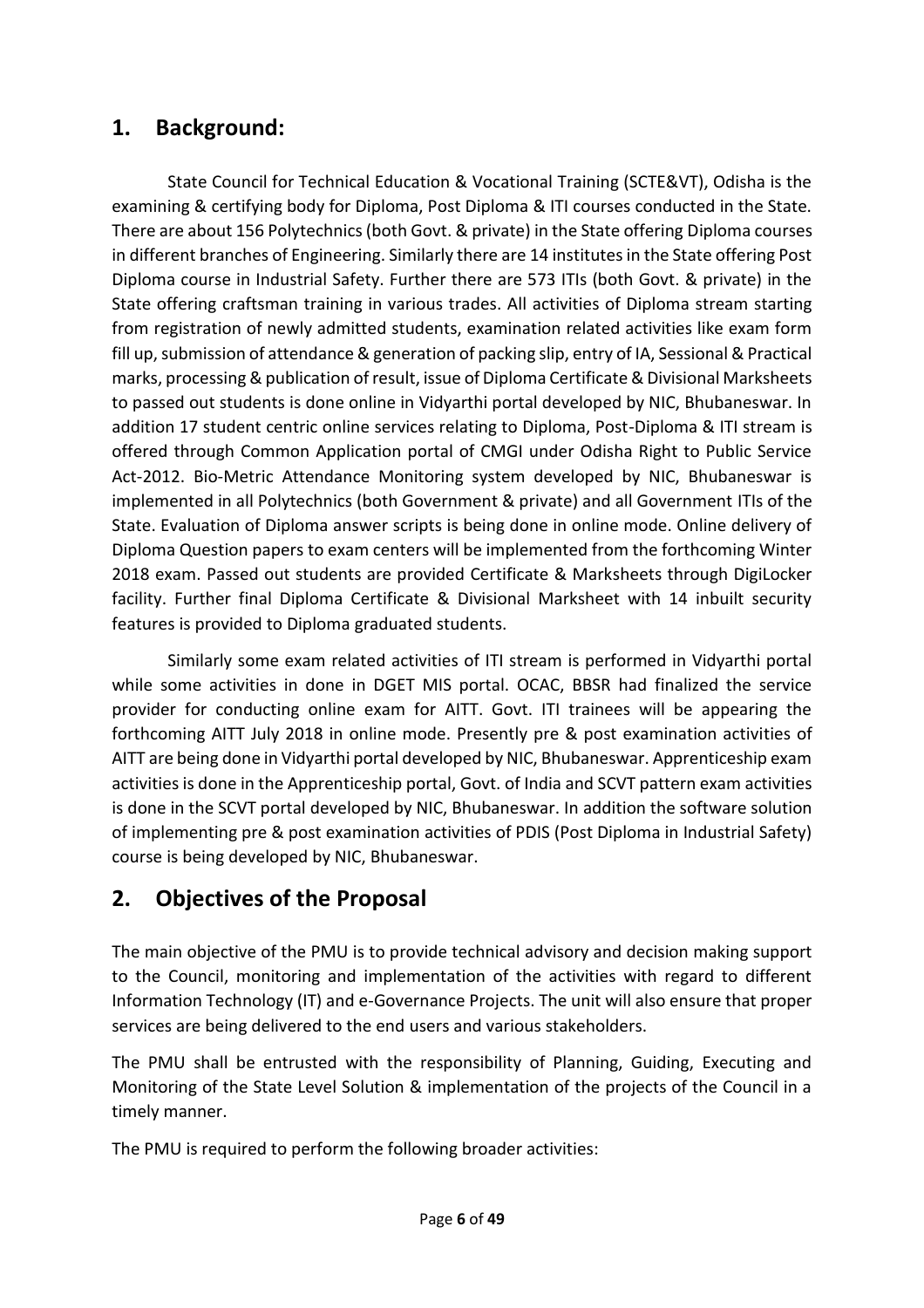# **1. Background:**

State Council for Technical Education & Vocational Training (SCTE&VT), Odisha is the examining & certifying body for Diploma, Post Diploma & ITI courses conducted in the State. There are about 156 Polytechnics (both Govt. & private) in the State offering Diploma courses in different branches of Engineering. Similarly there are 14 institutes in the State offering Post Diploma course in Industrial Safety. Further there are 573 ITIs (both Govt. & private) in the State offering craftsman training in various trades. All activities of Diploma stream starting from registration of newly admitted students, examination related activities like exam form fill up, submission of attendance & generation of packing slip, entry of IA, Sessional & Practical marks, processing & publication of result, issue of Diploma Certificate & Divisional Marksheets to passed out students is done online in Vidyarthi portal developed by NIC, Bhubaneswar. In addition 17 student centric online services relating to Diploma, Post-Diploma & ITI stream is offered through Common Application portal of CMGI under Odisha Right to Public Service Act-2012. Bio-Metric Attendance Monitoring system developed by NIC, Bhubaneswar is implemented in all Polytechnics (both Government & private) and all Government ITIs of the State. Evaluation of Diploma answer scripts is being done in online mode. Online delivery of Diploma Question papers to exam centers will be implemented from the forthcoming Winter 2018 exam. Passed out students are provided Certificate & Marksheets through DigiLocker facility. Further final Diploma Certificate & Divisional Marksheet with 14 inbuilt security features is provided to Diploma graduated students.

Similarly some exam related activities of ITI stream is performed in Vidyarthi portal while some activities in done in DGET MIS portal. OCAC, BBSR had finalized the service provider for conducting online exam for AITT. Govt. ITI trainees will be appearing the forthcoming AITT July 2018 in online mode. Presently pre & post examination activities of AITT are being done in Vidyarthi portal developed by NIC, Bhubaneswar. Apprenticeship exam activities is done in the Apprenticeship portal, Govt. of India and SCVT pattern exam activities is done in the SCVT portal developed by NIC, Bhubaneswar. In addition the software solution of implementing pre & post examination activities of PDIS (Post Diploma in Industrial Safety) course is being developed by NIC, Bhubaneswar.

# **2. Objectives of the Proposal**

The main objective of the PMU is to provide technical advisory and decision making support to the Council, monitoring and implementation of the activities with regard to different Information Technology (IT) and e-Governance Projects. The unit will also ensure that proper services are being delivered to the end users and various stakeholders.

The PMU shall be entrusted with the responsibility of Planning, Guiding, Executing and Monitoring of the State Level Solution & implementation of the projects of the Council in a timely manner.

The PMU is required to perform the following broader activities: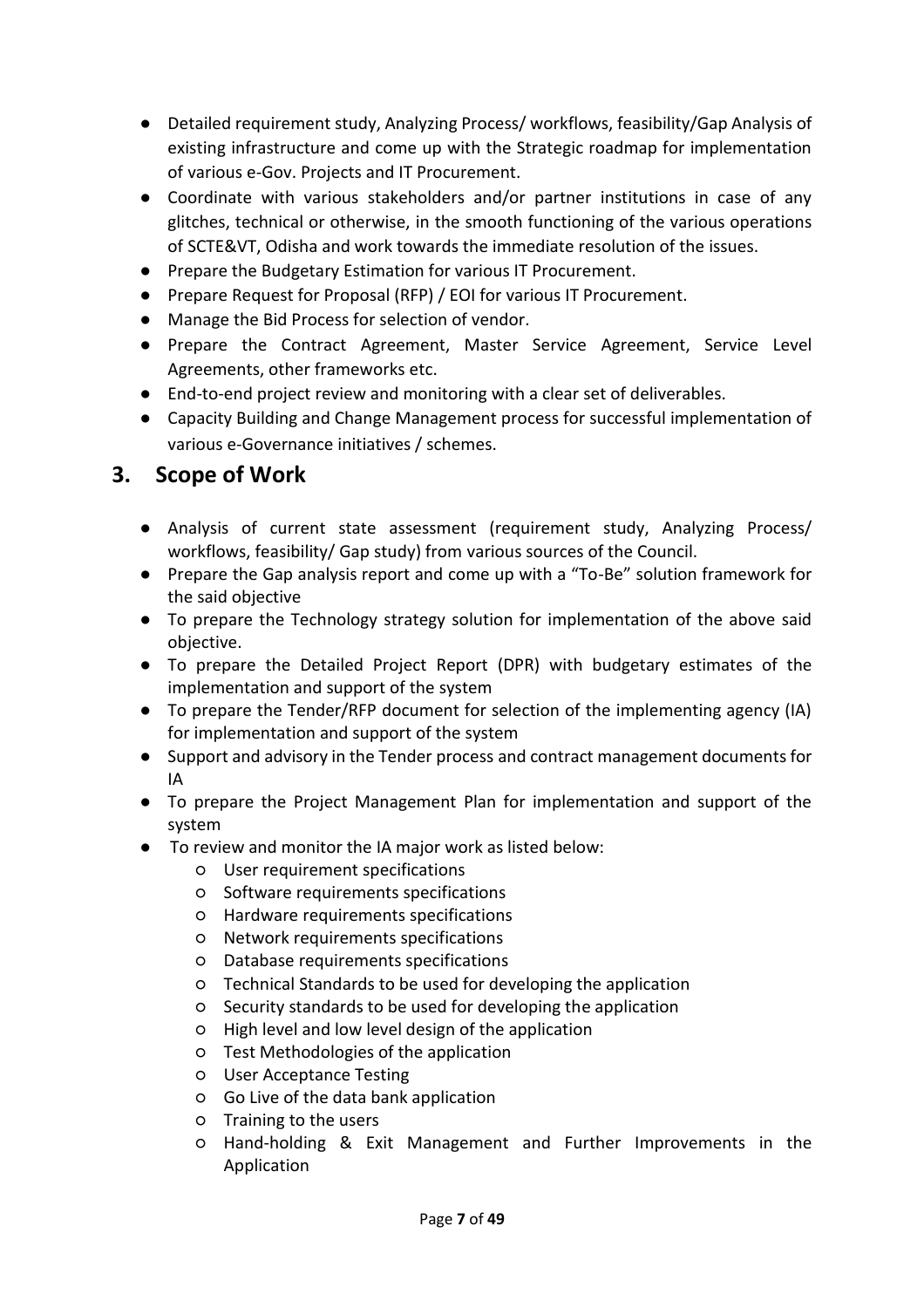- Detailed requirement study, Analyzing Process/ workflows, feasibility/Gap Analysis of existing infrastructure and come up with the Strategic roadmap for implementation of various e-Gov. Projects and IT Procurement.
- Coordinate with various stakeholders and/or partner institutions in case of any glitches, technical or otherwise, in the smooth functioning of the various operations of SCTE&VT, Odisha and work towards the immediate resolution of the issues.
- Prepare the Budgetary Estimation for various IT Procurement.
- Prepare Request for Proposal (RFP) / EOI for various IT Procurement.
- Manage the Bid Process for selection of vendor.
- Prepare the Contract Agreement, Master Service Agreement, Service Level Agreements, other frameworks etc.
- End-to-end project review and monitoring with a clear set of deliverables.
- <span id="page-6-0"></span>● Capacity Building and Change Management process for successful implementation of various e-Governance initiatives / schemes.

# **3. Scope of Work**

- Analysis of current state assessment (requirement study, Analyzing Process/ workflows, feasibility/ Gap study) from various sources of the Council.
- Prepare the Gap analysis report and come up with a "To-Be" solution framework for the said objective
- To prepare the Technology strategy solution for implementation of the above said objective.
- To prepare the Detailed Project Report (DPR) with budgetary estimates of the implementation and support of the system
- To prepare the Tender/RFP document for selection of the implementing agency (IA) for implementation and support of the system
- Support and advisory in the Tender process and contract management documents for IA
- To prepare the Project Management Plan for implementation and support of the system
- To review and monitor the IA major work as listed below:
	- User requirement specifications
	- Software requirements specifications
	- Hardware requirements specifications
	- Network requirements specifications
	- Database requirements specifications
	- Technical Standards to be used for developing the application
	- Security standards to be used for developing the application
	- High level and low level design of the application
	- Test Methodologies of the application
	- User Acceptance Testing
	- Go Live of the data bank application
	- Training to the users
	- Hand-holding & Exit Management and Further Improvements in the Application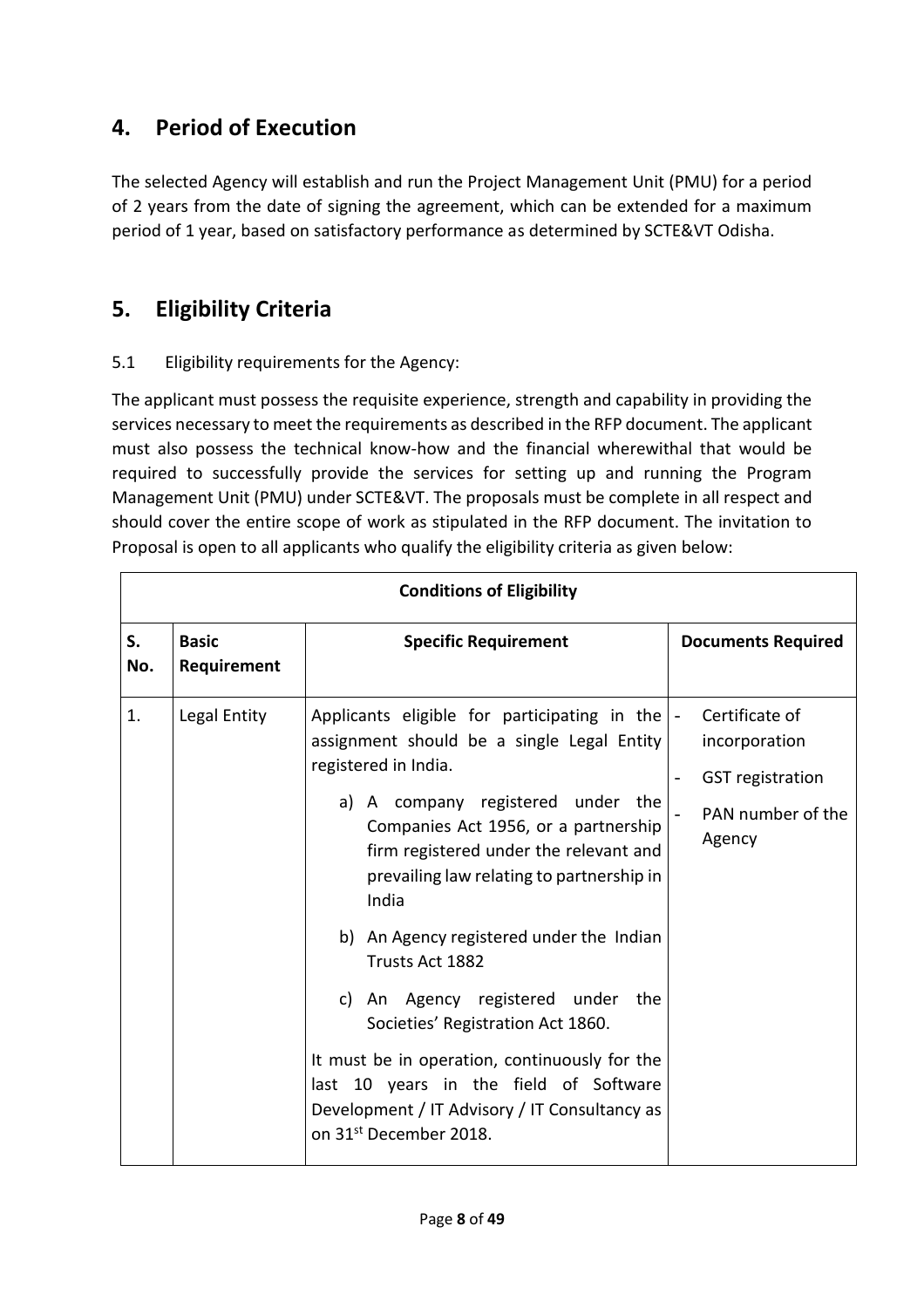# **4. Period of Execution**

The selected Agency will establish and run the Project Management Unit (PMU) for a period of 2 years from the date of signing the agreement, which can be extended for a maximum period of 1 year, based on satisfactory performance as determined by SCTE&VT Odisha.

# **5. Eligibility Criteria**

# 5.1 Eligibility requirements for the Agency:

The applicant must possess the requisite experience, strength and capability in providing the services necessary to meet the requirements as described in the RFP document. The applicant must also possess the technical know-how and the financial wherewithal that would be required to successfully provide the services for setting up and running the Program Management Unit (PMU) under SCTE&VT. The proposals must be complete in all respect and should cover the entire scope of work as stipulated in the RFP document. The invitation to Proposal is open to all applicants who qualify the eligibility criteria as given below:

|           | <b>Conditions of Eligibility</b> |                                                                                                                                                                                                                                                                                                                                                                                                                                                                                                                                                                                                                                      |                                                                                           |  |  |
|-----------|----------------------------------|--------------------------------------------------------------------------------------------------------------------------------------------------------------------------------------------------------------------------------------------------------------------------------------------------------------------------------------------------------------------------------------------------------------------------------------------------------------------------------------------------------------------------------------------------------------------------------------------------------------------------------------|-------------------------------------------------------------------------------------------|--|--|
| S.<br>No. | <b>Basic</b><br>Requirement      | <b>Specific Requirement</b>                                                                                                                                                                                                                                                                                                                                                                                                                                                                                                                                                                                                          | <b>Documents Required</b>                                                                 |  |  |
| 1.        | Legal Entity                     | Applicants eligible for participating in the $\vert$ -<br>assignment should be a single Legal Entity<br>registered in India.<br>a) A company registered under the<br>Companies Act 1956, or a partnership<br>firm registered under the relevant and<br>prevailing law relating to partnership in<br>India<br>b) An Agency registered under the Indian<br>Trusts Act 1882<br>c) An Agency registered under the<br>Societies' Registration Act 1860.<br>It must be in operation, continuously for the<br>last 10 years in the field of Software<br>Development / IT Advisory / IT Consultancy as<br>on 31 <sup>st</sup> December 2018. | Certificate of<br>incorporation<br><b>GST</b> registration<br>PAN number of the<br>Agency |  |  |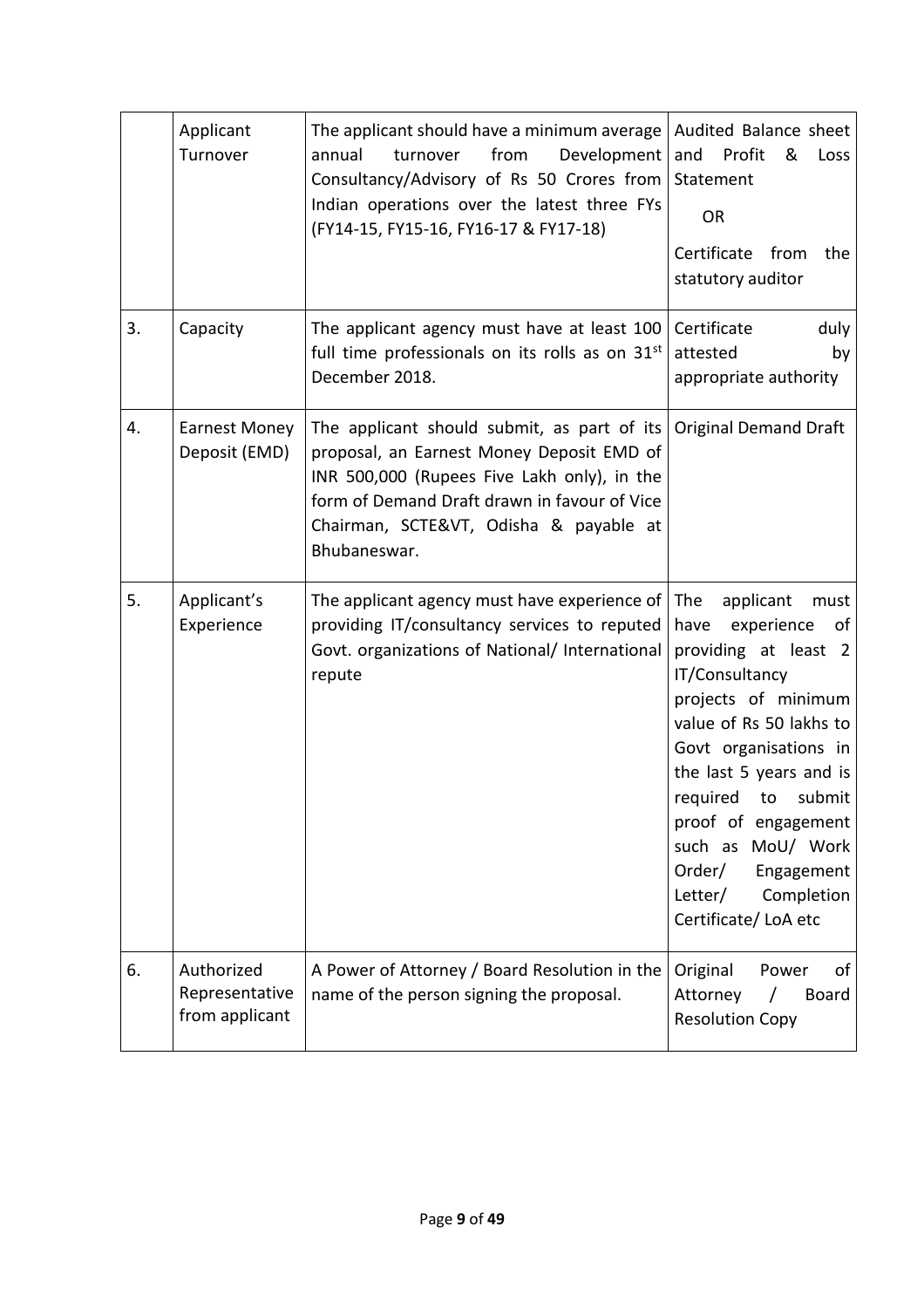|    | Applicant<br>Turnover                          | The applicant should have a minimum average<br>Development<br>from<br>annual<br>turnover<br>Consultancy/Advisory of Rs 50 Crores from<br>Indian operations over the latest three FYs<br>(FY14-15, FY15-16, FY16-17 & FY17-18)                                           | Audited Balance sheet<br>Profit<br>and<br>&<br>Loss<br>Statement<br><b>OR</b><br>Certificate<br>from<br>the<br>statutory auditor                                                                                                                                                                                                                     |  |
|----|------------------------------------------------|-------------------------------------------------------------------------------------------------------------------------------------------------------------------------------------------------------------------------------------------------------------------------|------------------------------------------------------------------------------------------------------------------------------------------------------------------------------------------------------------------------------------------------------------------------------------------------------------------------------------------------------|--|
| 3. | Capacity                                       | The applicant agency must have at least 100<br>full time professionals on its rolls as on 31 <sup>st</sup><br>December 2018.                                                                                                                                            | duly<br>Certificate<br>attested<br>by<br>appropriate authority                                                                                                                                                                                                                                                                                       |  |
| 4. | <b>Earnest Money</b><br>Deposit (EMD)          | The applicant should submit, as part of its Original Demand Draft<br>proposal, an Earnest Money Deposit EMD of<br>INR 500,000 (Rupees Five Lakh only), in the<br>form of Demand Draft drawn in favour of Vice<br>Chairman, SCTE&VT, Odisha & payable at<br>Bhubaneswar. |                                                                                                                                                                                                                                                                                                                                                      |  |
| 5. | Applicant's<br>Experience                      | The applicant agency must have experience of<br>providing IT/consultancy services to reputed<br>Govt. organizations of National/ International<br>repute                                                                                                                | The<br>applicant<br>must<br>have<br>experience<br>of<br>providing at least 2<br>IT/Consultancy<br>projects of minimum<br>value of Rs 50 lakhs to<br>Govt organisations in<br>the last 5 years and is<br>required<br>to<br>submit<br>proof of engagement<br>such as MoU/ Work<br>Order/<br>Engagement<br>Completion<br>Letter/<br>Certificate/LoA etc |  |
| 6. | Authorized<br>Representative<br>from applicant | A Power of Attorney / Board Resolution in the<br>name of the person signing the proposal.                                                                                                                                                                               | Original<br>Power<br>of<br>Attorney<br>$\prime$<br>Board<br><b>Resolution Copy</b>                                                                                                                                                                                                                                                                   |  |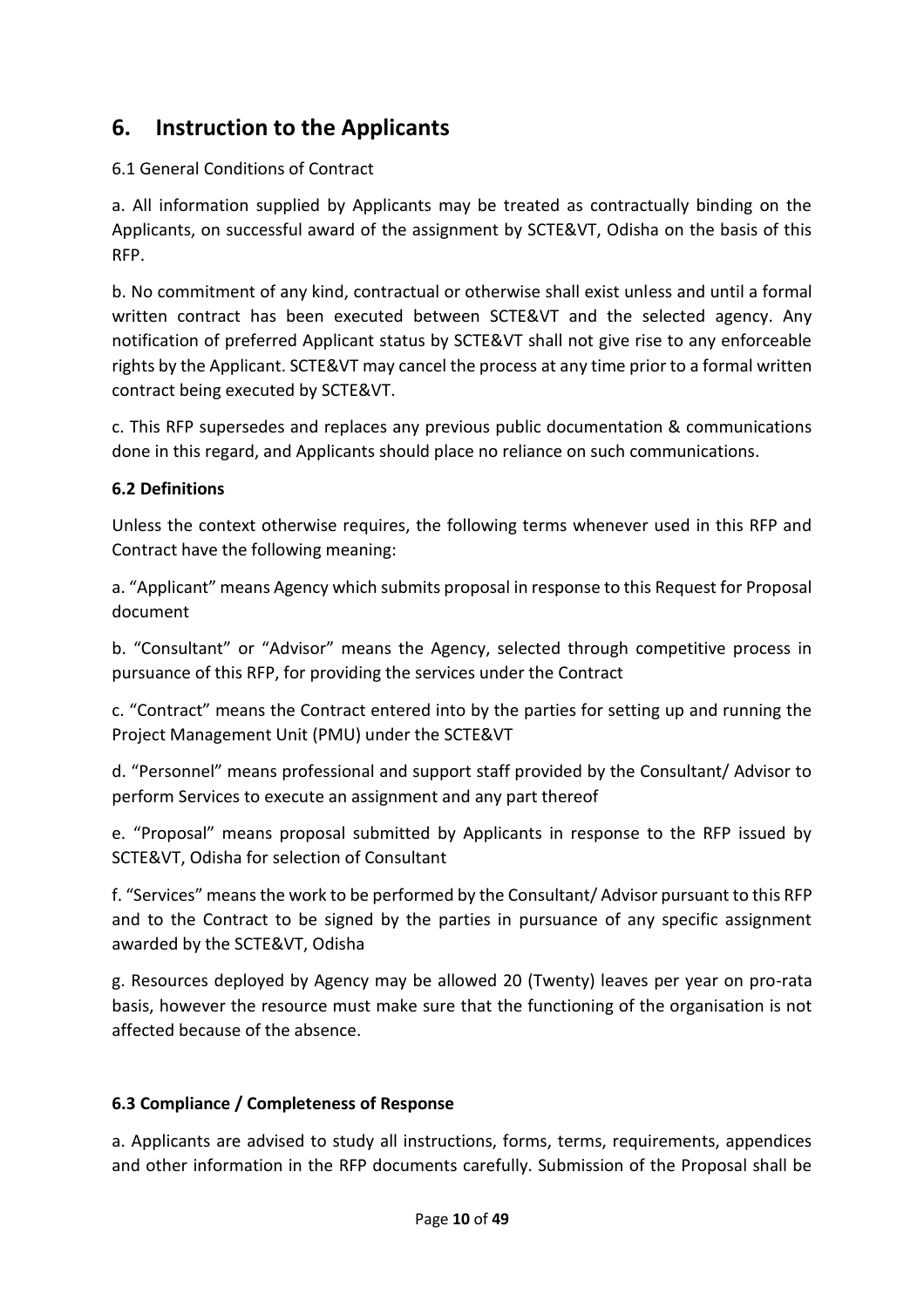# **6. Instruction to the Applicants**

# 6.1 General Conditions of Contract

a. All information supplied by Applicants may be treated as contractually binding on the Applicants, on successful award of the assignment by SCTE&VT, Odisha on the basis of this RFP.

b. No commitment of any kind, contractual or otherwise shall exist unless and until a formal written contract has been executed between SCTE&VT and the selected agency. Any notification of preferred Applicant status by SCTE&VT shall not give rise to any enforceable rights by the Applicant. SCTE&VT may cancel the process at any time prior to a formal written contract being executed by SCTE&VT.

c. This RFP supersedes and replaces any previous public documentation & communications done in this regard, and Applicants should place no reliance on such communications.

# **6.2 Definitions**

Unless the context otherwise requires, the following terms whenever used in this RFP and Contract have the following meaning:

a. "Applicant" means Agency which submits proposal in response to this Request for Proposal document

b. "Consultant" or "Advisor" means the Agency, selected through competitive process in pursuance of this RFP, for providing the services under the Contract

c. "Contract" means the Contract entered into by the parties for setting up and running the Project Management Unit (PMU) under the SCTE&VT

d. "Personnel" means professional and support staff provided by the Consultant/ Advisor to perform Services to execute an assignment and any part thereof

e. "Proposal" means proposal submitted by Applicants in response to the RFP issued by SCTE&VT, Odisha for selection of Consultant

f. "Services" means the work to be performed by the Consultant/ Advisor pursuant to this RFP and to the Contract to be signed by the parties in pursuance of any specific assignment awarded by the SCTE&VT, Odisha

g. Resources deployed by Agency may be allowed 20 (Twenty) leaves per year on pro-rata basis, however the resource must make sure that the functioning of the organisation is not affected because of the absence.

# **6.3 Compliance / Completeness of Response**

a. Applicants are advised to study all instructions, forms, terms, requirements, appendices and other information in the RFP documents carefully. Submission of the Proposal shall be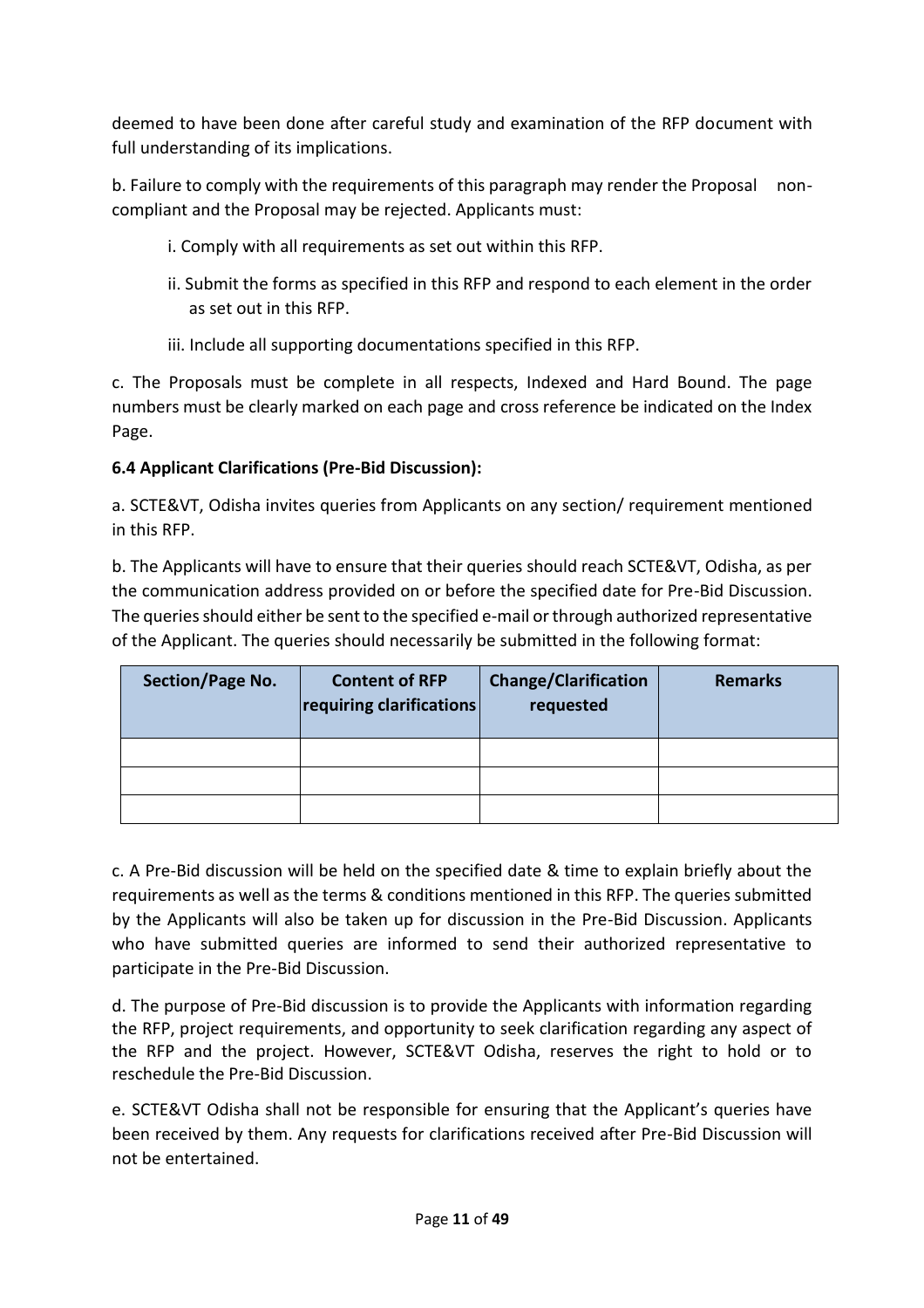deemed to have been done after careful study and examination of the RFP document with full understanding of its implications.

b. Failure to comply with the requirements of this paragraph may render the Proposal noncompliant and the Proposal may be rejected. Applicants must:

- i. Comply with all requirements as set out within this RFP.
- ii. Submit the forms as specified in this RFP and respond to each element in the order as set out in this RFP.
- iii. Include all supporting documentations specified in this RFP.

c. The Proposals must be complete in all respects, Indexed and Hard Bound. The page numbers must be clearly marked on each page and cross reference be indicated on the Index Page.

# **6.4 Applicant Clarifications (Pre-Bid Discussion):**

a. SCTE&VT, Odisha invites queries from Applicants on any section/ requirement mentioned in this RFP.

b. The Applicants will have to ensure that their queries should reach SCTE&VT, Odisha, as per the communication address provided on or before the specified date for Pre-Bid Discussion. The queries should either be sent to the specified e-mail or through authorized representative of the Applicant. The queries should necessarily be submitted in the following format:

| <b>Section/Page No.</b> | <b>Content of RFP</b><br>requiring clarifications | <b>Change/Clarification</b><br>requested | Remarks |
|-------------------------|---------------------------------------------------|------------------------------------------|---------|
|                         |                                                   |                                          |         |
|                         |                                                   |                                          |         |
|                         |                                                   |                                          |         |

c. A Pre-Bid discussion will be held on the specified date & time to explain briefly about the requirements as well as the terms & conditions mentioned in this RFP. The queries submitted by the Applicants will also be taken up for discussion in the Pre-Bid Discussion. Applicants who have submitted queries are informed to send their authorized representative to participate in the Pre-Bid Discussion.

d. The purpose of Pre-Bid discussion is to provide the Applicants with information regarding the RFP, project requirements, and opportunity to seek clarification regarding any aspect of the RFP and the project. However, SCTE&VT Odisha, reserves the right to hold or to reschedule the Pre-Bid Discussion.

e. SCTE&VT Odisha shall not be responsible for ensuring that the Applicant's queries have been received by them. Any requests for clarifications received after Pre-Bid Discussion will not be entertained.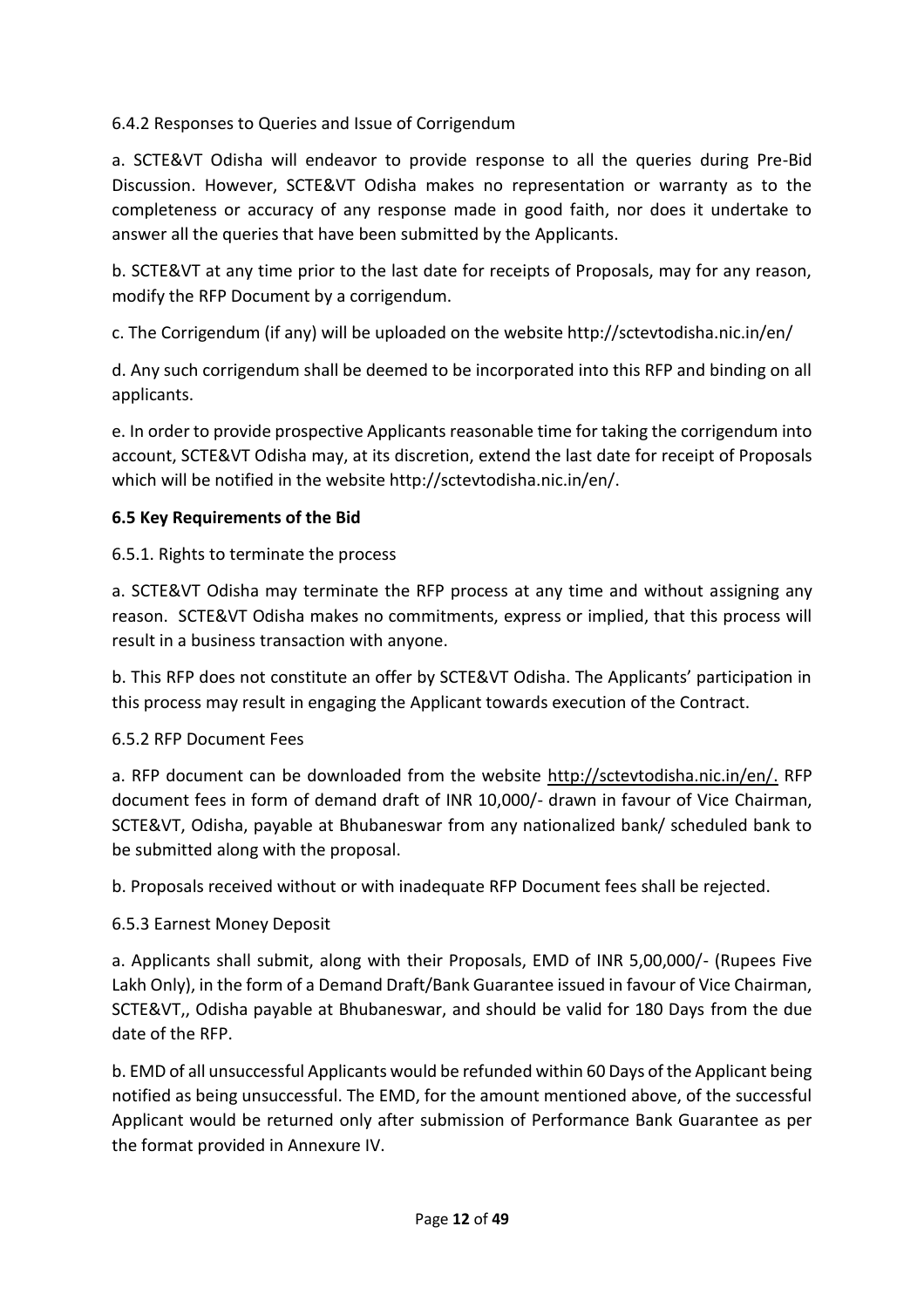# 6.4.2 Responses to Queries and Issue of Corrigendum

a. SCTE&VT Odisha will endeavor to provide response to all the queries during Pre-Bid Discussion. However, SCTE&VT Odisha makes no representation or warranty as to the completeness or accuracy of any response made in good faith, nor does it undertake to answer all the queries that have been submitted by the Applicants.

b. SCTE&VT at any time prior to the last date for receipts of Proposals, may for any reason, modify the RFP Document by a corrigendum.

c. The Corrigendum (if any) will be uploaded on the website http://sctevtodisha.nic.in/en/

d. Any such corrigendum shall be deemed to be incorporated into this RFP and binding on all applicants.

e. In order to provide prospective Applicants reasonable time for taking the corrigendum into account, SCTE&VT Odisha may, at its discretion, extend the last date for receipt of Proposals which will be notified in the website http://sctevtodisha.nic.in/en/.

# **6.5 Key Requirements of the Bid**

# 6.5.1. Rights to terminate the process

a. SCTE&VT Odisha may terminate the RFP process at any time and without assigning any reason. SCTE&VT Odisha makes no commitments, express or implied, that this process will result in a business transaction with anyone.

b. This RFP does not constitute an offer by SCTE&VT Odisha. The Applicants' participation in this process may result in engaging the Applicant towards execution of the Contract.

#### 6.5.2 RFP Document Fees

a. RFP document can be downloaded from the website [http://sctevtodisha.nic.in/en/.](http://sctevtodisha.nic.in/en/) RFP document fees in form of demand draft of INR 10,000/- drawn in favour of Vice Chairman, SCTE&VT, Odisha, payable at Bhubaneswar from any nationalized bank/ scheduled bank to be submitted along with the proposal.

b. Proposals received without or with inadequate RFP Document fees shall be rejected.

#### 6.5.3 Earnest Money Deposit

a. Applicants shall submit, along with their Proposals, EMD of INR 5,00,000/- (Rupees Five Lakh Only), in the form of a Demand Draft/Bank Guarantee issued in favour of Vice Chairman, SCTE&VT,, Odisha payable at Bhubaneswar, and should be valid for 180 Days from the due date of the RFP.

b. EMD of all unsuccessful Applicants would be refunded within 60 Days of the Applicant being notified as being unsuccessful. The EMD, for the amount mentioned above, of the successful Applicant would be returned only after submission of Performance Bank Guarantee as per the format provided in Annexure IV.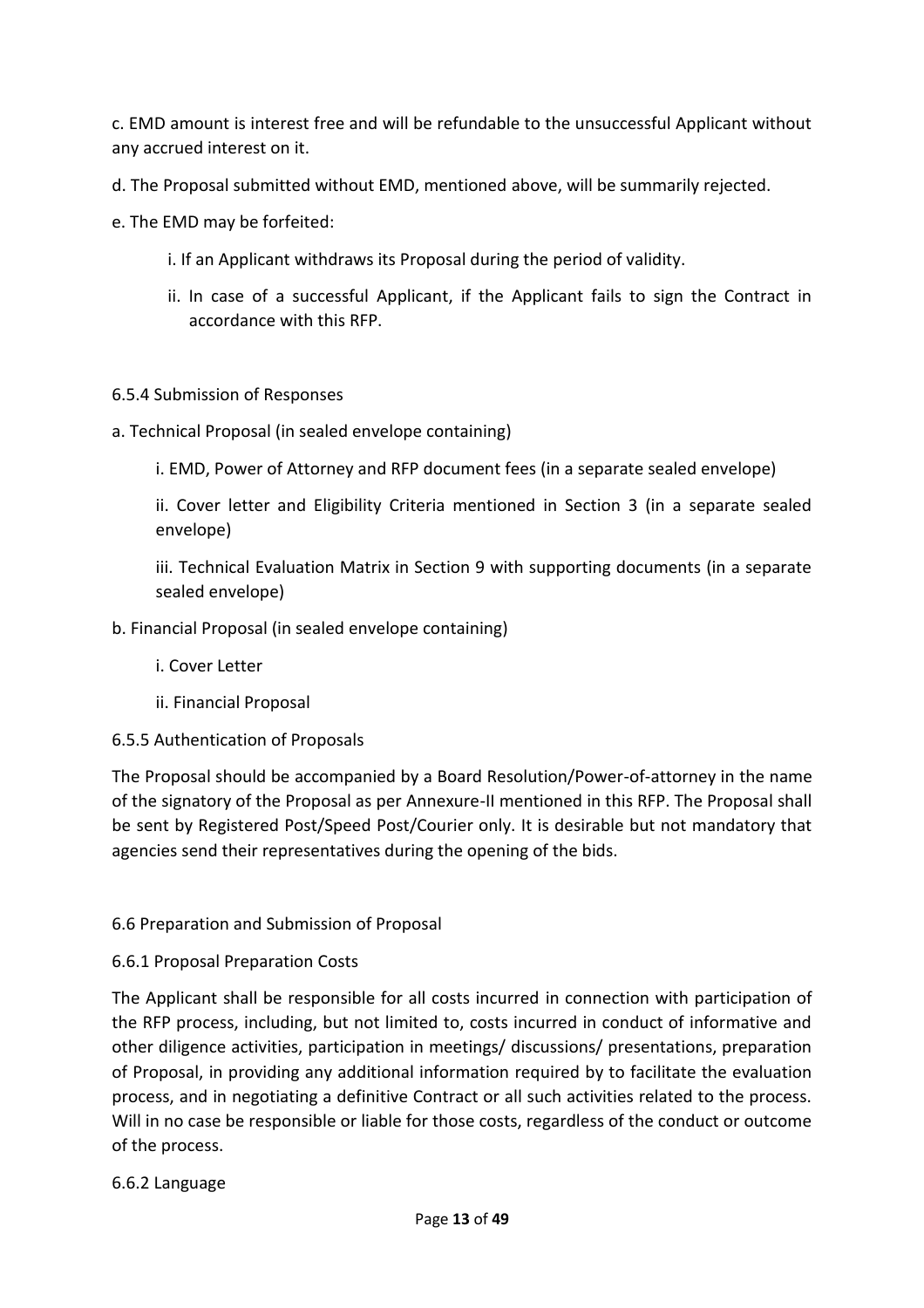c. EMD amount is interest free and will be refundable to the unsuccessful Applicant without any accrued interest on it.

d. The Proposal submitted without EMD, mentioned above, will be summarily rejected.

e. The EMD may be forfeited:

- i. If an Applicant withdraws its Proposal during the period of validity.
- ii. In case of a successful Applicant, if the Applicant fails to sign the Contract in accordance with this RFP.

#### 6.5.4 Submission of Responses

a. Technical Proposal (in sealed envelope containing)

i. EMD, Power of Attorney and RFP document fees (in a separate sealed envelope)

ii. Cover letter and Eligibility Criteria mentioned in Section 3 (in a separate sealed envelope)

iii. Technical Evaluation Matrix in Section 9 with supporting documents (in a separate sealed envelope)

#### b. Financial Proposal (in sealed envelope containing)

- i. Cover Letter
- ii. Financial Proposal

#### 6.5.5 Authentication of Proposals

The Proposal should be accompanied by a Board Resolution/Power-of-attorney in the name of the signatory of the Proposal as per Annexure-II mentioned in this RFP. The Proposal shall be sent by Registered Post/Speed Post/Courier only. It is desirable but not mandatory that agencies send their representatives during the opening of the bids.

#### 6.6 Preparation and Submission of Proposal

#### 6.6.1 Proposal Preparation Costs

The Applicant shall be responsible for all costs incurred in connection with participation of the RFP process, including, but not limited to, costs incurred in conduct of informative and other diligence activities, participation in meetings/ discussions/ presentations, preparation of Proposal, in providing any additional information required by to facilitate the evaluation process, and in negotiating a definitive Contract or all such activities related to the process. Will in no case be responsible or liable for those costs, regardless of the conduct or outcome of the process.

#### 6.6.2 Language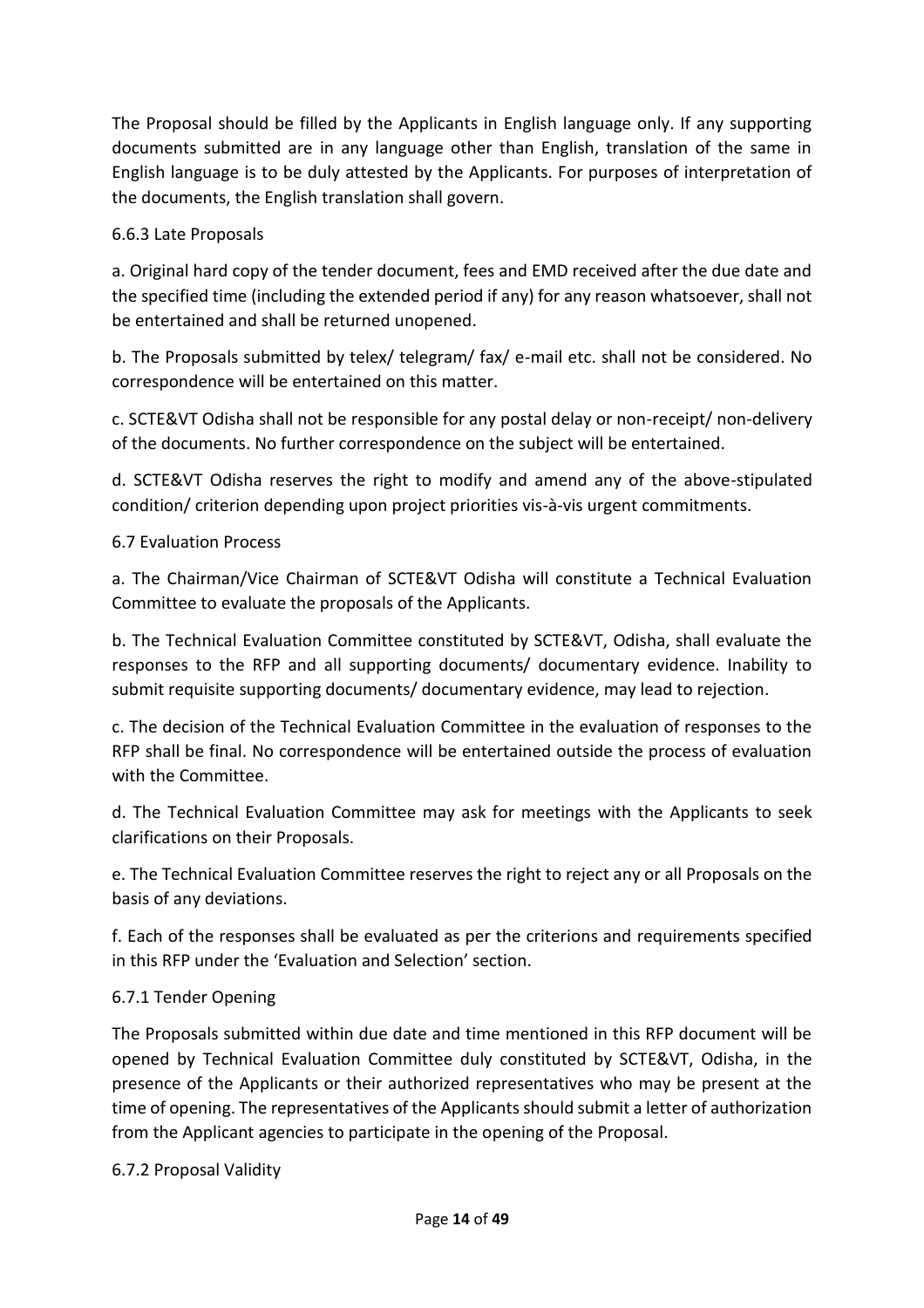The Proposal should be filled by the Applicants in English language only. If any supporting documents submitted are in any language other than English, translation of the same in English language is to be duly attested by the Applicants. For purposes of interpretation of the documents, the English translation shall govern.

# 6.6.3 Late Proposals

a. Original hard copy of the tender document, fees and EMD received after the due date and the specified time (including the extended period if any) for any reason whatsoever, shall not be entertained and shall be returned unopened.

b. The Proposals submitted by telex/ telegram/ fax/ e-mail etc. shall not be considered. No correspondence will be entertained on this matter.

c. SCTE&VT Odisha shall not be responsible for any postal delay or non-receipt/ non-delivery of the documents. No further correspondence on the subject will be entertained.

d. SCTE&VT Odisha reserves the right to modify and amend any of the above-stipulated condition/ criterion depending upon project priorities vis-à-vis urgent commitments.

# 6.7 Evaluation Process

a. The Chairman/Vice Chairman of SCTE&VT Odisha will constitute a Technical Evaluation Committee to evaluate the proposals of the Applicants.

b. The Technical Evaluation Committee constituted by SCTE&VT, Odisha, shall evaluate the responses to the RFP and all supporting documents/ documentary evidence. Inability to submit requisite supporting documents/ documentary evidence, may lead to rejection.

c. The decision of the Technical Evaluation Committee in the evaluation of responses to the RFP shall be final. No correspondence will be entertained outside the process of evaluation with the Committee.

d. The Technical Evaluation Committee may ask for meetings with the Applicants to seek clarifications on their Proposals.

e. The Technical Evaluation Committee reserves the right to reject any or all Proposals on the basis of any deviations.

f. Each of the responses shall be evaluated as per the criterions and requirements specified in this RFP under the 'Evaluation and Selection' section.

#### 6.7.1 Tender Opening

The Proposals submitted within due date and time mentioned in this RFP document will be opened by Technical Evaluation Committee duly constituted by SCTE&VT, Odisha, in the presence of the Applicants or their authorized representatives who may be present at the time of opening. The representatives of the Applicants should submit a letter of authorization from the Applicant agencies to participate in the opening of the Proposal.

#### 6.7.2 Proposal Validity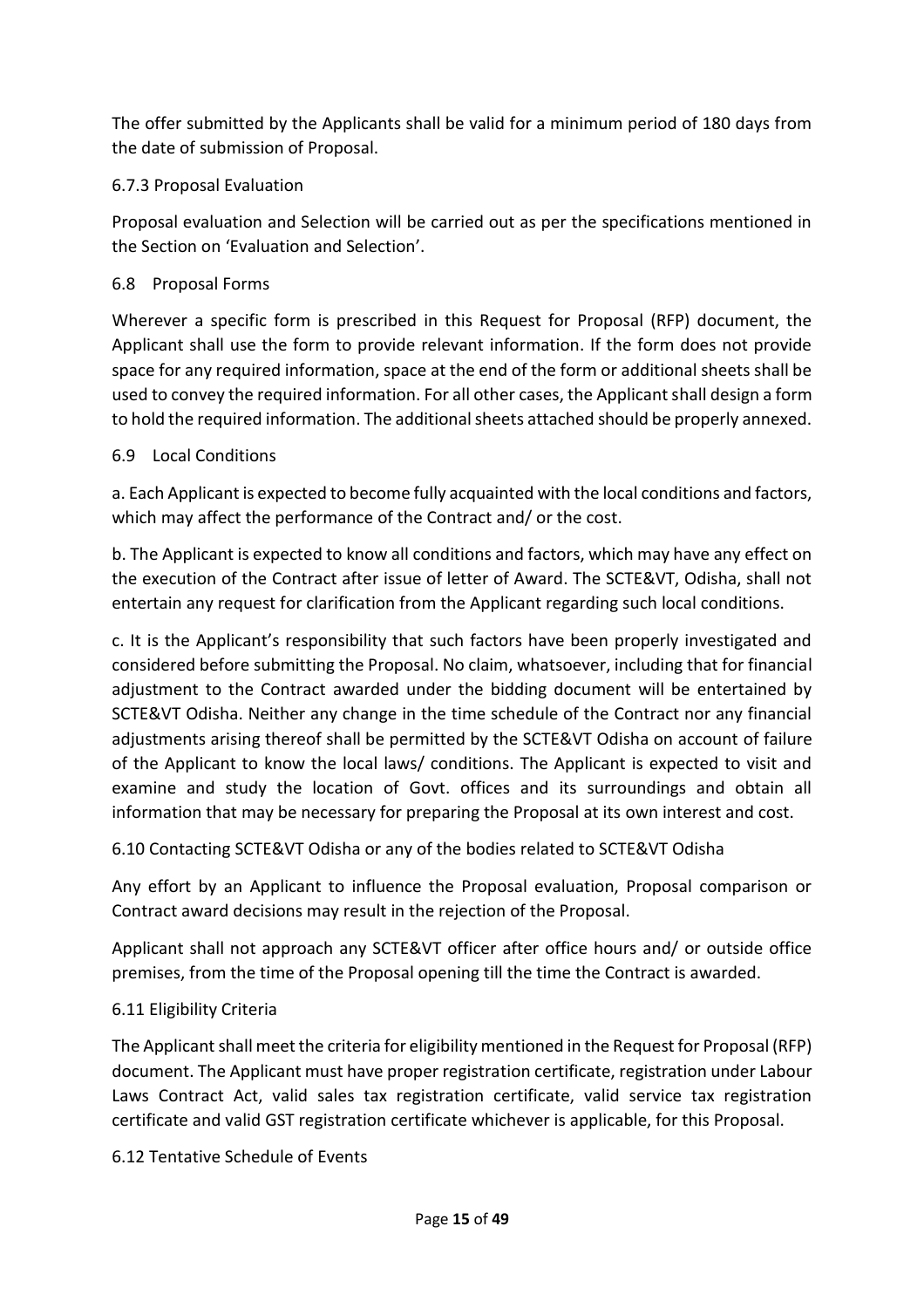The offer submitted by the Applicants shall be valid for a minimum period of 180 days from the date of submission of Proposal.

# 6.7.3 Proposal Evaluation

Proposal evaluation and Selection will be carried out as per the specifications mentioned in the Section on 'Evaluation and Selection'.

# 6.8 Proposal Forms

Wherever a specific form is prescribed in this Request for Proposal (RFP) document, the Applicant shall use the form to provide relevant information. If the form does not provide space for any required information, space at the end of the form or additional sheets shall be used to convey the required information. For all other cases, the Applicant shall design a form to hold the required information. The additional sheets attached should be properly annexed.

# 6.9 Local Conditions

a. Each Applicant is expected to become fully acquainted with the local conditions and factors, which may affect the performance of the Contract and/ or the cost.

b. The Applicant is expected to know all conditions and factors, which may have any effect on the execution of the Contract after issue of letter of Award. The SCTE&VT, Odisha, shall not entertain any request for clarification from the Applicant regarding such local conditions.

c. It is the Applicant's responsibility that such factors have been properly investigated and considered before submitting the Proposal. No claim, whatsoever, including that for financial adjustment to the Contract awarded under the bidding document will be entertained by SCTE&VT Odisha. Neither any change in the time schedule of the Contract nor any financial adjustments arising thereof shall be permitted by the SCTE&VT Odisha on account of failure of the Applicant to know the local laws/ conditions. The Applicant is expected to visit and examine and study the location of Govt. offices and its surroundings and obtain all information that may be necessary for preparing the Proposal at its own interest and cost.

6.10 Contacting SCTE&VT Odisha or any of the bodies related to SCTE&VT Odisha

Any effort by an Applicant to influence the Proposal evaluation, Proposal comparison or Contract award decisions may result in the rejection of the Proposal.

Applicant shall not approach any SCTE&VT officer after office hours and/ or outside office premises, from the time of the Proposal opening till the time the Contract is awarded.

# 6.11 Eligibility Criteria

The Applicant shall meet the criteria for eligibility mentioned in the Request for Proposal (RFP) document. The Applicant must have proper registration certificate, registration under Labour Laws Contract Act, valid sales tax registration certificate, valid service tax registration certificate and valid GST registration certificate whichever is applicable, for this Proposal.

6.12 Tentative Schedule of Events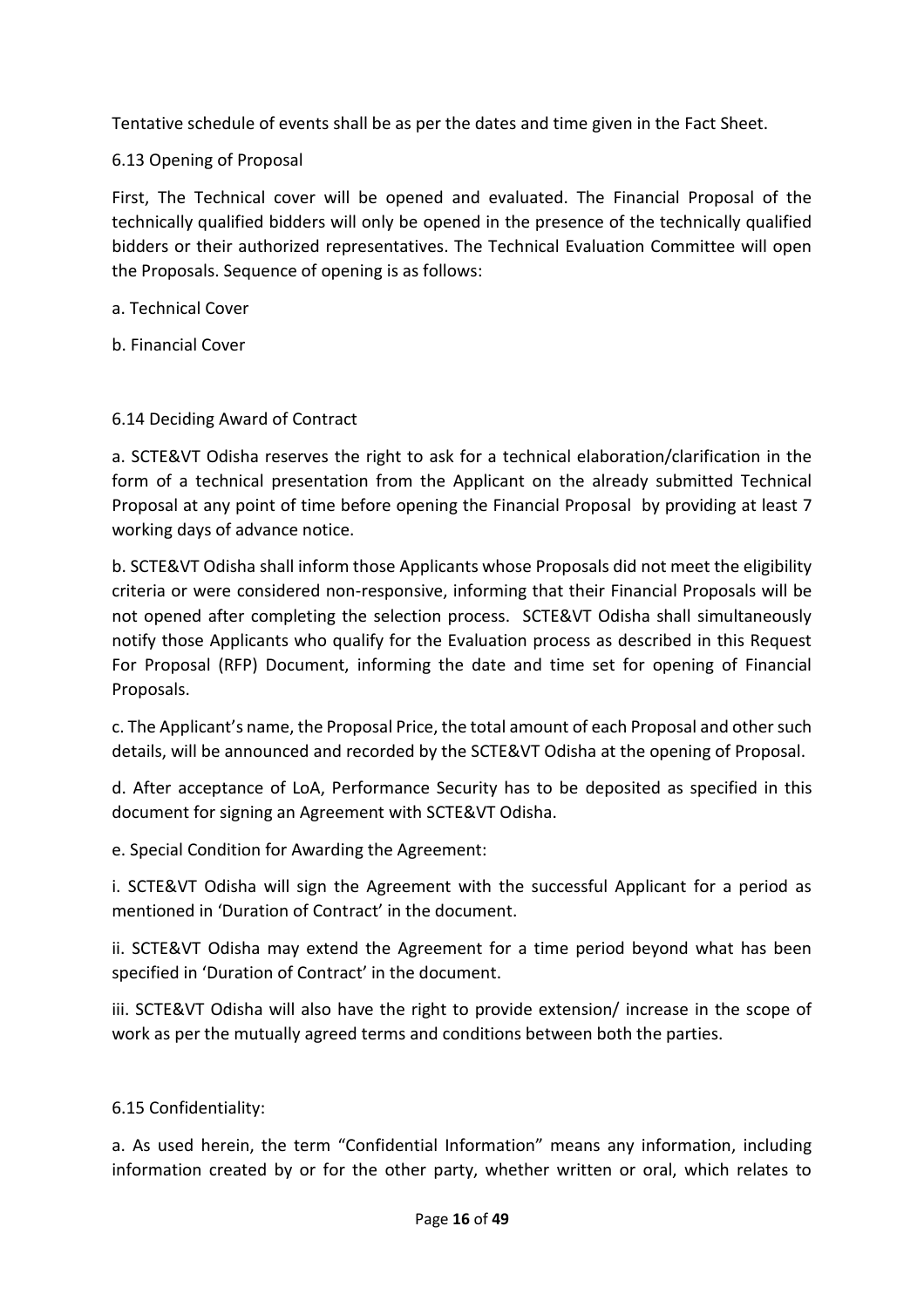Tentative schedule of events shall be as per the dates and time given in the Fact Sheet.

6.13 Opening of Proposal

First, The Technical cover will be opened and evaluated. The Financial Proposal of the technically qualified bidders will only be opened in the presence of the technically qualified bidders or their authorized representatives. The Technical Evaluation Committee will open the Proposals. Sequence of opening is as follows:

a. Technical Cover

b. Financial Cover

# 6.14 Deciding Award of Contract

a. SCTE&VT Odisha reserves the right to ask for a technical elaboration/clarification in the form of a technical presentation from the Applicant on the already submitted Technical Proposal at any point of time before opening the Financial Proposal by providing at least 7 working days of advance notice.

b. SCTE&VT Odisha shall inform those Applicants whose Proposals did not meet the eligibility criteria or were considered non-responsive, informing that their Financial Proposals will be not opened after completing the selection process. SCTE&VT Odisha shall simultaneously notify those Applicants who qualify for the Evaluation process as described in this Request For Proposal (RFP) Document, informing the date and time set for opening of Financial Proposals.

c. The Applicant's name, the Proposal Price, the total amount of each Proposal and other such details, will be announced and recorded by the SCTE&VT Odisha at the opening of Proposal.

d. After acceptance of LoA, Performance Security has to be deposited as specified in this document for signing an Agreement with SCTE&VT Odisha.

e. Special Condition for Awarding the Agreement:

i. SCTE&VT Odisha will sign the Agreement with the successful Applicant for a period as mentioned in 'Duration of Contract' in the document.

ii. SCTE&VT Odisha may extend the Agreement for a time period beyond what has been specified in 'Duration of Contract' in the document.

iii. SCTE&VT Odisha will also have the right to provide extension/ increase in the scope of work as per the mutually agreed terms and conditions between both the parties.

# 6.15 Confidentiality:

a. As used herein, the term "Confidential Information" means any information, including information created by or for the other party, whether written or oral, which relates to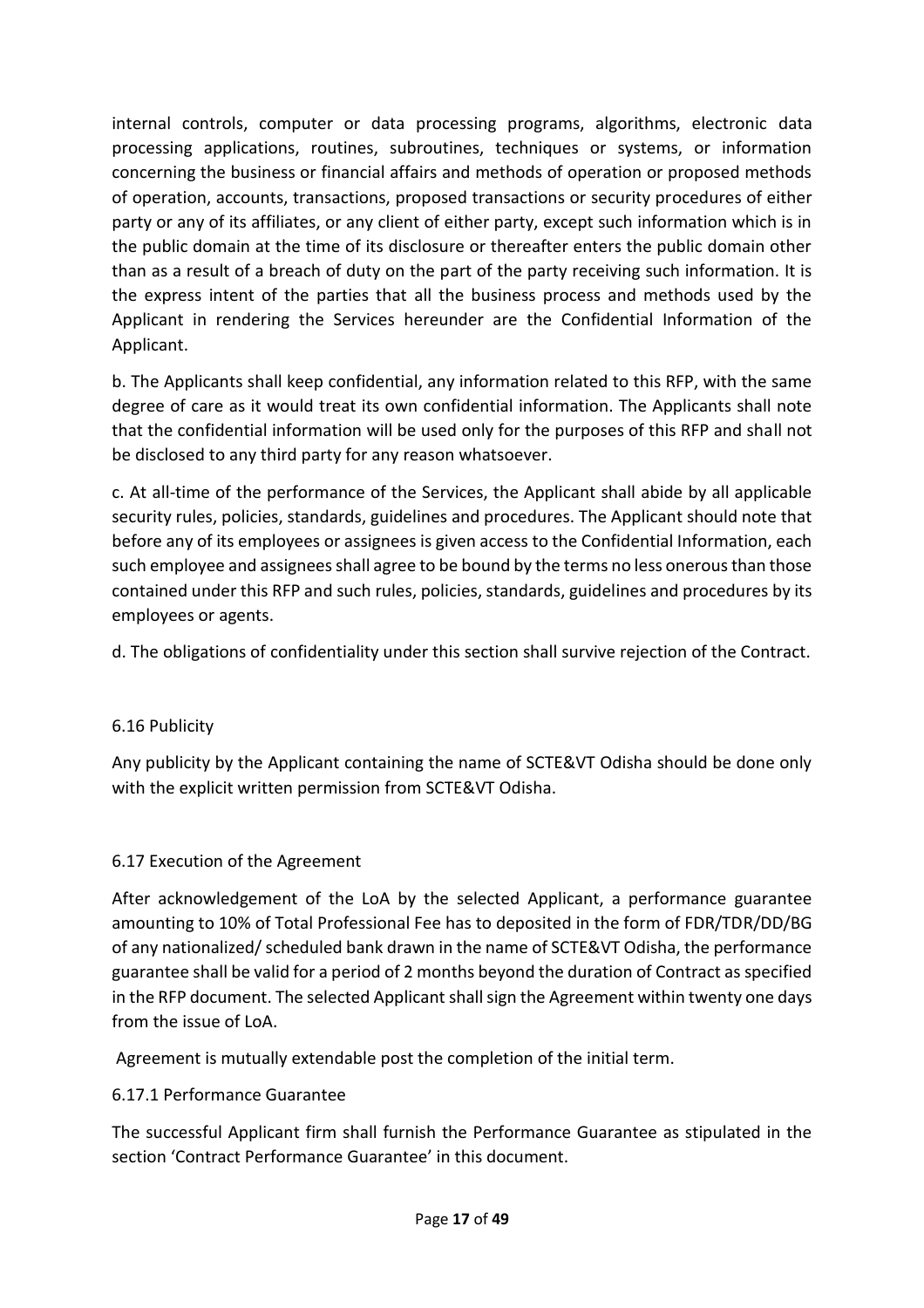internal controls, computer or data processing programs, algorithms, electronic data processing applications, routines, subroutines, techniques or systems, or information concerning the business or financial affairs and methods of operation or proposed methods of operation, accounts, transactions, proposed transactions or security procedures of either party or any of its affiliates, or any client of either party, except such information which is in the public domain at the time of its disclosure or thereafter enters the public domain other than as a result of a breach of duty on the part of the party receiving such information. It is the express intent of the parties that all the business process and methods used by the Applicant in rendering the Services hereunder are the Confidential Information of the Applicant.

b. The Applicants shall keep confidential, any information related to this RFP, with the same degree of care as it would treat its own confidential information. The Applicants shall note that the confidential information will be used only for the purposes of this RFP and shall not be disclosed to any third party for any reason whatsoever.

c. At all-time of the performance of the Services, the Applicant shall abide by all applicable security rules, policies, standards, guidelines and procedures. The Applicant should note that before any of its employees or assignees is given access to the Confidential Information, each such employee and assignees shall agree to be bound by the terms no less onerous than those contained under this RFP and such rules, policies, standards, guidelines and procedures by its employees or agents.

d. The obligations of confidentiality under this section shall survive rejection of the Contract.

# 6.16 Publicity

Any publicity by the Applicant containing the name of SCTE&VT Odisha should be done only with the explicit written permission from SCTE&VT Odisha.

# 6.17 Execution of the Agreement

After acknowledgement of the LoA by the selected Applicant, a performance guarantee amounting to 10% of Total Professional Fee has to deposited in the form of FDR/TDR/DD/BG of any nationalized/ scheduled bank drawn in the name of SCTE&VT Odisha, the performance guarantee shall be valid for a period of 2 months beyond the duration of Contract as specified in the RFP document. The selected Applicant shall sign the Agreement within twenty one days from the issue of LoA.

Agreement is mutually extendable post the completion of the initial term.

# 6.17.1 Performance Guarantee

The successful Applicant firm shall furnish the Performance Guarantee as stipulated in the section 'Contract Performance Guarantee' in this document.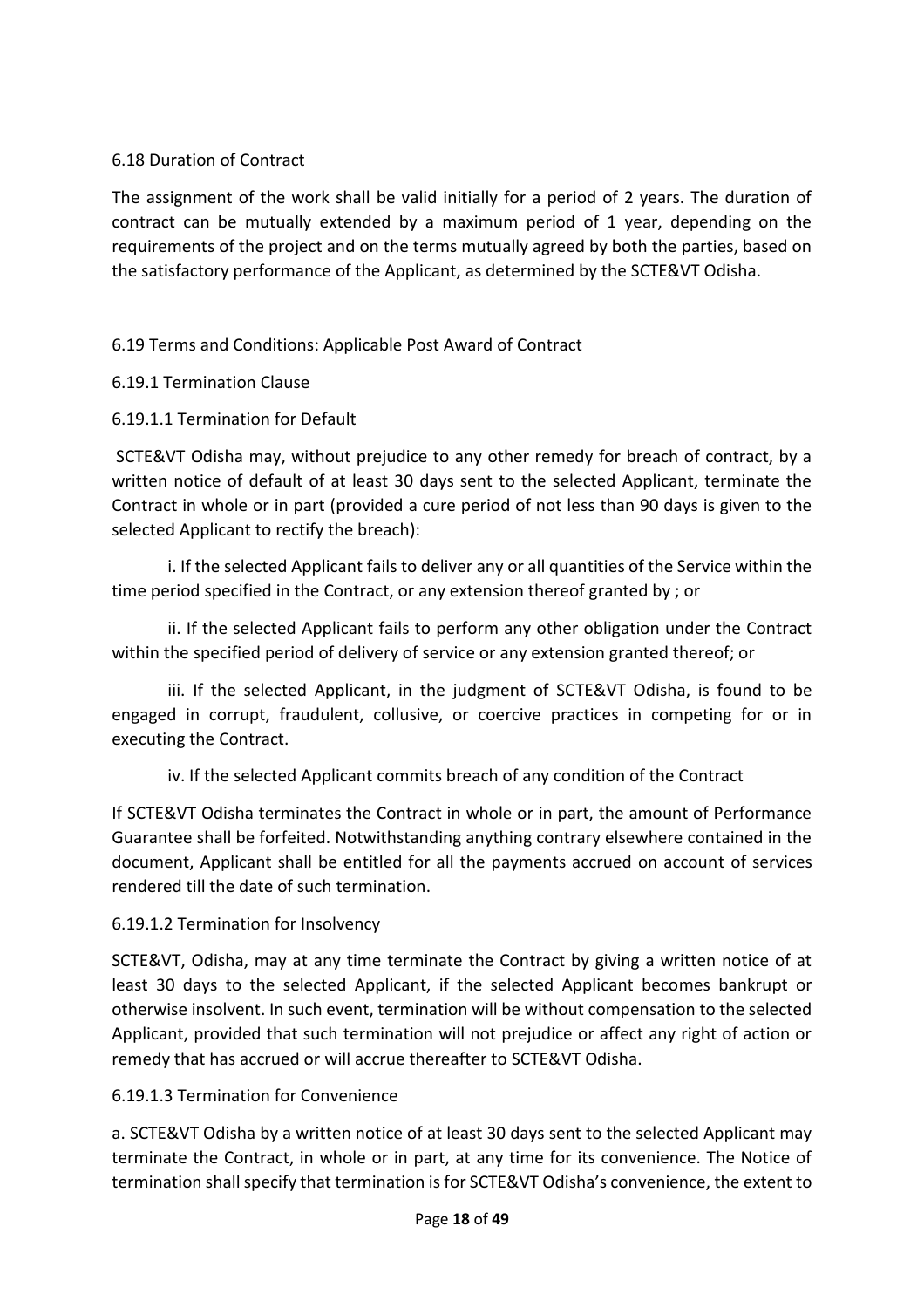# 6.18 Duration of Contract

The assignment of the work shall be valid initially for a period of 2 years. The duration of contract can be mutually extended by a maximum period of 1 year, depending on the requirements of the project and on the terms mutually agreed by both the parties, based on the satisfactory performance of the Applicant, as determined by the SCTE&VT Odisha.

# 6.19 Terms and Conditions: Applicable Post Award of Contract

# 6.19.1 Termination Clause

# 6.19.1.1 Termination for Default

SCTE&VT Odisha may, without prejudice to any other remedy for breach of contract, by a written notice of default of at least 30 days sent to the selected Applicant, terminate the Contract in whole or in part (provided a cure period of not less than 90 days is given to the selected Applicant to rectify the breach):

i. If the selected Applicant fails to deliver any or all quantities of the Service within the time period specified in the Contract, or any extension thereof granted by ; or

ii. If the selected Applicant fails to perform any other obligation under the Contract within the specified period of delivery of service or any extension granted thereof; or

iii. If the selected Applicant, in the judgment of SCTE&VT Odisha, is found to be engaged in corrupt, fraudulent, collusive, or coercive practices in competing for or in executing the Contract.

iv. If the selected Applicant commits breach of any condition of the Contract

If SCTE&VT Odisha terminates the Contract in whole or in part, the amount of Performance Guarantee shall be forfeited. Notwithstanding anything contrary elsewhere contained in the document, Applicant shall be entitled for all the payments accrued on account of services rendered till the date of such termination.

# 6.19.1.2 Termination for Insolvency

SCTE&VT, Odisha, may at any time terminate the Contract by giving a written notice of at least 30 days to the selected Applicant, if the selected Applicant becomes bankrupt or otherwise insolvent. In such event, termination will be without compensation to the selected Applicant, provided that such termination will not prejudice or affect any right of action or remedy that has accrued or will accrue thereafter to SCTE&VT Odisha.

#### 6.19.1.3 Termination for Convenience

a. SCTE&VT Odisha by a written notice of at least 30 days sent to the selected Applicant may terminate the Contract, in whole or in part, at any time for its convenience. The Notice of termination shall specify that termination is for SCTE&VT Odisha's convenience, the extent to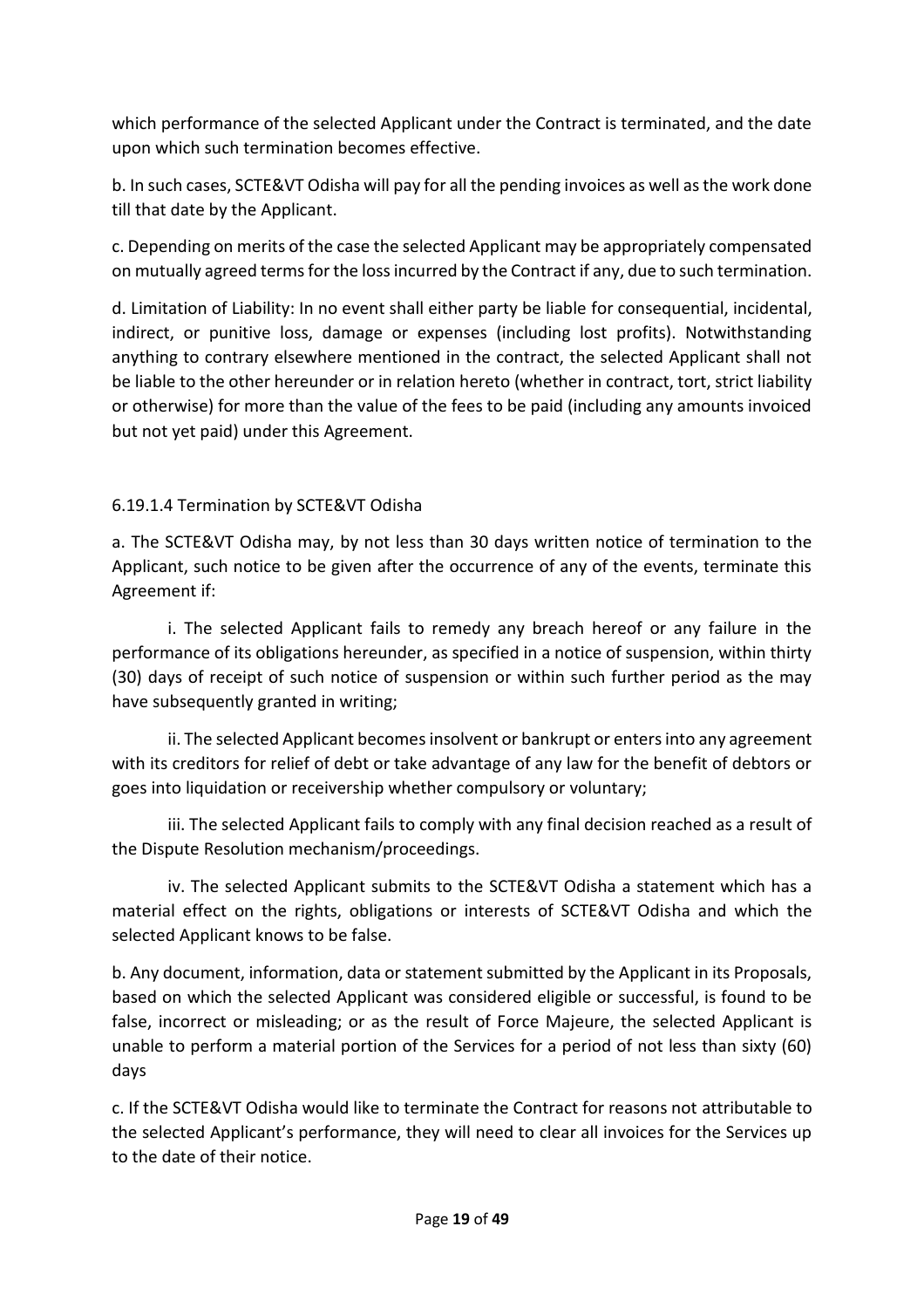which performance of the selected Applicant under the Contract is terminated, and the date upon which such termination becomes effective.

b. In such cases, SCTE&VT Odisha will pay for all the pending invoices as well as the work done till that date by the Applicant.

c. Depending on merits of the case the selected Applicant may be appropriately compensated on mutually agreed terms for the loss incurred by the Contract if any, due to such termination.

d. Limitation of Liability: In no event shall either party be liable for consequential, incidental, indirect, or punitive loss, damage or expenses (including lost profits). Notwithstanding anything to contrary elsewhere mentioned in the contract, the selected Applicant shall not be liable to the other hereunder or in relation hereto (whether in contract, tort, strict liability or otherwise) for more than the value of the fees to be paid (including any amounts invoiced but not yet paid) under this Agreement.

# 6.19.1.4 Termination by SCTE&VT Odisha

a. The SCTE&VT Odisha may, by not less than 30 days written notice of termination to the Applicant, such notice to be given after the occurrence of any of the events, terminate this Agreement if:

i. The selected Applicant fails to remedy any breach hereof or any failure in the performance of its obligations hereunder, as specified in a notice of suspension, within thirty (30) days of receipt of such notice of suspension or within such further period as the may have subsequently granted in writing;

ii. The selected Applicant becomes insolvent or bankrupt or enters into any agreement with its creditors for relief of debt or take advantage of any law for the benefit of debtors or goes into liquidation or receivership whether compulsory or voluntary;

iii. The selected Applicant fails to comply with any final decision reached as a result of the Dispute Resolution mechanism/proceedings.

iv. The selected Applicant submits to the SCTE&VT Odisha a statement which has a material effect on the rights, obligations or interests of SCTE&VT Odisha and which the selected Applicant knows to be false.

b. Any document, information, data or statement submitted by the Applicant in its Proposals, based on which the selected Applicant was considered eligible or successful, is found to be false, incorrect or misleading; or as the result of Force Majeure, the selected Applicant is unable to perform a material portion of the Services for a period of not less than sixty (60) days

c. If the SCTE&VT Odisha would like to terminate the Contract for reasons not attributable to the selected Applicant's performance, they will need to clear all invoices for the Services up to the date of their notice.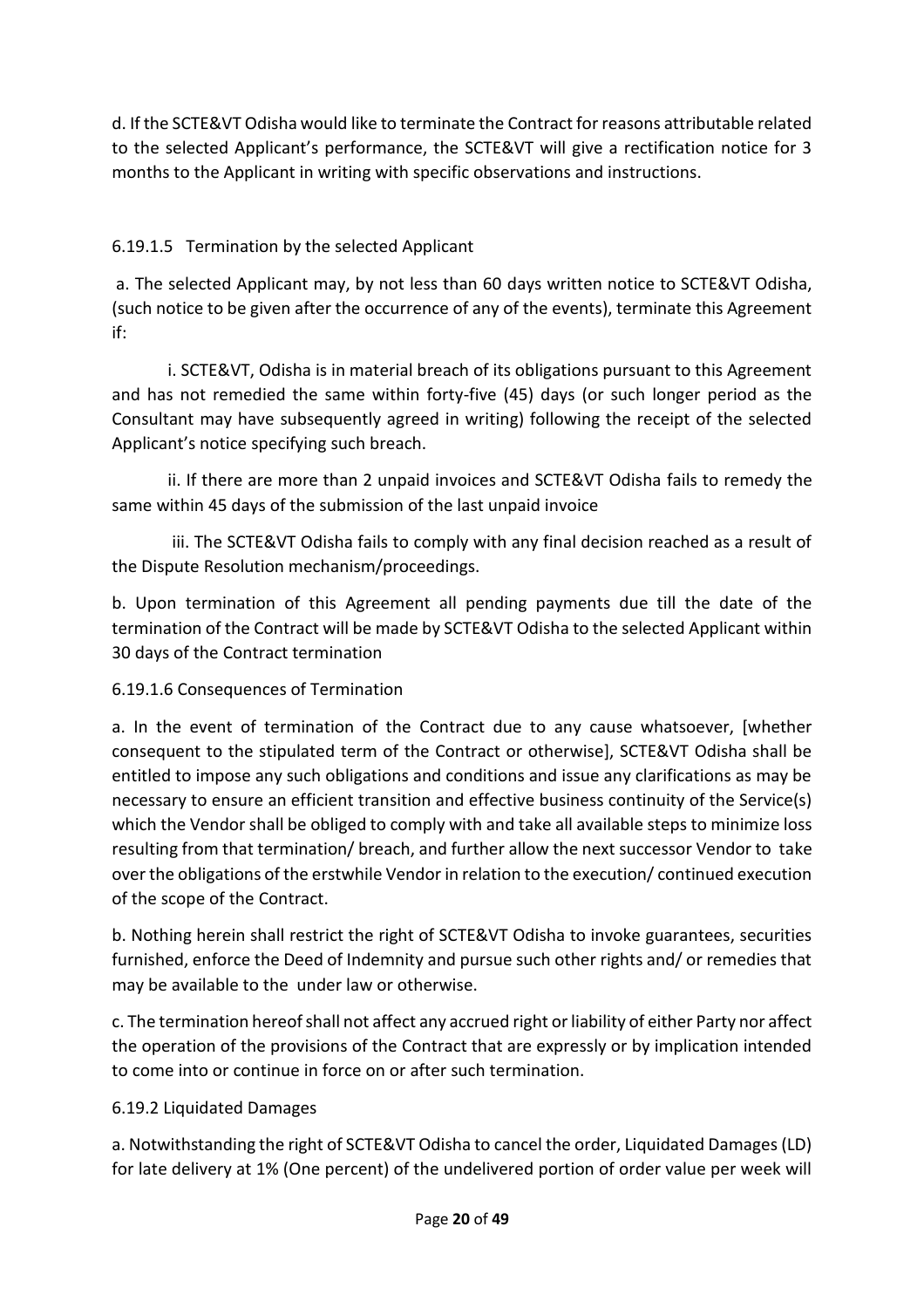d. If the SCTE&VT Odisha would like to terminate the Contract for reasons attributable related to the selected Applicant's performance, the SCTE&VT will give a rectification notice for 3 months to the Applicant in writing with specific observations and instructions.

# 6.19.1.5 Termination by the selected Applicant

a. The selected Applicant may, by not less than 60 days written notice to SCTE&VT Odisha, (such notice to be given after the occurrence of any of the events), terminate this Agreement if:

i. SCTE&VT, Odisha is in material breach of its obligations pursuant to this Agreement and has not remedied the same within forty-five (45) days (or such longer period as the Consultant may have subsequently agreed in writing) following the receipt of the selected Applicant's notice specifying such breach.

ii. If there are more than 2 unpaid invoices and SCTE&VT Odisha fails to remedy the same within 45 days of the submission of the last unpaid invoice

iii. The SCTE&VT Odisha fails to comply with any final decision reached as a result of the Dispute Resolution mechanism/proceedings.

b. Upon termination of this Agreement all pending payments due till the date of the termination of the Contract will be made by SCTE&VT Odisha to the selected Applicant within 30 days of the Contract termination

# 6.19.1.6 Consequences of Termination

a. In the event of termination of the Contract due to any cause whatsoever, [whether consequent to the stipulated term of the Contract or otherwise], SCTE&VT Odisha shall be entitled to impose any such obligations and conditions and issue any clarifications as may be necessary to ensure an efficient transition and effective business continuity of the Service(s) which the Vendor shall be obliged to comply with and take all available steps to minimize loss resulting from that termination/ breach, and further allow the next successor Vendor to take over the obligations of the erstwhile Vendor in relation to the execution/ continued execution of the scope of the Contract.

b. Nothing herein shall restrict the right of SCTE&VT Odisha to invoke guarantees, securities furnished, enforce the Deed of Indemnity and pursue such other rights and/ or remedies that may be available to the under law or otherwise.

c. The termination hereof shall not affect any accrued right or liability of either Party nor affect the operation of the provisions of the Contract that are expressly or by implication intended to come into or continue in force on or after such termination.

# 6.19.2 Liquidated Damages

a. Notwithstanding the right of SCTE&VT Odisha to cancel the order, Liquidated Damages (LD) for late delivery at 1% (One percent) of the undelivered portion of order value per week will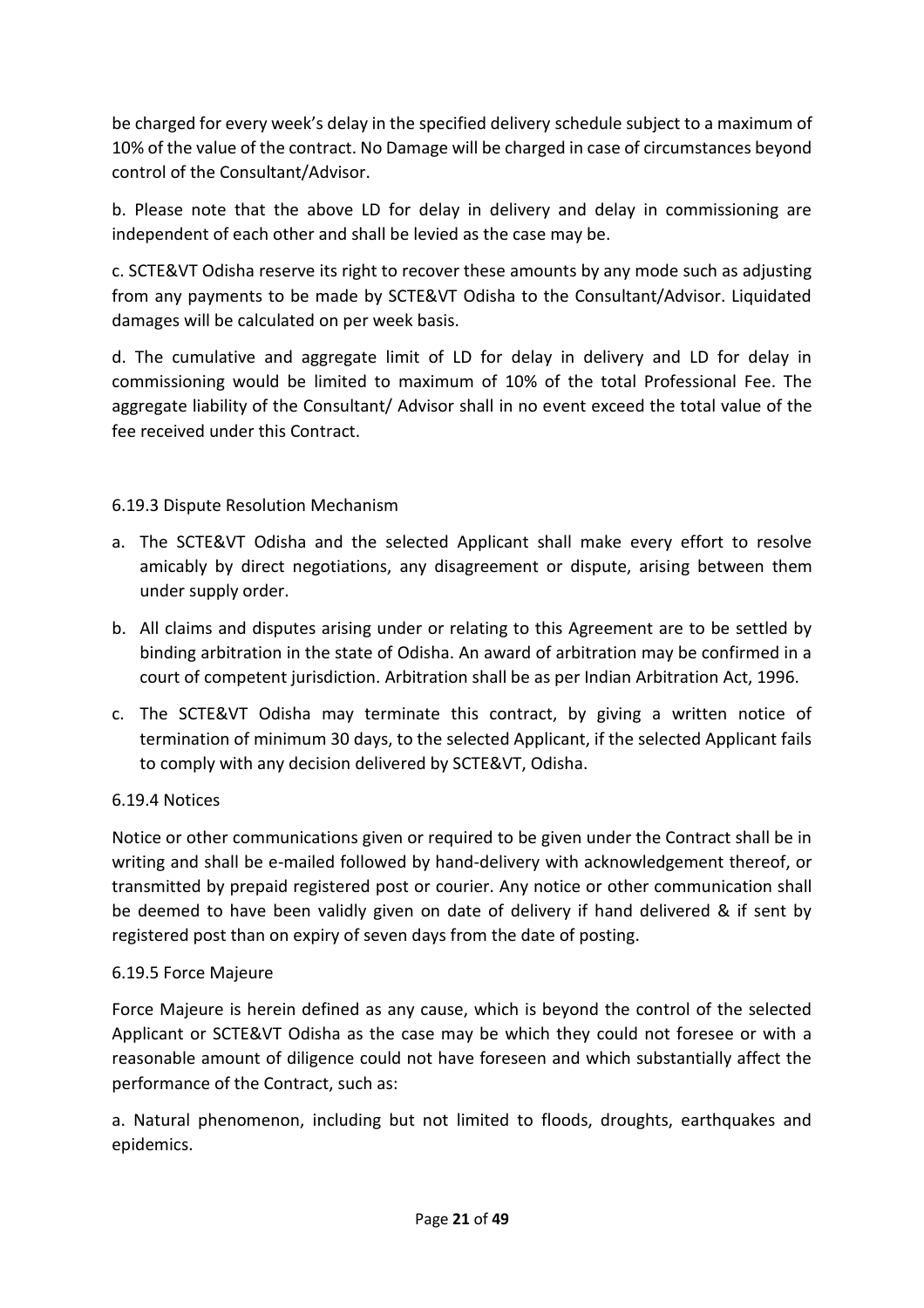be charged for every week's delay in the specified delivery schedule subject to a maximum of 10% of the value of the contract. No Damage will be charged in case of circumstances beyond control of the Consultant/Advisor.

b. Please note that the above LD for delay in delivery and delay in commissioning are independent of each other and shall be levied as the case may be.

c. SCTE&VT Odisha reserve its right to recover these amounts by any mode such as adjusting from any payments to be made by SCTE&VT Odisha to the Consultant/Advisor. Liquidated damages will be calculated on per week basis.

d. The cumulative and aggregate limit of LD for delay in delivery and LD for delay in commissioning would be limited to maximum of 10% of the total Professional Fee. The aggregate liability of the Consultant/ Advisor shall in no event exceed the total value of the fee received under this Contract.

# 6.19.3 Dispute Resolution Mechanism

- a. The SCTE&VT Odisha and the selected Applicant shall make every effort to resolve amicably by direct negotiations, any disagreement or dispute, arising between them under supply order.
- b. All claims and disputes arising under or relating to this Agreement are to be settled by binding arbitration in the state of Odisha. An award of arbitration may be confirmed in a court of competent jurisdiction. Arbitration shall be as per Indian Arbitration Act, 1996.
- c. The SCTE&VT Odisha may terminate this contract, by giving a written notice of termination of minimum 30 days, to the selected Applicant, if the selected Applicant fails to comply with any decision delivered by SCTE&VT, Odisha.

# 6.19.4 Notices

Notice or other communications given or required to be given under the Contract shall be in writing and shall be e-mailed followed by hand-delivery with acknowledgement thereof, or transmitted by prepaid registered post or courier. Any notice or other communication shall be deemed to have been validly given on date of delivery if hand delivered & if sent by registered post than on expiry of seven days from the date of posting.

#### 6.19.5 Force Majeure

Force Majeure is herein defined as any cause, which is beyond the control of the selected Applicant or SCTE&VT Odisha as the case may be which they could not foresee or with a reasonable amount of diligence could not have foreseen and which substantially affect the performance of the Contract, such as:

a. Natural phenomenon, including but not limited to floods, droughts, earthquakes and epidemics.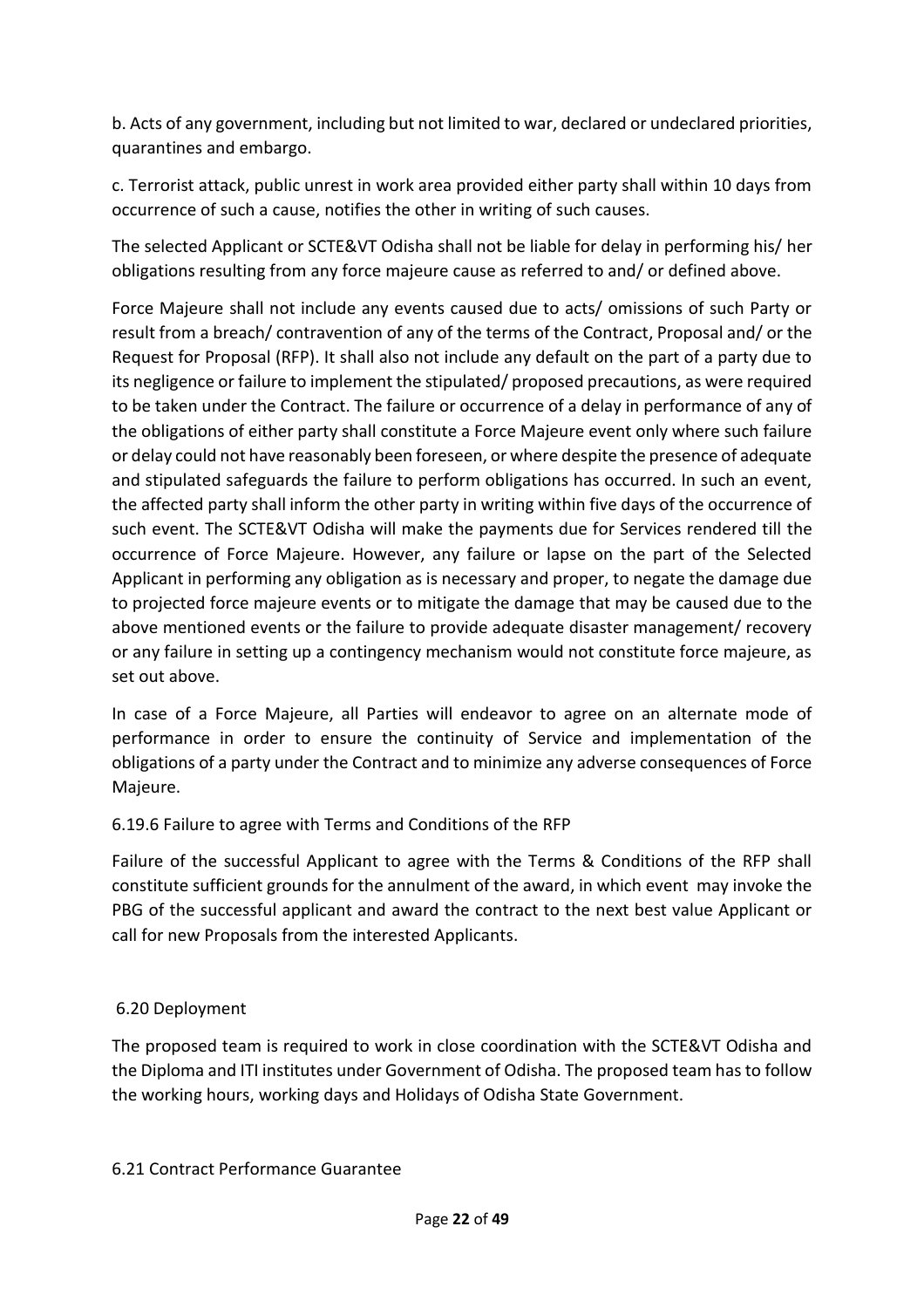b. Acts of any government, including but not limited to war, declared or undeclared priorities, quarantines and embargo.

c. Terrorist attack, public unrest in work area provided either party shall within 10 days from occurrence of such a cause, notifies the other in writing of such causes.

The selected Applicant or SCTE&VT Odisha shall not be liable for delay in performing his/ her obligations resulting from any force majeure cause as referred to and/ or defined above.

Force Majeure shall not include any events caused due to acts/ omissions of such Party or result from a breach/ contravention of any of the terms of the Contract, Proposal and/ or the Request for Proposal (RFP). It shall also not include any default on the part of a party due to its negligence or failure to implement the stipulated/ proposed precautions, as were required to be taken under the Contract. The failure or occurrence of a delay in performance of any of the obligations of either party shall constitute a Force Majeure event only where such failure or delay could not have reasonably been foreseen, or where despite the presence of adequate and stipulated safeguards the failure to perform obligations has occurred. In such an event, the affected party shall inform the other party in writing within five days of the occurrence of such event. The SCTE&VT Odisha will make the payments due for Services rendered till the occurrence of Force Majeure. However, any failure or lapse on the part of the Selected Applicant in performing any obligation as is necessary and proper, to negate the damage due to projected force majeure events or to mitigate the damage that may be caused due to the above mentioned events or the failure to provide adequate disaster management/ recovery or any failure in setting up a contingency mechanism would not constitute force majeure, as set out above.

In case of a Force Majeure, all Parties will endeavor to agree on an alternate mode of performance in order to ensure the continuity of Service and implementation of the obligations of a party under the Contract and to minimize any adverse consequences of Force Majeure.

# 6.19.6 Failure to agree with Terms and Conditions of the RFP

Failure of the successful Applicant to agree with the Terms & Conditions of the RFP shall constitute sufficient grounds for the annulment of the award, in which event may invoke the PBG of the successful applicant and award the contract to the next best value Applicant or call for new Proposals from the interested Applicants.

# 6.20 Deployment

The proposed team is required to work in close coordination with the SCTE&VT Odisha and the Diploma and ITI institutes under Government of Odisha. The proposed team has to follow the working hours, working days and Holidays of Odisha State Government.

#### 6.21 Contract Performance Guarantee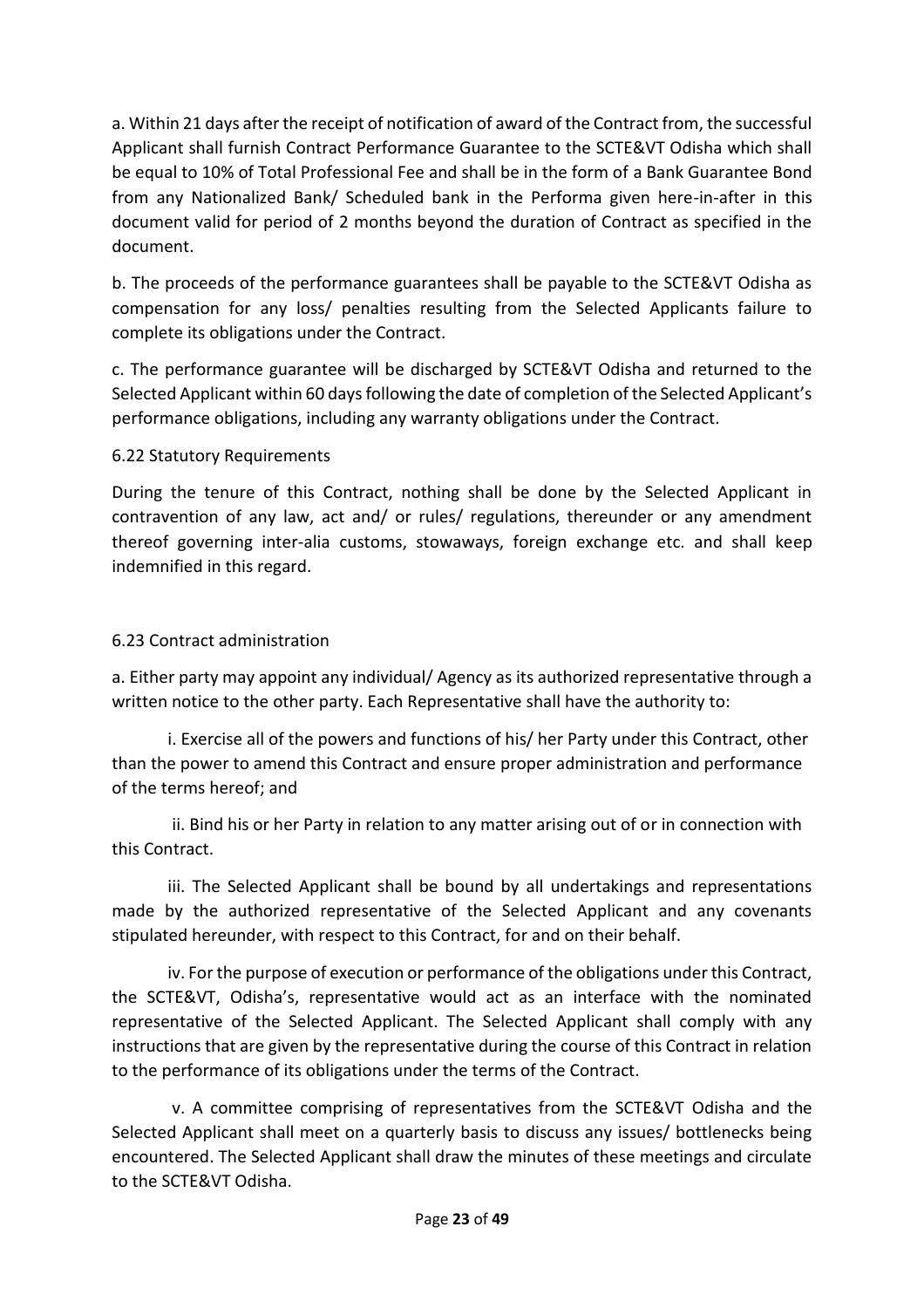a. Within 21 days after the receipt of notification of award of the Contract from, the successful Applicant shall furnish Contract Performance Guarantee to the SCTE&VT Odisha which shall be equal to 10% of Total Professional Fee and shall be in the form of a Bank Guarantee Bond from any Nationalized Bank/ Scheduled bank in the Performa given here-in-after in this document valid for period of 2 months beyond the duration of Contract as specified in the document.

b. The proceeds of the performance guarantees shall be payable to the SCTE&VT Odisha as compensation for any loss/ penalties resulting from the Selected Applicants failure to complete its obligations under the Contract.

c. The performance guarantee will be discharged by SCTE&VT Odisha and returned to the Selected Applicant within 60 days following the date of completion of the Selected Applicant's performance obligations, including any warranty obligations under the Contract.

# 6.22 Statutory Requirements

During the tenure of this Contract, nothing shall be done by the Selected Applicant in contravention of any law, act and/ or rules/ regulations, thereunder or any amendment thereof governing inter-alia customs, stowaways, foreign exchange etc. and shall keep indemnified in this regard.

# 6.23 Contract administration

a. Either party may appoint any individual/ Agency as its authorized representative through a written notice to the other party. Each Representative shall have the authority to:

i. Exercise all of the powers and functions of his/ her Party under this Contract, other than the power to amend this Contract and ensure proper administration and performance of the terms hereof; and

ii. Bind his or her Party in relation to any matter arising out of or in connection with this Contract.

iii. The Selected Applicant shall be bound by all undertakings and representations made by the authorized representative of the Selected Applicant and any covenants stipulated hereunder, with respect to this Contract, for and on their behalf.

iv. For the purpose of execution or performance of the obligations under this Contract, the SCTE&VT, Odisha's, representative would act as an interface with the nominated representative of the Selected Applicant. The Selected Applicant shall comply with any instructions that are given by the representative during the course of this Contract in relation to the performance of its obligations under the terms of the Contract.

v. A committee comprising of representatives from the SCTE&VT Odisha and the Selected Applicant shall meet on a quarterly basis to discuss any issues/ bottlenecks being encountered. The Selected Applicant shall draw the minutes of these meetings and circulate to the SCTE&VT Odisha.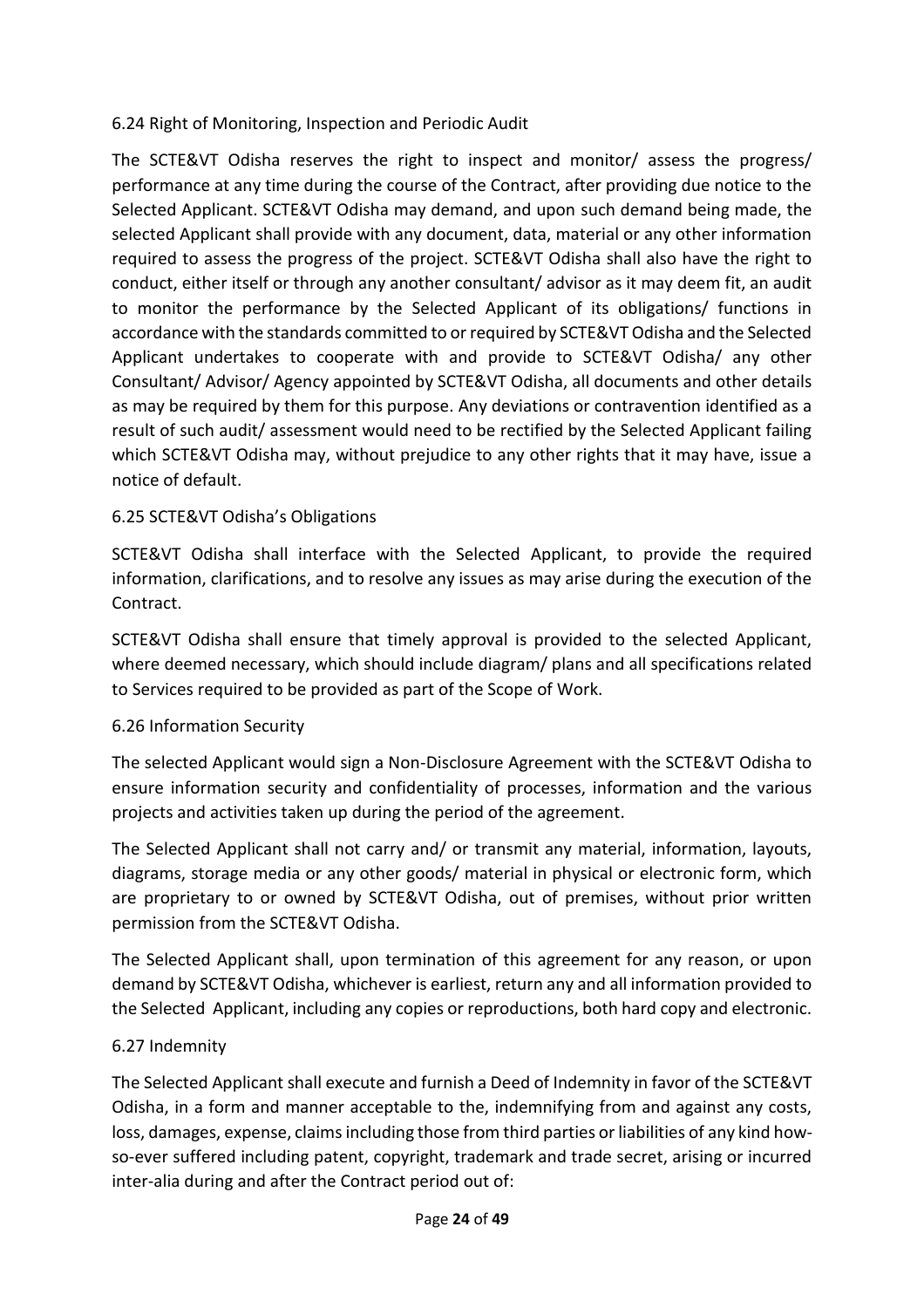# 6.24 Right of Monitoring, Inspection and Periodic Audit

The SCTE&VT Odisha reserves the right to inspect and monitor/ assess the progress/ performance at any time during the course of the Contract, after providing due notice to the Selected Applicant. SCTE&VT Odisha may demand, and upon such demand being made, the selected Applicant shall provide with any document, data, material or any other information required to assess the progress of the project. SCTE&VT Odisha shall also have the right to conduct, either itself or through any another consultant/ advisor as it may deem fit, an audit to monitor the performance by the Selected Applicant of its obligations/ functions in accordance with the standards committed to or required by SCTE&VT Odisha and the Selected Applicant undertakes to cooperate with and provide to SCTE&VT Odisha/ any other Consultant/ Advisor/ Agency appointed by SCTE&VT Odisha, all documents and other details as may be required by them for this purpose. Any deviations or contravention identified as a result of such audit/ assessment would need to be rectified by the Selected Applicant failing which SCTE&VT Odisha may, without prejudice to any other rights that it may have, issue a notice of default.

# 6.25 SCTE&VT Odisha's Obligations

SCTE&VT Odisha shall interface with the Selected Applicant, to provide the required information, clarifications, and to resolve any issues as may arise during the execution of the Contract.

SCTE&VT Odisha shall ensure that timely approval is provided to the selected Applicant, where deemed necessary, which should include diagram/ plans and all specifications related to Services required to be provided as part of the Scope of Work.

#### 6.26 Information Security

The selected Applicant would sign a Non-Disclosure Agreement with the SCTE&VT Odisha to ensure information security and confidentiality of processes, information and the various projects and activities taken up during the period of the agreement.

The Selected Applicant shall not carry and/ or transmit any material, information, layouts, diagrams, storage media or any other goods/ material in physical or electronic form, which are proprietary to or owned by SCTE&VT Odisha, out of premises, without prior written permission from the SCTE&VT Odisha.

The Selected Applicant shall, upon termination of this agreement for any reason, or upon demand by SCTE&VT Odisha, whichever is earliest, return any and all information provided to the Selected Applicant, including any copies or reproductions, both hard copy and electronic.

#### 6.27 Indemnity

The Selected Applicant shall execute and furnish a Deed of Indemnity in favor of the SCTE&VT Odisha, in a form and manner acceptable to the, indemnifying from and against any costs, loss, damages, expense, claims including those from third parties or liabilities of any kind howso-ever suffered including patent, copyright, trademark and trade secret, arising or incurred inter-alia during and after the Contract period out of: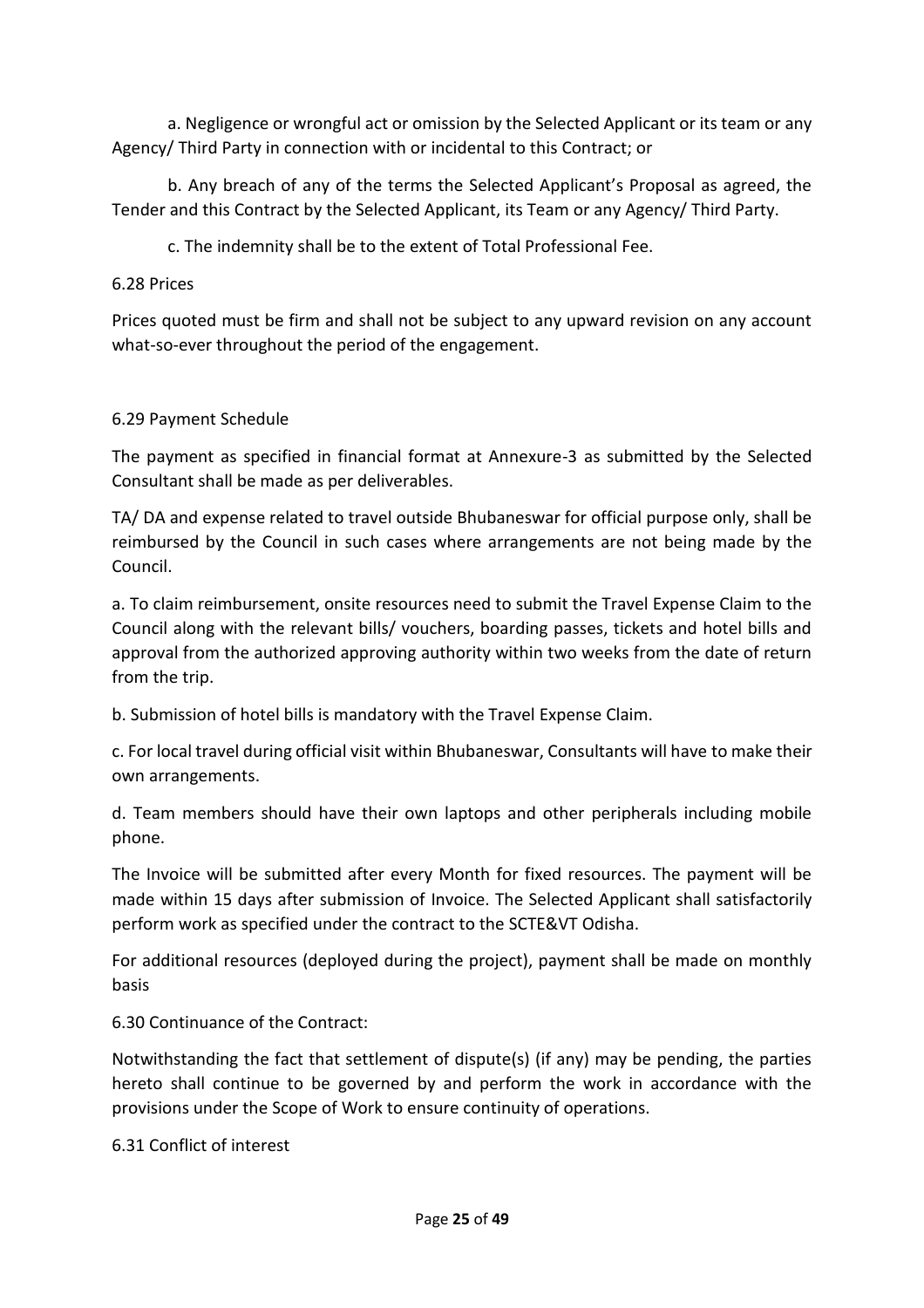a. Negligence or wrongful act or omission by the Selected Applicant or its team or any Agency/ Third Party in connection with or incidental to this Contract; or

b. Any breach of any of the terms the Selected Applicant's Proposal as agreed, the Tender and this Contract by the Selected Applicant, its Team or any Agency/ Third Party.

c. The indemnity shall be to the extent of Total Professional Fee.

#### 6.28 Prices

Prices quoted must be firm and shall not be subject to any upward revision on any account what-so-ever throughout the period of the engagement.

#### 6.29 Payment Schedule

The payment as specified in financial format at Annexure-3 as submitted by the Selected Consultant shall be made as per deliverables.

TA/ DA and expense related to travel outside Bhubaneswar for official purpose only, shall be reimbursed by the Council in such cases where arrangements are not being made by the Council.

a. To claim reimbursement, onsite resources need to submit the Travel Expense Claim to the Council along with the relevant bills/ vouchers, boarding passes, tickets and hotel bills and approval from the authorized approving authority within two weeks from the date of return from the trip.

b. Submission of hotel bills is mandatory with the Travel Expense Claim.

c. For local travel during official visit within Bhubaneswar, Consultants will have to make their own arrangements.

d. Team members should have their own laptops and other peripherals including mobile phone.

The Invoice will be submitted after every Month for fixed resources. The payment will be made within 15 days after submission of Invoice. The Selected Applicant shall satisfactorily perform work as specified under the contract to the SCTE&VT Odisha.

For additional resources (deployed during the project), payment shall be made on monthly basis

6.30 Continuance of the Contract:

Notwithstanding the fact that settlement of dispute(s) (if any) may be pending, the parties hereto shall continue to be governed by and perform the work in accordance with the provisions under the Scope of Work to ensure continuity of operations.

6.31 Conflict of interest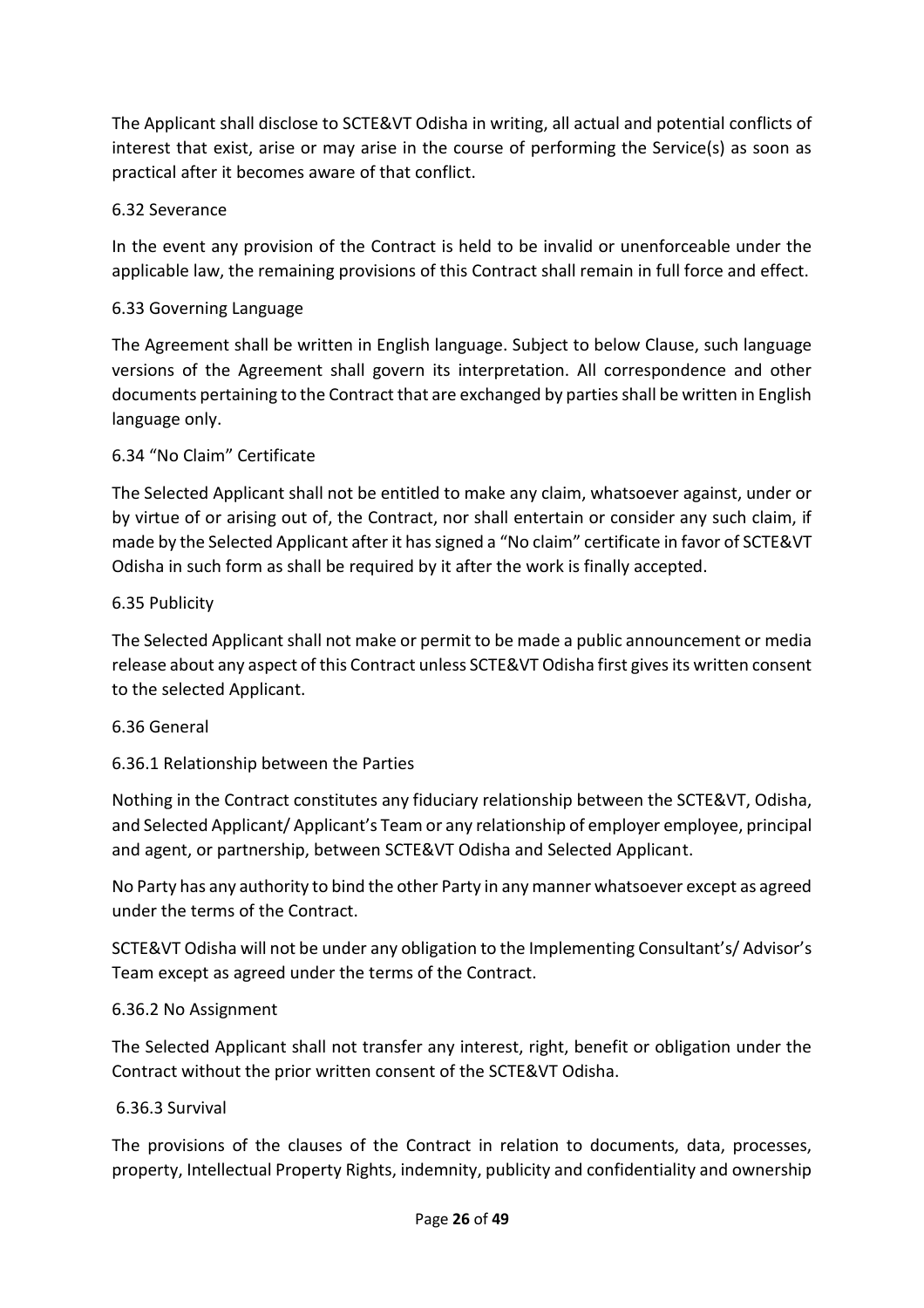The Applicant shall disclose to SCTE&VT Odisha in writing, all actual and potential conflicts of interest that exist, arise or may arise in the course of performing the Service(s) as soon as practical after it becomes aware of that conflict.

# 6.32 Severance

In the event any provision of the Contract is held to be invalid or unenforceable under the applicable law, the remaining provisions of this Contract shall remain in full force and effect.

# 6.33 Governing Language

The Agreement shall be written in English language. Subject to below Clause, such language versions of the Agreement shall govern its interpretation. All correspondence and other documents pertaining to the Contract that are exchanged by parties shall be written in English language only.

# 6.34 "No Claim" Certificate

The Selected Applicant shall not be entitled to make any claim, whatsoever against, under or by virtue of or arising out of, the Contract, nor shall entertain or consider any such claim, if made by the Selected Applicant after it has signed a "No claim" certificate in favor of SCTE&VT Odisha in such form as shall be required by it after the work is finally accepted.

#### 6.35 Publicity

The Selected Applicant shall not make or permit to be made a public announcement or media release about any aspect of this Contract unless SCTE&VT Odisha first gives its written consent to the selected Applicant.

#### 6.36 General

#### 6.36.1 Relationship between the Parties

Nothing in the Contract constitutes any fiduciary relationship between the SCTE&VT, Odisha, and Selected Applicant/ Applicant's Team or any relationship of employer employee, principal and agent, or partnership, between SCTE&VT Odisha and Selected Applicant.

No Party has any authority to bind the other Party in any manner whatsoever except as agreed under the terms of the Contract.

SCTE&VT Odisha will not be under any obligation to the Implementing Consultant's/ Advisor's Team except as agreed under the terms of the Contract.

#### 6.36.2 No Assignment

The Selected Applicant shall not transfer any interest, right, benefit or obligation under the Contract without the prior written consent of the SCTE&VT Odisha.

#### 6.36.3 Survival

The provisions of the clauses of the Contract in relation to documents, data, processes, property, Intellectual Property Rights, indemnity, publicity and confidentiality and ownership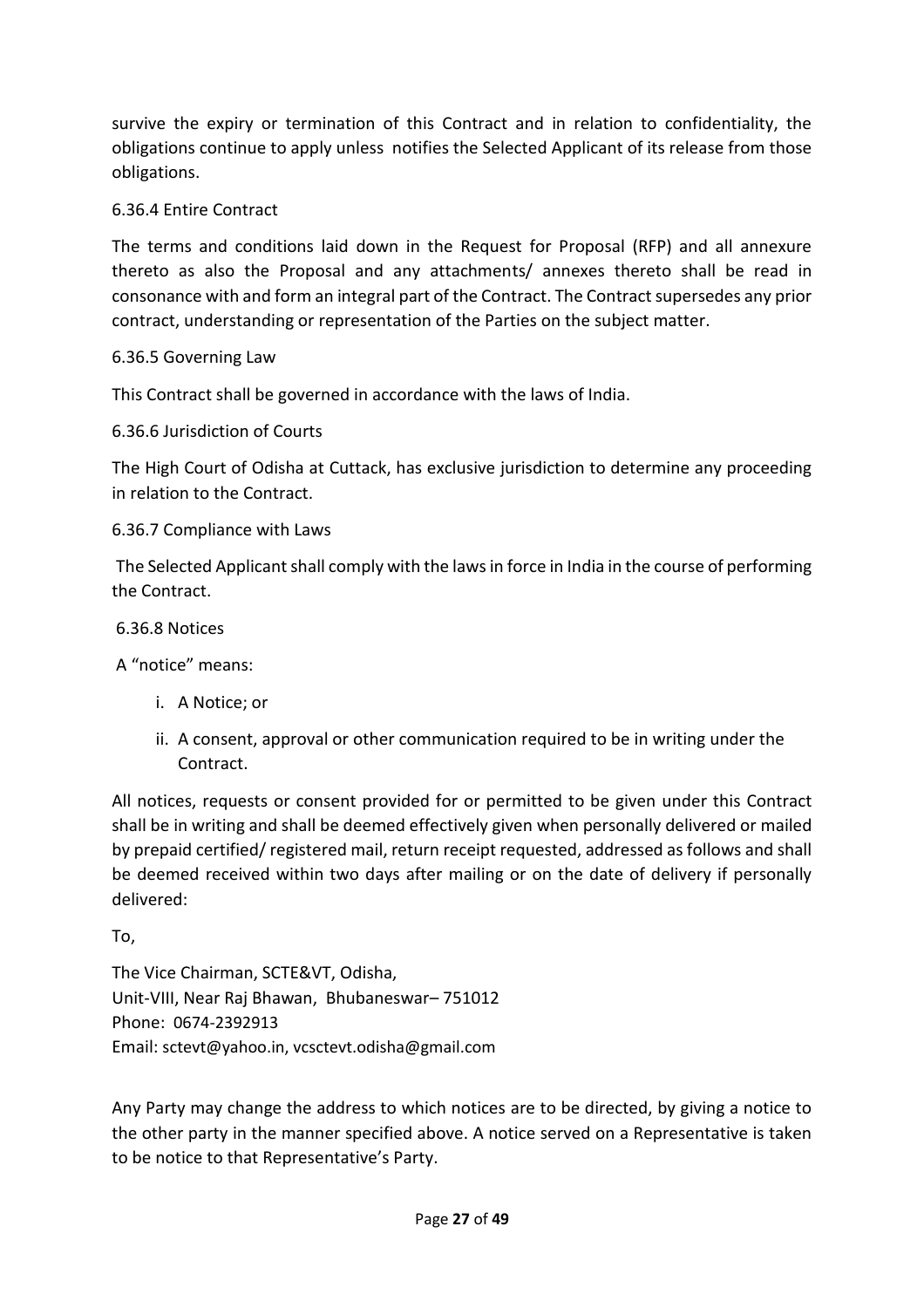survive the expiry or termination of this Contract and in relation to confidentiality, the obligations continue to apply unless notifies the Selected Applicant of its release from those obligations.

# 6.36.4 Entire Contract

The terms and conditions laid down in the Request for Proposal (RFP) and all annexure thereto as also the Proposal and any attachments/ annexes thereto shall be read in consonance with and form an integral part of the Contract. The Contract supersedes any prior contract, understanding or representation of the Parties on the subject matter.

#### 6.36.5 Governing Law

This Contract shall be governed in accordance with the laws of India.

#### 6.36.6 Jurisdiction of Courts

The High Court of Odisha at Cuttack, has exclusive jurisdiction to determine any proceeding in relation to the Contract.

#### 6.36.7 Compliance with Laws

The Selected Applicant shall comply with the laws in force in India in the course of performing the Contract.

#### 6.36.8 Notices

A "notice" means:

- i. A Notice; or
- ii. A consent, approval or other communication required to be in writing under the Contract.

All notices, requests or consent provided for or permitted to be given under this Contract shall be in writing and shall be deemed effectively given when personally delivered or mailed by prepaid certified/ registered mail, return receipt requested, addressed as follows and shall be deemed received within two days after mailing or on the date of delivery if personally delivered:

To,

The Vice Chairman, SCTE&VT, Odisha, Unit-VIII, Near Raj Bhawan, Bhubaneswar– 751012 Phone: 0674-2392913 Email: sctevt@yahoo.in, vcsctevt.odisha@gmail.com

Any Party may change the address to which notices are to be directed, by giving a notice to the other party in the manner specified above. A notice served on a Representative is taken to be notice to that Representative's Party.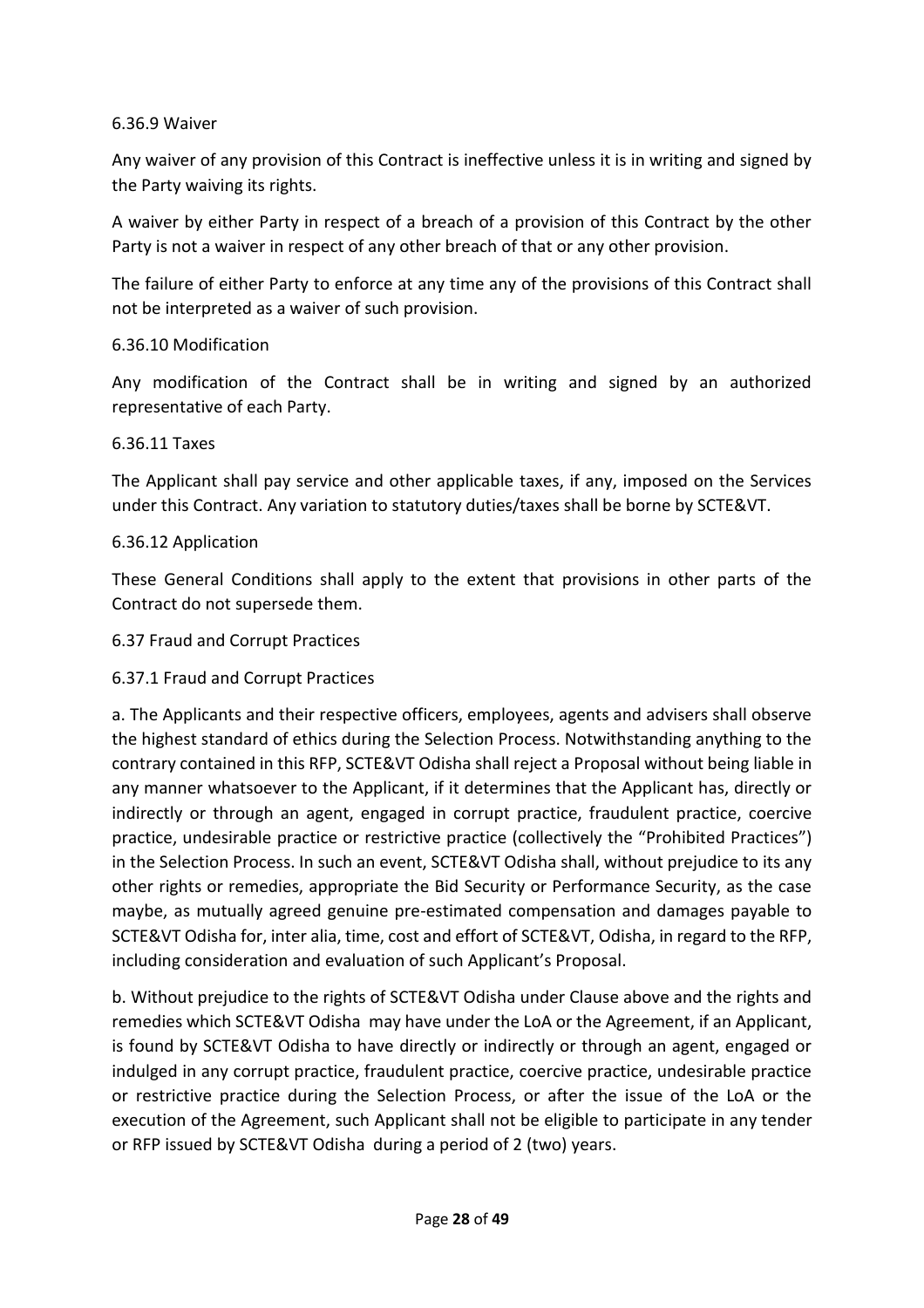#### 6.36.9 Waiver

Any waiver of any provision of this Contract is ineffective unless it is in writing and signed by the Party waiving its rights.

A waiver by either Party in respect of a breach of a provision of this Contract by the other Party is not a waiver in respect of any other breach of that or any other provision.

The failure of either Party to enforce at any time any of the provisions of this Contract shall not be interpreted as a waiver of such provision.

#### 6.36.10 Modification

Any modification of the Contract shall be in writing and signed by an authorized representative of each Party.

#### 6.36.11 Taxes

The Applicant shall pay service and other applicable taxes, if any, imposed on the Services under this Contract. Any variation to statutory duties/taxes shall be borne by SCTE&VT.

#### 6.36.12 Application

These General Conditions shall apply to the extent that provisions in other parts of the Contract do not supersede them.

#### 6.37 Fraud and Corrupt Practices

#### 6.37.1 Fraud and Corrupt Practices

a. The Applicants and their respective officers, employees, agents and advisers shall observe the highest standard of ethics during the Selection Process. Notwithstanding anything to the contrary contained in this RFP, SCTE&VT Odisha shall reject a Proposal without being liable in any manner whatsoever to the Applicant, if it determines that the Applicant has, directly or indirectly or through an agent, engaged in corrupt practice, fraudulent practice, coercive practice, undesirable practice or restrictive practice (collectively the "Prohibited Practices") in the Selection Process. In such an event, SCTE&VT Odisha shall, without prejudice to its any other rights or remedies, appropriate the Bid Security or Performance Security, as the case maybe, as mutually agreed genuine pre-estimated compensation and damages payable to SCTE&VT Odisha for, inter alia, time, cost and effort of SCTE&VT, Odisha, in regard to the RFP, including consideration and evaluation of such Applicant's Proposal.

b. Without prejudice to the rights of SCTE&VT Odisha under Clause above and the rights and remedies which SCTE&VT Odisha may have under the LoA or the Agreement, if an Applicant, is found by SCTE&VT Odisha to have directly or indirectly or through an agent, engaged or indulged in any corrupt practice, fraudulent practice, coercive practice, undesirable practice or restrictive practice during the Selection Process, or after the issue of the LoA or the execution of the Agreement, such Applicant shall not be eligible to participate in any tender or RFP issued by SCTE&VT Odisha during a period of 2 (two) years.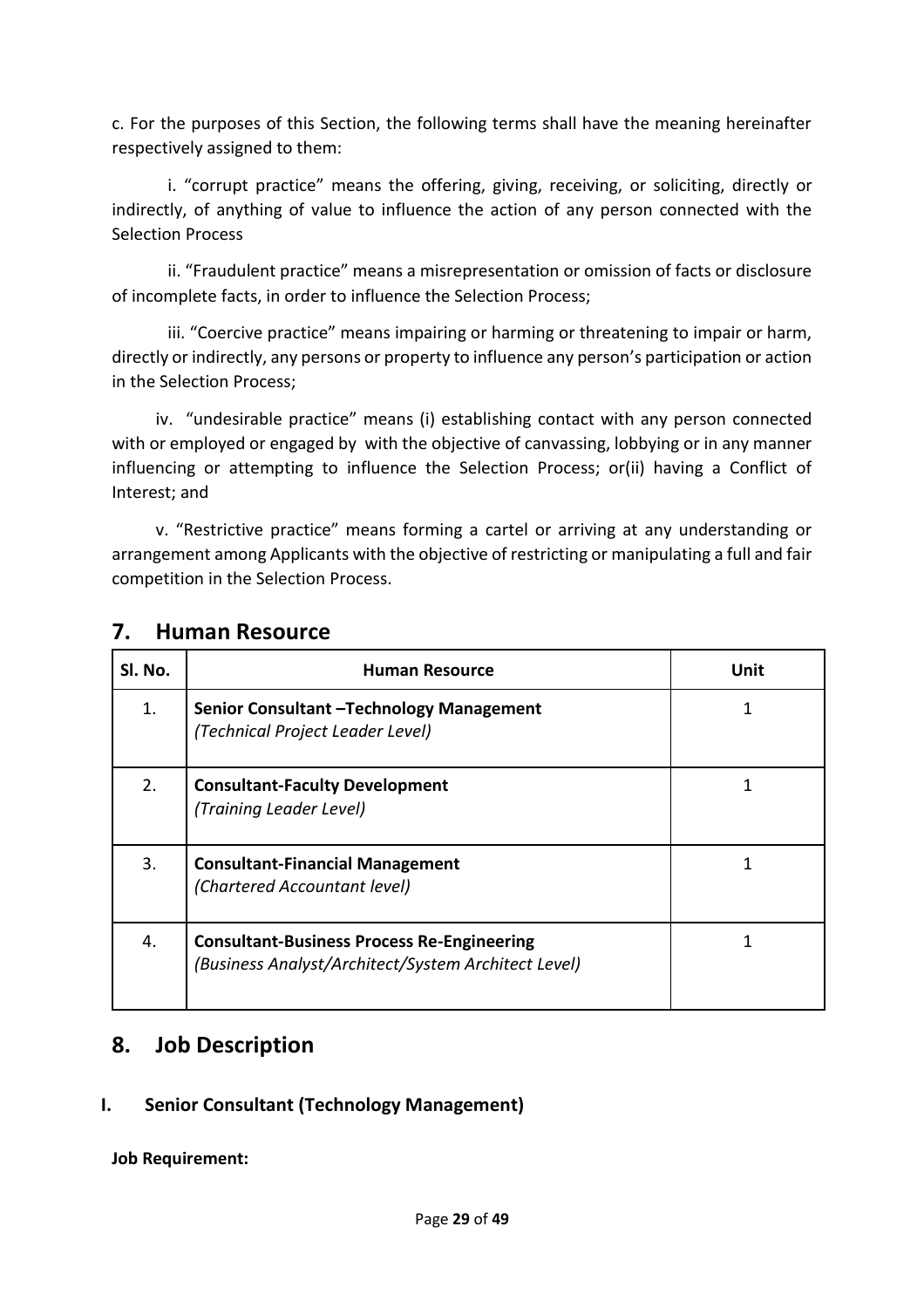c. For the purposes of this Section, the following terms shall have the meaning hereinafter respectively assigned to them:

i. "corrupt practice" means the offering, giving, receiving, or soliciting, directly or indirectly, of anything of value to influence the action of any person connected with the Selection Process

ii. "Fraudulent practice" means a misrepresentation or omission of facts or disclosure of incomplete facts, in order to influence the Selection Process;

iii. "Coercive practice" means impairing or harming or threatening to impair or harm, directly or indirectly, any persons or property to influence any person's participation or action in the Selection Process;

iv. "undesirable practice" means (i) establishing contact with any person connected with or employed or engaged by with the objective of canvassing, lobbying or in any manner influencing or attempting to influence the Selection Process; or(ii) having a Conflict of Interest; and

v. "Restrictive practice" means forming a cartel or arriving at any understanding or arrangement among Applicants with the objective of restricting or manipulating a full and fair competition in the Selection Process.

| SI. No. | <b>Human Resource</b>                                                                                    | Unit |
|---------|----------------------------------------------------------------------------------------------------------|------|
| 1.      | Senior Consultant - Technology Management<br>(Technical Project Leader Level)                            |      |
| 2.      | <b>Consultant-Faculty Development</b><br>(Training Leader Level)                                         |      |
| 3.      | <b>Consultant-Financial Management</b><br>(Chartered Accountant level)                                   |      |
| 4.      | <b>Consultant-Business Process Re-Engineering</b><br>(Business Analyst/Architect/System Architect Level) |      |

# **7. Human Resource**

# **8. Job Description**

# **I. Senior Consultant (Technology Management)**

**Job Requirement:**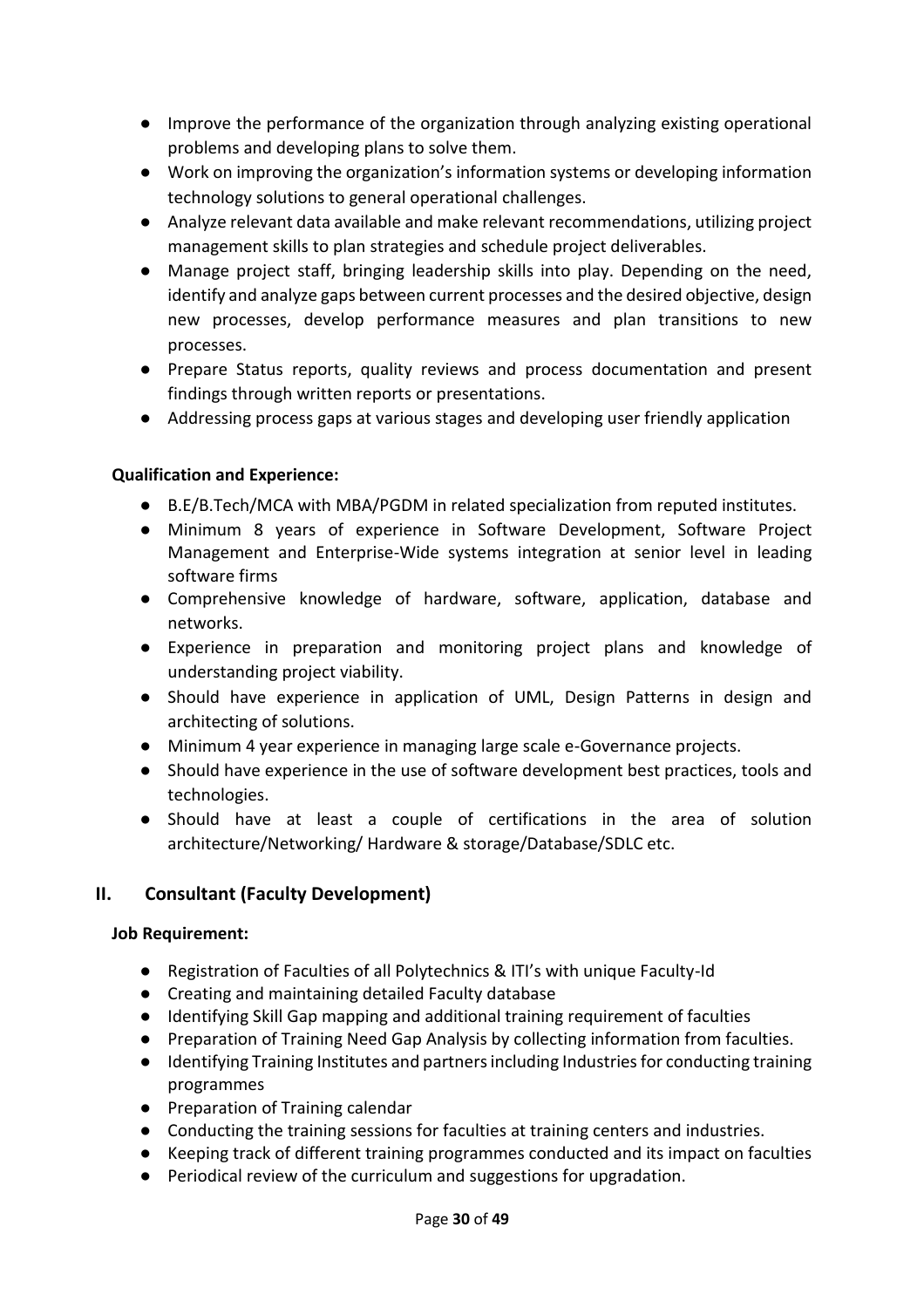- Improve the performance of the organization through analyzing existing operational problems and developing plans to solve them.
- Work on improving the organization's information systems or developing information technology solutions to general operational challenges.
- Analyze relevant data available and make relevant recommendations, utilizing project management skills to plan strategies and schedule project deliverables.
- Manage project staff, bringing leadership skills into play. Depending on the need, identify and analyze gaps between current processes and the desired objective, design new processes, develop performance measures and plan transitions to new processes.
- Prepare Status reports, quality reviews and process documentation and present findings through written reports or presentations.
- Addressing process gaps at various stages and developing user friendly application

# **Qualification and Experience:**

- B.E/B.Tech/MCA with MBA/PGDM in related specialization from reputed institutes.
- Minimum 8 years of experience in Software Development, Software Project Management and Enterprise-Wide systems integration at senior level in leading software firms
- Comprehensive knowledge of hardware, software, application, database and networks.
- Experience in preparation and monitoring project plans and knowledge of understanding project viability.
- Should have experience in application of UML, Design Patterns in design and architecting of solutions.
- Minimum 4 year experience in managing large scale e-Governance projects.
- Should have experience in the use of software development best practices, tools and technologies.
- Should have at least a couple of certifications in the area of solution architecture/Networking/ Hardware & storage/Database/SDLC etc.

# **II. Consultant (Faculty Development)**

#### **Job Requirement:**

- Registration of Faculties of all Polytechnics & ITI's with unique Faculty-Id
- Creating and maintaining detailed Faculty database
- Identifying Skill Gap mapping and additional training requirement of faculties
- Preparation of Training Need Gap Analysis by collecting information from faculties.
- Identifying Training Institutes and partners including Industries for conducting training programmes
- Preparation of Training calendar
- Conducting the training sessions for faculties at training centers and industries.
- Keeping track of different training programmes conducted and its impact on faculties
- Periodical review of the curriculum and suggestions for upgradation.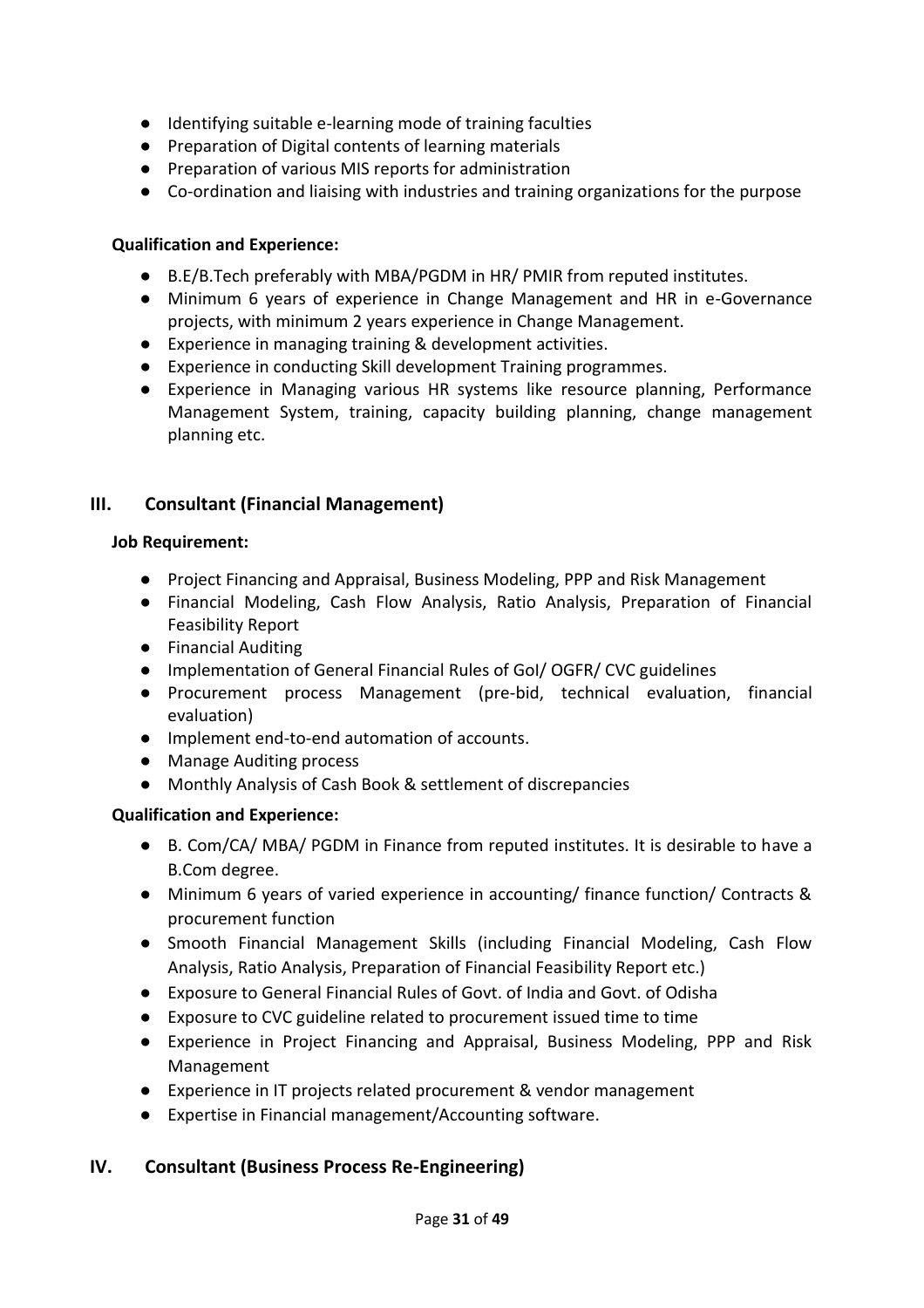- Identifying suitable e-learning mode of training faculties
- Preparation of Digital contents of learning materials
- Preparation of various MIS reports for administration
- Co-ordination and liaising with industries and training organizations for the purpose

#### **Qualification and Experience:**

- B.E/B.Tech preferably with MBA/PGDM in HR/ PMIR from reputed institutes.
- Minimum 6 years of experience in Change Management and HR in e-Governance projects, with minimum 2 years experience in Change Management.
- Experience in managing training & development activities.
- Experience in conducting Skill development Training programmes.
- Experience in Managing various HR systems like resource planning, Performance Management System, training, capacity building planning, change management planning etc.

# **III. Consultant (Financial Management)**

#### **Job Requirement:**

- Project Financing and Appraisal, Business Modeling, PPP and Risk Management
- Financial Modeling, Cash Flow Analysis, Ratio Analysis, Preparation of Financial Feasibility Report
- Financial Auditing
- Implementation of General Financial Rules of GoI/ OGFR/ CVC guidelines
- Procurement process Management (pre-bid, technical evaluation, financial evaluation)
- Implement end-to-end automation of accounts.
- Manage Auditing process
- Monthly Analysis of Cash Book & settlement of discrepancies

#### **Qualification and Experience:**

- B. Com/CA/ MBA/ PGDM in Finance from reputed institutes. It is desirable to have a B.Com degree.
- Minimum 6 years of varied experience in accounting/ finance function/ Contracts & procurement function
- Smooth Financial Management Skills (including Financial Modeling, Cash Flow Analysis, Ratio Analysis, Preparation of Financial Feasibility Report etc.)
- Exposure to General Financial Rules of Govt. of India and Govt. of Odisha
- Exposure to CVC guideline related to procurement issued time to time
- Experience in Project Financing and Appraisal, Business Modeling, PPP and Risk Management
- Experience in IT projects related procurement & vendor management
- Expertise in Financial management/Accounting software.

#### **IV. Consultant (Business Process Re-Engineering)**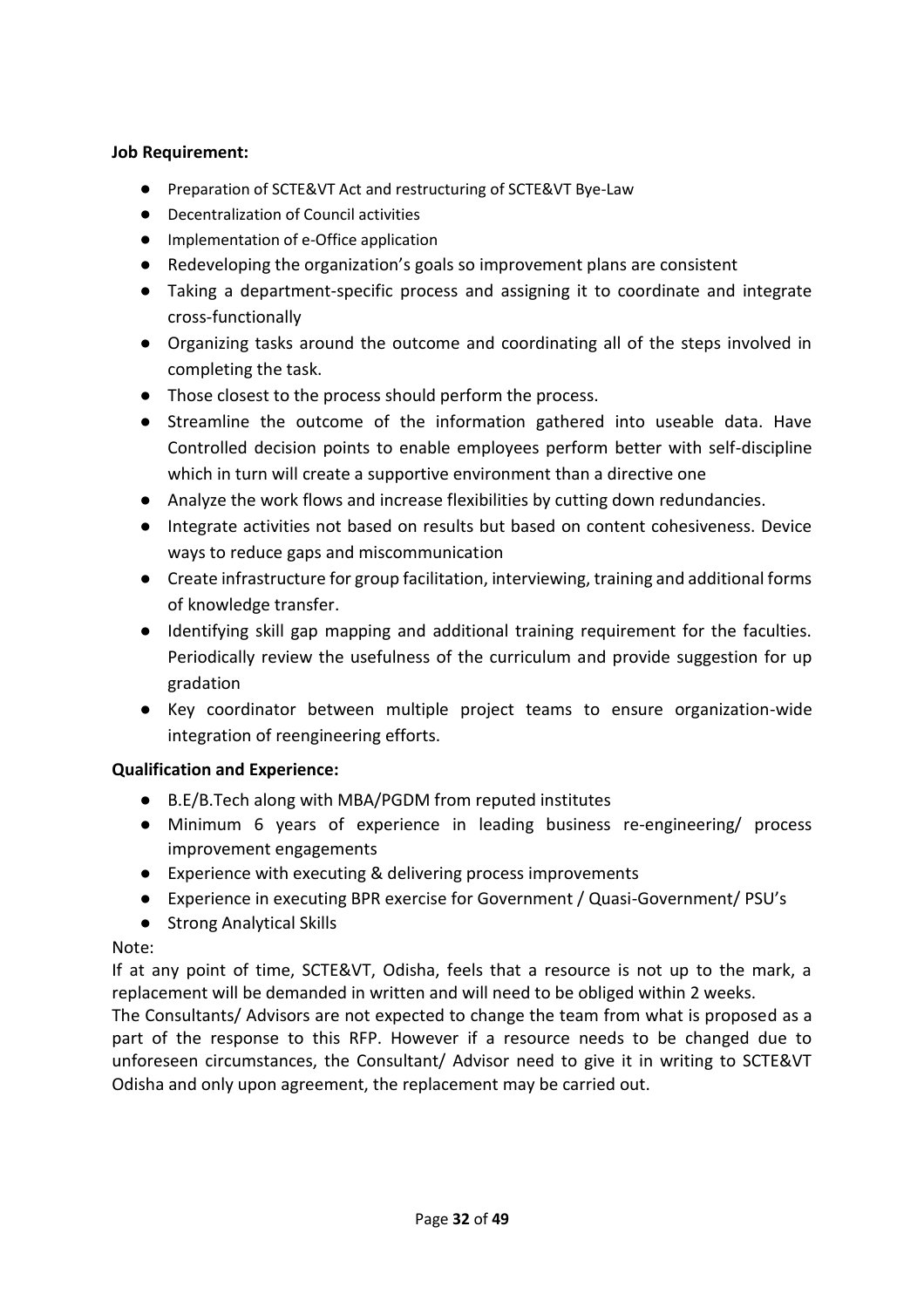#### **Job Requirement:**

- Preparation of SCTE&VT Act and restructuring of SCTE&VT Bye-Law
- Decentralization of Council activities
- Implementation of e-Office application
- Redeveloping the organization's goals so improvement plans are consistent
- Taking a department-specific process and assigning it to coordinate and integrate cross-functionally
- Organizing tasks around the outcome and coordinating all of the steps involved in completing the task.
- Those closest to the process should perform the process.
- Streamline the outcome of the information gathered into useable data. Have Controlled decision points to enable employees perform better with self-discipline which in turn will create a supportive environment than a directive one
- Analyze the work flows and increase flexibilities by cutting down redundancies.
- Integrate activities not based on results but based on content cohesiveness. Device ways to reduce gaps and miscommunication
- Create infrastructure for group facilitation, interviewing, training and additional forms of knowledge transfer.
- Identifying skill gap mapping and additional training requirement for the faculties. Periodically review the usefulness of the curriculum and provide suggestion for up gradation
- Key coordinator between multiple project teams to ensure organization-wide integration of reengineering efforts.

# **Qualification and Experience:**

- B.E/B.Tech along with MBA/PGDM from reputed institutes
- Minimum 6 years of experience in leading business re-engineering/ process improvement engagements
- Experience with executing & delivering process improvements
- Experience in executing BPR exercise for Government / Quasi-Government/ PSU's
- Strong Analytical Skills

#### Note:

If at any point of time, SCTE&VT, Odisha, feels that a resource is not up to the mark, a replacement will be demanded in written and will need to be obliged within 2 weeks.

The Consultants/ Advisors are not expected to change the team from what is proposed as a part of the response to this RFP. However if a resource needs to be changed due to unforeseen circumstances, the Consultant/ Advisor need to give it in writing to SCTE&VT Odisha and only upon agreement, the replacement may be carried out.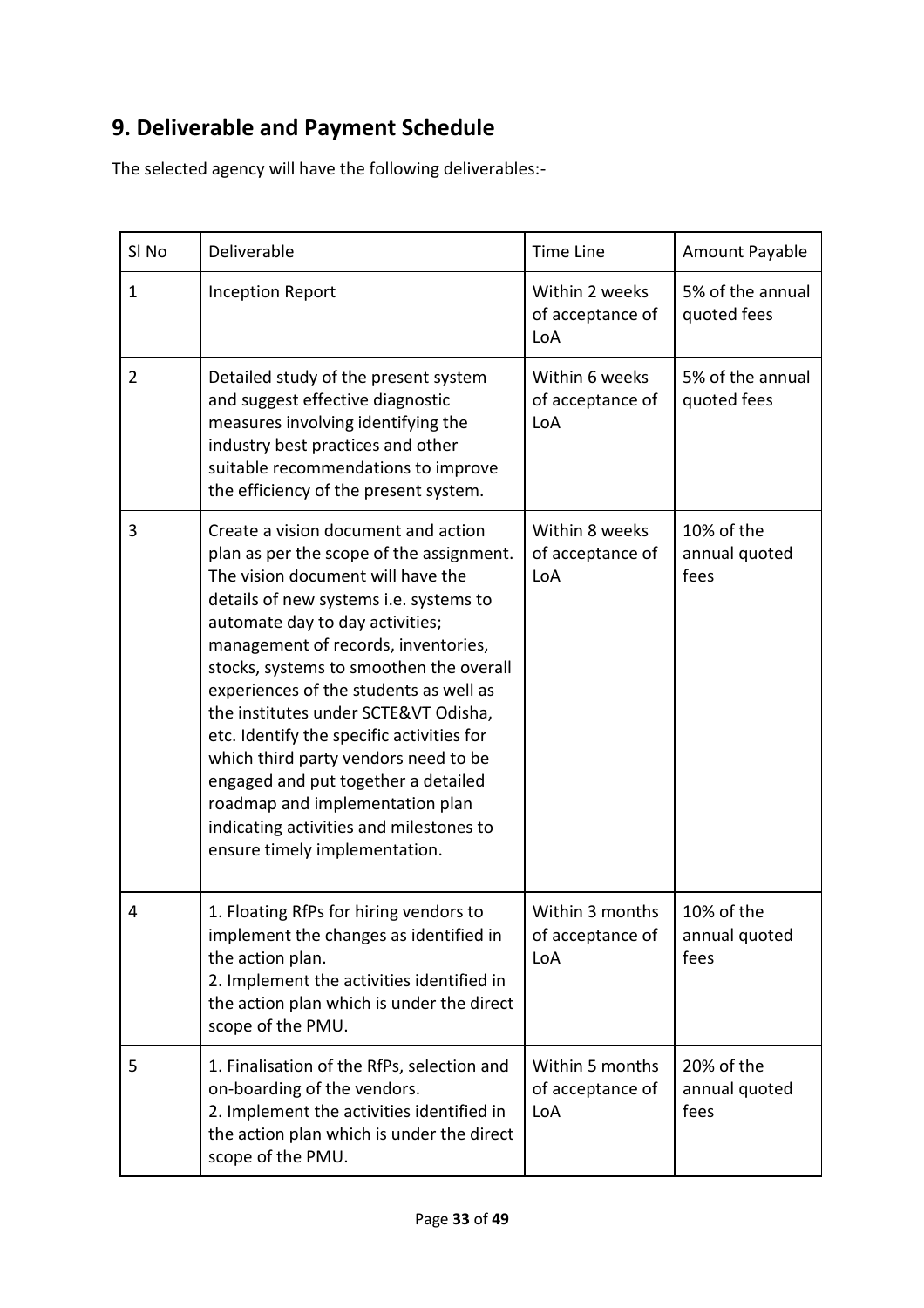# **9. Deliverable and Payment Schedule**

The selected agency will have the following deliverables:-

| SI <sub>No</sub> | Deliverable                                                                                                                                                                                                                                                                                                                                                                                                                                                                                                                                                                                                      | <b>Time Line</b>                           | Amount Payable                      |  |
|------------------|------------------------------------------------------------------------------------------------------------------------------------------------------------------------------------------------------------------------------------------------------------------------------------------------------------------------------------------------------------------------------------------------------------------------------------------------------------------------------------------------------------------------------------------------------------------------------------------------------------------|--------------------------------------------|-------------------------------------|--|
| 1                | <b>Inception Report</b>                                                                                                                                                                                                                                                                                                                                                                                                                                                                                                                                                                                          | Within 2 weeks<br>of acceptance of<br>LoA  | 5% of the annual<br>quoted fees     |  |
| $\overline{2}$   | Detailed study of the present system<br>and suggest effective diagnostic<br>measures involving identifying the<br>industry best practices and other<br>suitable recommendations to improve<br>the efficiency of the present system.                                                                                                                                                                                                                                                                                                                                                                              | Within 6 weeks<br>of acceptance of<br>LoA  | 5% of the annual<br>quoted fees     |  |
| 3                | Create a vision document and action<br>plan as per the scope of the assignment.<br>The vision document will have the<br>details of new systems i.e. systems to<br>automate day to day activities;<br>management of records, inventories,<br>stocks, systems to smoothen the overall<br>experiences of the students as well as<br>the institutes under SCTE&VT Odisha,<br>etc. Identify the specific activities for<br>which third party vendors need to be<br>engaged and put together a detailed<br>roadmap and implementation plan<br>indicating activities and milestones to<br>ensure timely implementation. | Within 8 weeks<br>of acceptance of<br>LoA  | 10% of the<br>annual quoted<br>fees |  |
| 4                | 1. Floating RfPs for hiring vendors to<br>implement the changes as identified in<br>the action plan.<br>2. Implement the activities identified in<br>the action plan which is under the direct<br>scope of the PMU.                                                                                                                                                                                                                                                                                                                                                                                              | Within 3 months<br>of acceptance of<br>LoA | 10% of the<br>annual quoted<br>fees |  |
| 5                | 1. Finalisation of the RfPs, selection and<br>on-boarding of the vendors.<br>2. Implement the activities identified in<br>the action plan which is under the direct<br>scope of the PMU.                                                                                                                                                                                                                                                                                                                                                                                                                         | Within 5 months<br>of acceptance of<br>LoA | 20% of the<br>annual quoted<br>fees |  |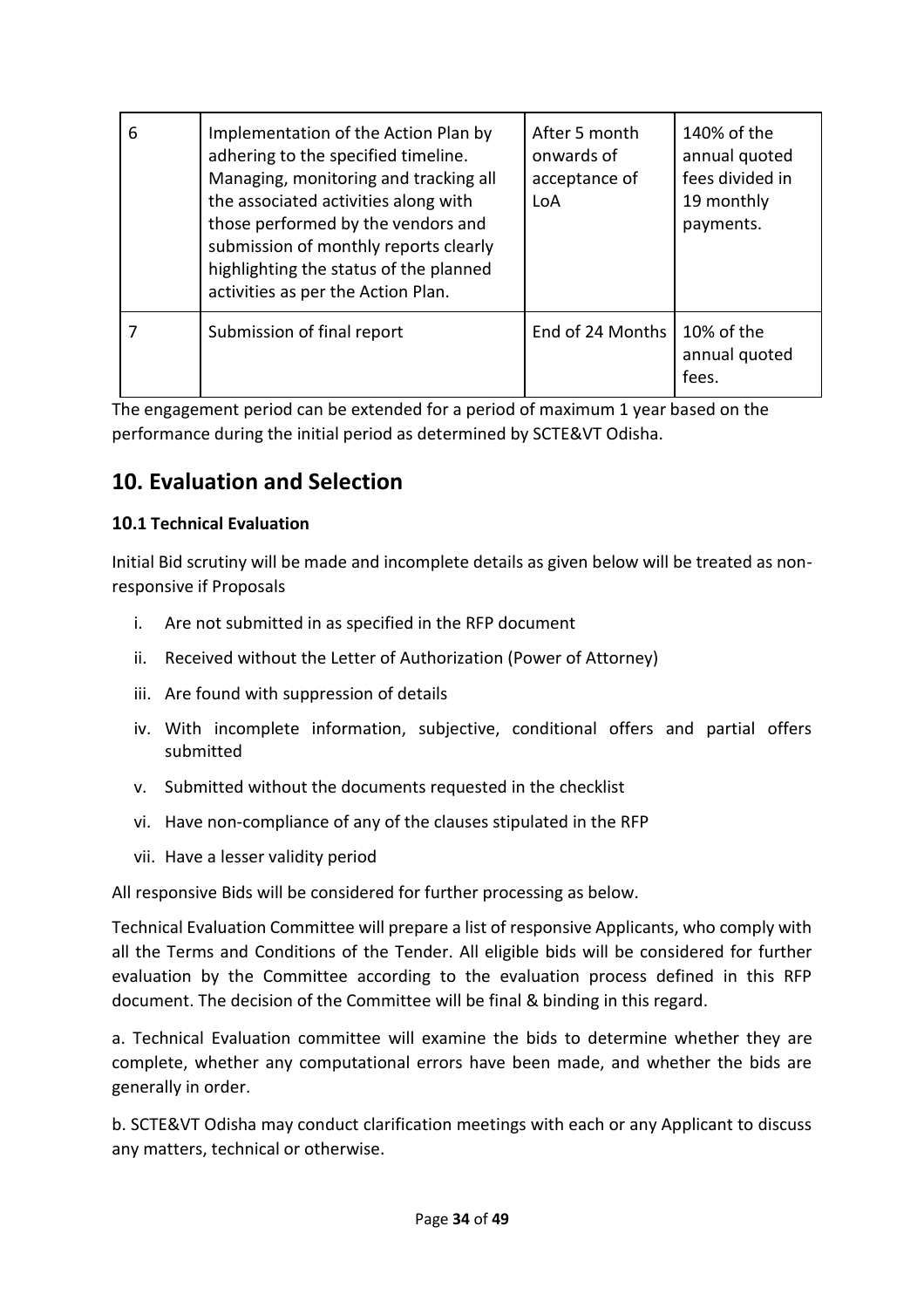| 6 | Implementation of the Action Plan by<br>adhering to the specified timeline.<br>Managing, monitoring and tracking all<br>the associated activities along with<br>those performed by the vendors and<br>submission of monthly reports clearly<br>highlighting the status of the planned<br>activities as per the Action Plan. | After 5 month<br>onwards of<br>acceptance of<br>LoA | 140% of the<br>annual quoted<br>fees divided in<br>19 monthly<br>payments. |
|---|-----------------------------------------------------------------------------------------------------------------------------------------------------------------------------------------------------------------------------------------------------------------------------------------------------------------------------|-----------------------------------------------------|----------------------------------------------------------------------------|
|   | Submission of final report                                                                                                                                                                                                                                                                                                  | End of 24 Months                                    | 10% of the<br>annual quoted<br>fees.                                       |

The engagement period can be extended for a period of maximum 1 year based on the performance during the initial period as determined by SCTE&VT Odisha.

# **10. Evaluation and Selection**

# **10.1 Technical Evaluation**

Initial Bid scrutiny will be made and incomplete details as given below will be treated as nonresponsive if Proposals

- i. Are not submitted in as specified in the RFP document
- ii. Received without the Letter of Authorization (Power of Attorney)
- iii. Are found with suppression of details
- iv. With incomplete information, subjective, conditional offers and partial offers submitted
- v. Submitted without the documents requested in the checklist
- vi. Have non-compliance of any of the clauses stipulated in the RFP
- vii. Have a lesser validity period

All responsive Bids will be considered for further processing as below.

Technical Evaluation Committee will prepare a list of responsive Applicants, who comply with all the Terms and Conditions of the Tender. All eligible bids will be considered for further evaluation by the Committee according to the evaluation process defined in this RFP document. The decision of the Committee will be final & binding in this regard.

a. Technical Evaluation committee will examine the bids to determine whether they are complete, whether any computational errors have been made, and whether the bids are generally in order.

b. SCTE&VT Odisha may conduct clarification meetings with each or any Applicant to discuss any matters, technical or otherwise.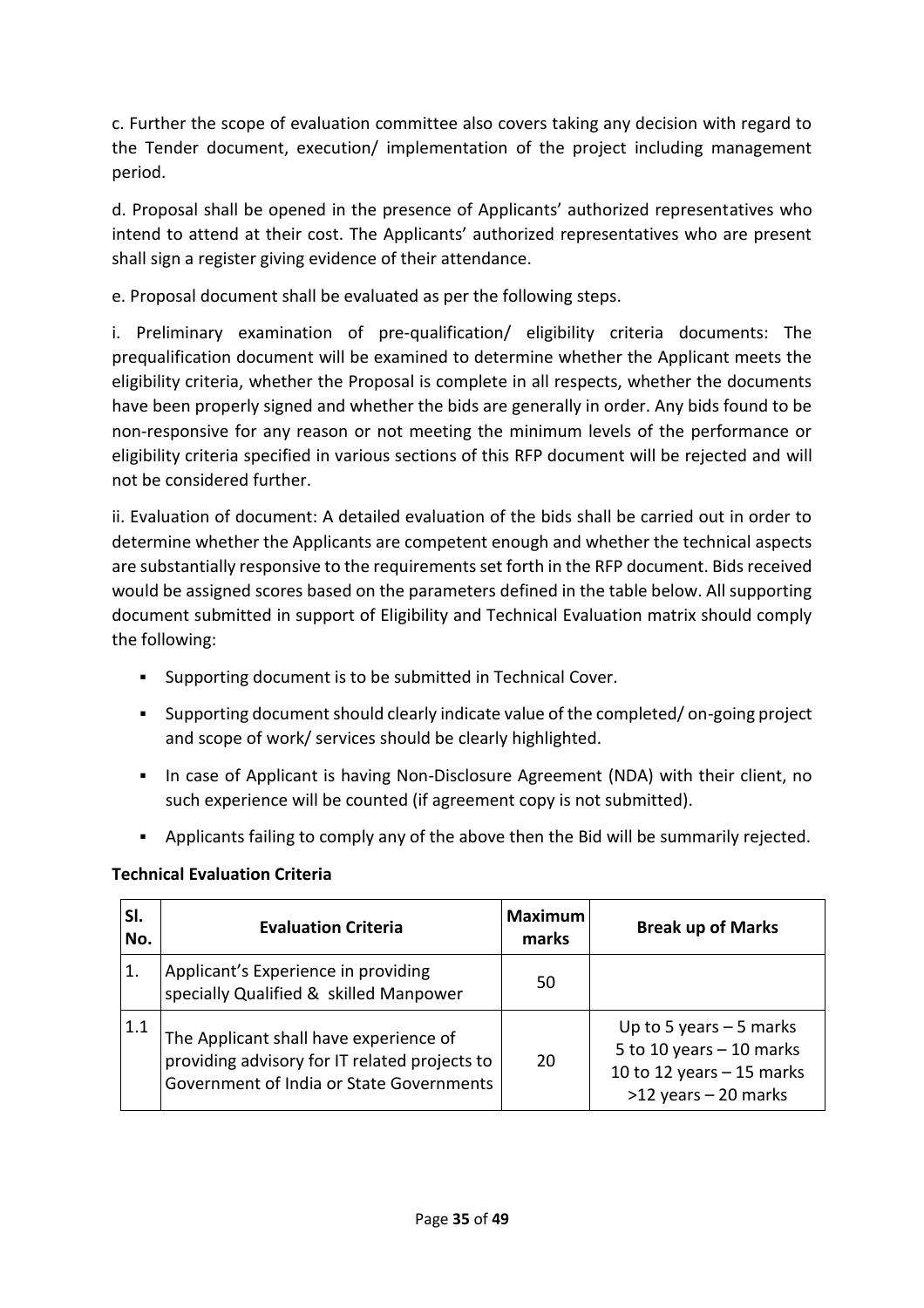c. Further the scope of evaluation committee also covers taking any decision with regard to the Tender document, execution/ implementation of the project including management period.

d. Proposal shall be opened in the presence of Applicants' authorized representatives who intend to attend at their cost. The Applicants' authorized representatives who are present shall sign a register giving evidence of their attendance.

e. Proposal document shall be evaluated as per the following steps.

i. Preliminary examination of pre-qualification/ eligibility criteria documents: The prequalification document will be examined to determine whether the Applicant meets the eligibility criteria, whether the Proposal is complete in all respects, whether the documents have been properly signed and whether the bids are generally in order. Any bids found to be non-responsive for any reason or not meeting the minimum levels of the performance or eligibility criteria specified in various sections of this RFP document will be rejected and will not be considered further.

ii. Evaluation of document: A detailed evaluation of the bids shall be carried out in order to determine whether the Applicants are competent enough and whether the technical aspects are substantially responsive to the requirements set forth in the RFP document. Bids received would be assigned scores based on the parameters defined in the table below. All supporting document submitted in support of Eligibility and Technical Evaluation matrix should comply the following:

- Supporting document is to be submitted in Technical Cover.
- Supporting document should clearly indicate value of the completed/ on-going project and scope of work/ services should be clearly highlighted.
- **•** In case of Applicant is having Non-Disclosure Agreement (NDA) with their client, no such experience will be counted (if agreement copy is not submitted).
- Applicants failing to comply any of the above then the Bid will be summarily rejected.

# **Technical Evaluation Criteria**

| SI.<br>No. | <b>Evaluation Criteria</b>                                                                                                          | <b>Maximum</b><br>marks | <b>Break up of Marks</b>                                                                                        |
|------------|-------------------------------------------------------------------------------------------------------------------------------------|-------------------------|-----------------------------------------------------------------------------------------------------------------|
|            | Applicant's Experience in providing<br>specially Qualified & skilled Manpower                                                       | 50                      |                                                                                                                 |
| 1.1        | The Applicant shall have experience of<br>providing advisory for IT related projects to<br>Government of India or State Governments | 20                      | Up to 5 years $-5$ marks<br>5 to 10 years $-$ 10 marks<br>10 to 12 years $-$ 15 marks<br>$>12$ years - 20 marks |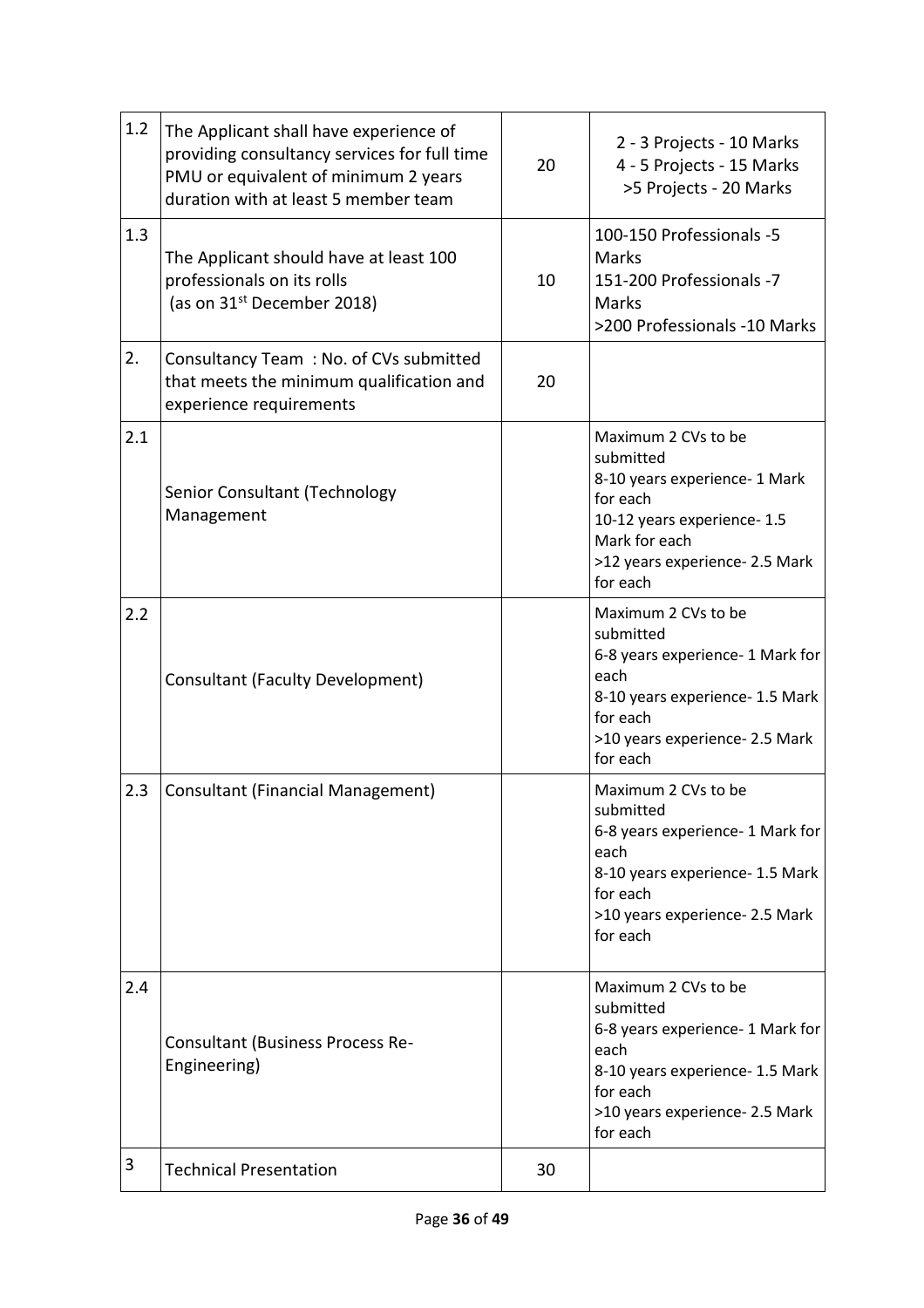| 1.2 | The Applicant shall have experience of<br>providing consultancy services for full time<br>PMU or equivalent of minimum 2 years<br>duration with at least 5 member team | 20 | 2 - 3 Projects - 10 Marks<br>4 - 5 Projects - 15 Marks<br>>5 Projects - 20 Marks                                                                                            |
|-----|------------------------------------------------------------------------------------------------------------------------------------------------------------------------|----|-----------------------------------------------------------------------------------------------------------------------------------------------------------------------------|
| 1.3 | The Applicant should have at least 100<br>professionals on its rolls<br>(as on 31 <sup>st</sup> December 2018)                                                         | 10 | 100-150 Professionals -5<br><b>Marks</b><br>151-200 Professionals -7<br><b>Marks</b><br>>200 Professionals -10 Marks                                                        |
| 2.  | Consultancy Team: No. of CVs submitted<br>that meets the minimum qualification and<br>experience requirements                                                          | 20 |                                                                                                                                                                             |
| 2.1 | Senior Consultant (Technology<br>Management                                                                                                                            |    | Maximum 2 CVs to be<br>submitted<br>8-10 years experience- 1 Mark<br>for each<br>10-12 years experience- 1.5<br>Mark for each<br>>12 years experience- 2.5 Mark<br>for each |
| 2.2 | <b>Consultant (Faculty Development)</b>                                                                                                                                |    | Maximum 2 CVs to be<br>submitted<br>6-8 years experience- 1 Mark for<br>each<br>8-10 years experience- 1.5 Mark<br>for each<br>>10 years experience- 2.5 Mark<br>for each   |
| 2.3 | <b>Consultant (Financial Management)</b>                                                                                                                               |    | Maximum 2 CVs to be<br>submitted<br>6-8 years experience- 1 Mark for<br>each<br>8-10 years experience- 1.5 Mark<br>for each<br>>10 years experience- 2.5 Mark<br>for each   |
| 2.4 | Consultant (Business Process Re-<br>Engineering)                                                                                                                       |    | Maximum 2 CVs to be<br>submitted<br>6-8 years experience- 1 Mark for<br>each<br>8-10 years experience- 1.5 Mark<br>for each<br>>10 years experience- 2.5 Mark<br>for each   |
| 3   | <b>Technical Presentation</b>                                                                                                                                          | 30 |                                                                                                                                                                             |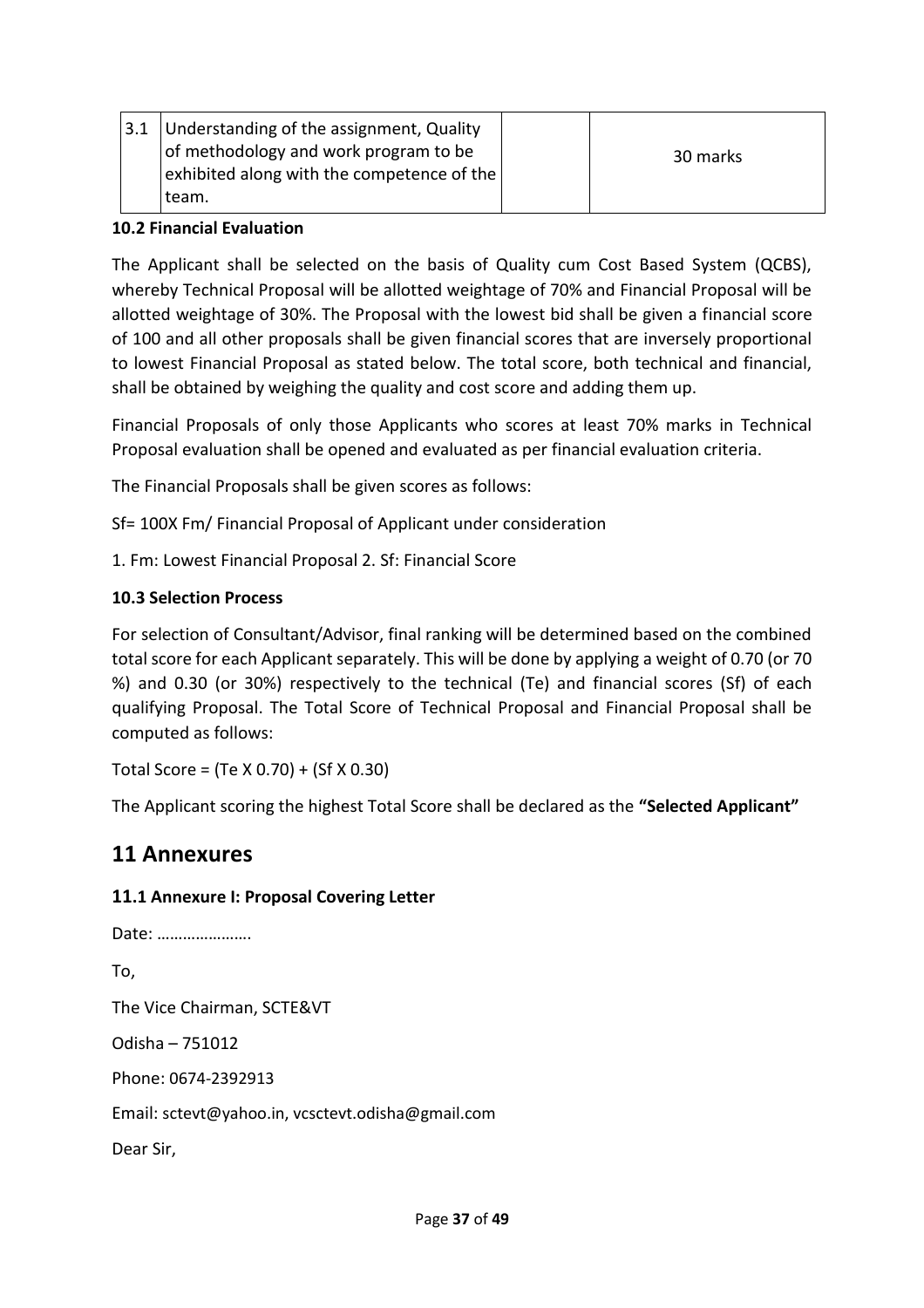|  | $ 3.1 $ Understanding of the assignment, Quality |          |
|--|--------------------------------------------------|----------|
|  | of methodology and work program to be            | 30 marks |
|  | exhibited along with the competence of the $ $   |          |
|  | team.                                            |          |

#### **10.2 Financial Evaluation**

The Applicant shall be selected on the basis of Quality cum Cost Based System (QCBS), whereby Technical Proposal will be allotted weightage of 70% and Financial Proposal will be allotted weightage of 30%. The Proposal with the lowest bid shall be given a financial score of 100 and all other proposals shall be given financial scores that are inversely proportional to lowest Financial Proposal as stated below. The total score, both technical and financial, shall be obtained by weighing the quality and cost score and adding them up.

Financial Proposals of only those Applicants who scores at least 70% marks in Technical Proposal evaluation shall be opened and evaluated as per financial evaluation criteria.

The Financial Proposals shall be given scores as follows:

Sf= 100X Fm/ Financial Proposal of Applicant under consideration

1. Fm: Lowest Financial Proposal 2. Sf: Financial Score

# **10.3 Selection Process**

For selection of Consultant/Advisor, final ranking will be determined based on the combined total score for each Applicant separately. This will be done by applying a weight of 0.70 (or 70 %) and 0.30 (or 30%) respectively to the technical (Te) and financial scores (Sf) of each qualifying Proposal. The Total Score of Technical Proposal and Financial Proposal shall be computed as follows:

Total Score = (Te X 0.70) + (Sf X 0.30)

The Applicant scoring the highest Total Score shall be declared as the **"Selected Applicant"**

# **11 Annexures**

To,

#### **11.1 Annexure I: Proposal Covering Letter**

Date: …………………. The Vice Chairman, SCTE&VT Odisha – 751012 Phone: 0674-2392913 Email: sctevt@yahoo.in, vcsctevt.odisha@gmail.com Dear Sir,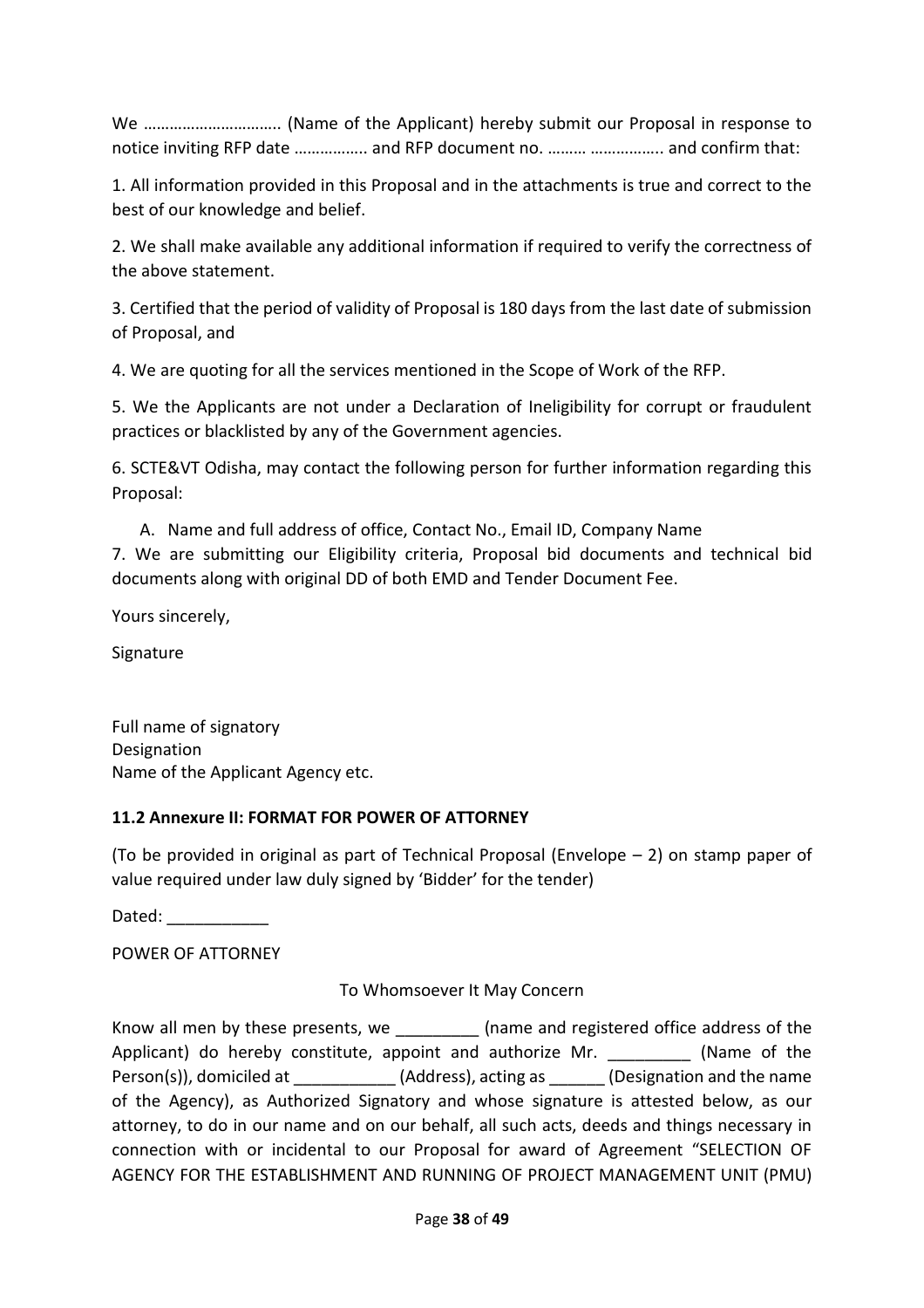We ………………………….. (Name of the Applicant) hereby submit our Proposal in response to notice inviting RFP date …………….. and RFP document no. ……… …………….. and confirm that:

1. All information provided in this Proposal and in the attachments is true and correct to the best of our knowledge and belief.

2. We shall make available any additional information if required to verify the correctness of the above statement.

3. Certified that the period of validity of Proposal is 180 days from the last date of submission of Proposal, and

4. We are quoting for all the services mentioned in the Scope of Work of the RFP.

5. We the Applicants are not under a Declaration of Ineligibility for corrupt or fraudulent practices or blacklisted by any of the Government agencies.

6. SCTE&VT Odisha, may contact the following person for further information regarding this Proposal:

A. Name and full address of office, Contact No., Email ID, Company Name 7. We are submitting our Eligibility criteria, Proposal bid documents and technical bid documents along with original DD of both EMD and Tender Document Fee.

Yours sincerely,

Signature

Full name of signatory Designation Name of the Applicant Agency etc.

#### **11.2 Annexure II: FORMAT FOR POWER OF ATTORNEY**

(To be provided in original as part of Technical Proposal (Envelope – 2) on stamp paper of value required under law duly signed by 'Bidder' for the tender)

Dated:  $\Box$ 

POWER OF ATTORNEY

To Whomsoever It May Concern

Know all men by these presents, we **Example 20** (name and registered office address of the Applicant) do hereby constitute, appoint and authorize Mr. \_\_\_\_\_\_\_\_\_\_ (Name of the Person(s)), domiciled at \_\_\_\_\_\_\_\_\_\_\_\_\_(Address), acting as \_\_\_\_\_\_(Designation and the name of the Agency), as Authorized Signatory and whose signature is attested below, as our attorney, to do in our name and on our behalf, all such acts, deeds and things necessary in connection with or incidental to our Proposal for award of Agreement "SELECTION OF AGENCY FOR THE ESTABLISHMENT AND RUNNING OF PROJECT MANAGEMENT UNIT (PMU)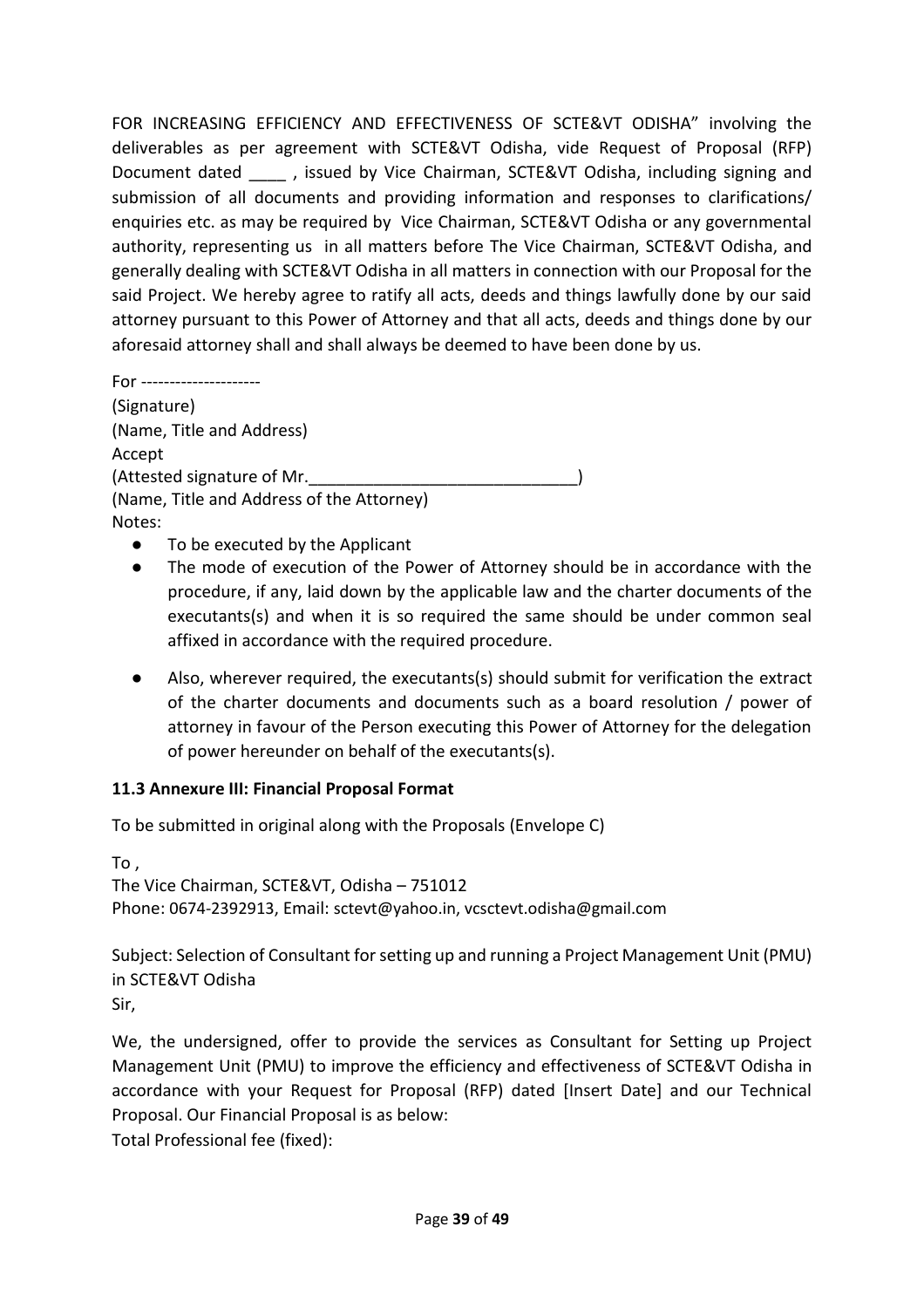FOR INCREASING EFFICIENCY AND EFFECTIVENESS OF SCTE&VT ODISHA" involving the deliverables as per agreement with SCTE&VT Odisha, vide Request of Proposal (RFP) Document dated and sissued by Vice Chairman, SCTE&VT Odisha, including signing and submission of all documents and providing information and responses to clarifications/ enquiries etc. as may be required by Vice Chairman, SCTE&VT Odisha or any governmental authority, representing us in all matters before The Vice Chairman, SCTE&VT Odisha, and generally dealing with SCTE&VT Odisha in all matters in connection with our Proposal for the said Project. We hereby agree to ratify all acts, deeds and things lawfully done by our said attorney pursuant to this Power of Attorney and that all acts, deeds and things done by our aforesaid attorney shall and shall always be deemed to have been done by us.

For --------------------- (Signature) (Name, Title and Address) Accept (Attested signature of Mr. (Name, Title and Address of the Attorney) Notes:

- To be executed by the Applicant
- The mode of execution of the Power of Attorney should be in accordance with the procedure, if any, laid down by the applicable law and the charter documents of the executants(s) and when it is so required the same should be under common seal affixed in accordance with the required procedure.
- Also, wherever required, the executants(s) should submit for verification the extract of the charter documents and documents such as a board resolution / power of attorney in favour of the Person executing this Power of Attorney for the delegation of power hereunder on behalf of the executants(s).

#### **11.3 Annexure III: Financial Proposal Format**

To be submitted in original along with the Proposals (Envelope C)

To ,

The Vice Chairman, SCTE&VT, Odisha – 751012 Phone: 0674-2392913, Email: sctevt@yahoo.in, vcsctevt.odisha@gmail.com

Subject: Selection of Consultant for setting up and running a Project Management Unit (PMU) in SCTE&VT Odisha Sir,

We, the undersigned, offer to provide the services as Consultant for Setting up Project Management Unit (PMU) to improve the efficiency and effectiveness of SCTE&VT Odisha in accordance with your Request for Proposal (RFP) dated [Insert Date] and our Technical Proposal. Our Financial Proposal is as below:

Total Professional fee (fixed):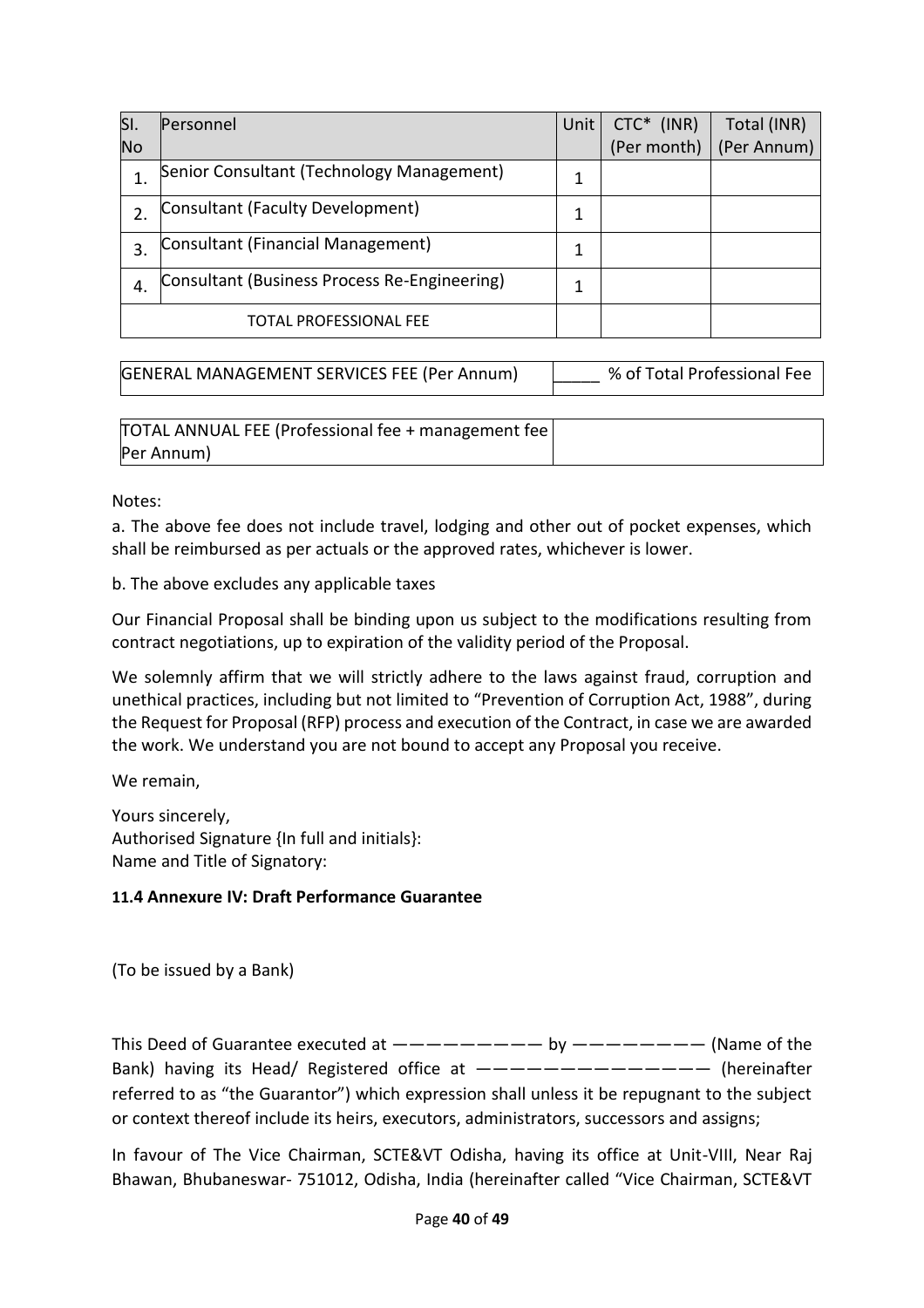| SI.       | Personnel                                    | Unit | $CTC*$ (INR) | Total (INR) |
|-----------|----------------------------------------------|------|--------------|-------------|
| <b>No</b> |                                              |      | (Per month)  | (Per Annum) |
| 1.        | Senior Consultant (Technology Management)    | 1    |              |             |
| 2.        | Consultant (Faculty Development)             |      |              |             |
| 3.        | Consultant (Financial Management)            |      |              |             |
| 4.        | Consultant (Business Process Re-Engineering) |      |              |             |
|           | TOTAL PROFESSIONAL FEE                       |      |              |             |

| GENERAL MANAGEMENT SERVICES FEE (Per Annum) | % of Total Professional Fee |
|---------------------------------------------|-----------------------------|

| TOTAL ANNUAL FEE (Professional fee + management fee) |  |
|------------------------------------------------------|--|
| Per Annum)                                           |  |

Notes:

a. The above fee does not include travel, lodging and other out of pocket expenses, which shall be reimbursed as per actuals or the approved rates, whichever is lower.

b. The above excludes any applicable taxes

Our Financial Proposal shall be binding upon us subject to the modifications resulting from contract negotiations, up to expiration of the validity period of the Proposal.

We solemnly affirm that we will strictly adhere to the laws against fraud, corruption and unethical practices, including but not limited to "Prevention of Corruption Act, 1988", during the Request for Proposal (RFP) process and execution of the Contract, in case we are awarded the work. We understand you are not bound to accept any Proposal you receive.

We remain,

Yours sincerely, Authorised Signature {In full and initials}: Name and Title of Signatory:

#### **11.4 Annexure IV: Draft Performance Guarantee**

(To be issued by a Bank)

This Deed of Guarantee executed at  $-------$  by  $------$  (Name of the Bank) having its Head/ Registered office at  $---------------$  (hereinafter referred to as "the Guarantor") which expression shall unless it be repugnant to the subject or context thereof include its heirs, executors, administrators, successors and assigns;

In favour of The Vice Chairman, SCTE&VT Odisha, having its office at Unit-VIII, Near Raj Bhawan, Bhubaneswar- 751012, Odisha, India (hereinafter called "Vice Chairman, SCTE&VT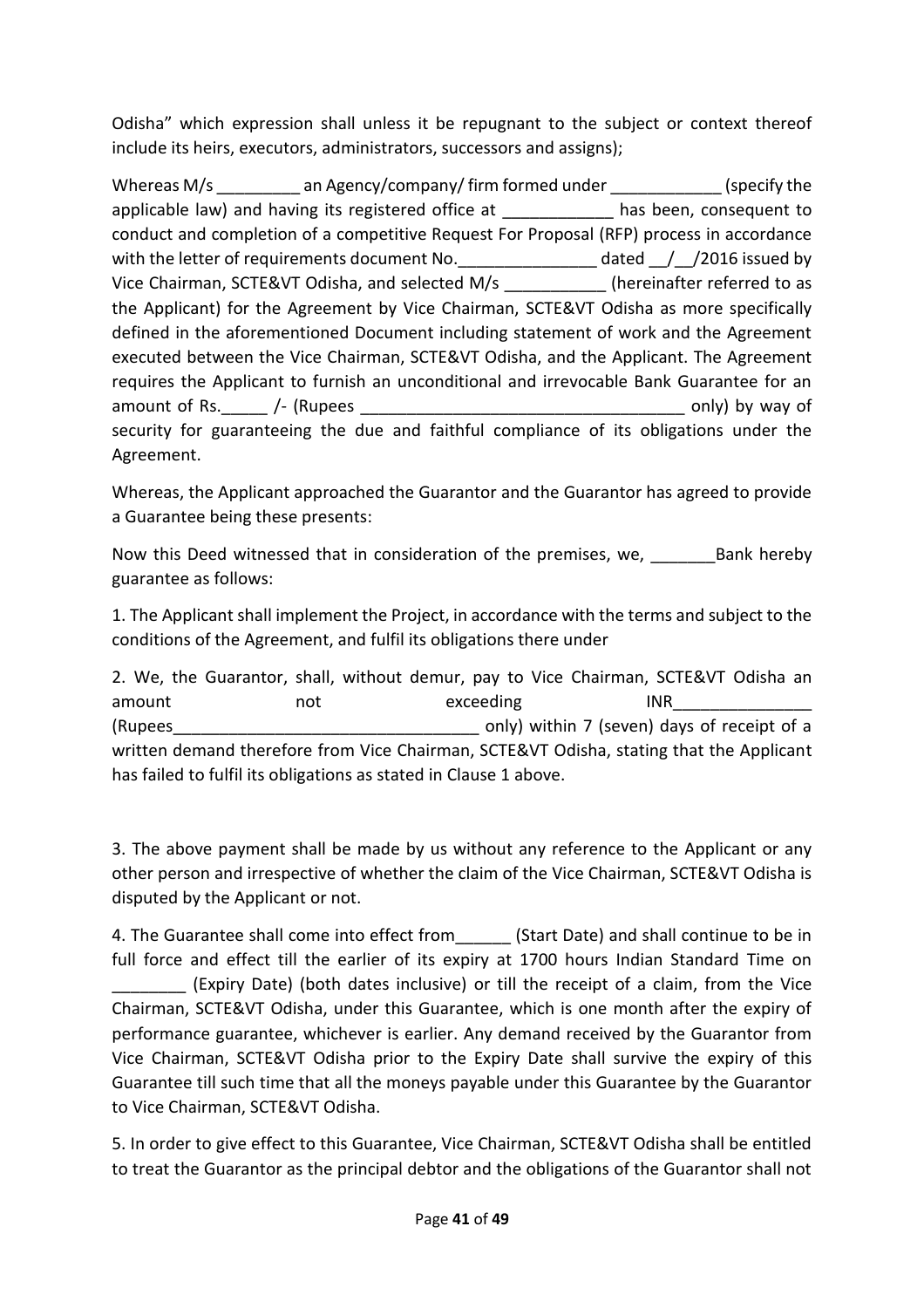Odisha" which expression shall unless it be repugnant to the subject or context thereof include its heirs, executors, administrators, successors and assigns);

Whereas M/s an Agency/company/ firm formed under (specify the applicable law) and having its registered office at has been, consequent to conduct and completion of a competitive Request For Proposal (RFP) process in accordance with the letter of requirements document No. \_\_\_\_\_\_\_\_\_\_\_\_\_\_\_\_\_ dated \_\_/\_\_/2016 issued by Vice Chairman, SCTE&VT Odisha, and selected M/s \_\_\_\_\_\_\_\_\_\_\_\_(hereinafter referred to as the Applicant) for the Agreement by Vice Chairman, SCTE&VT Odisha as more specifically defined in the aforementioned Document including statement of work and the Agreement executed between the Vice Chairman, SCTE&VT Odisha, and the Applicant. The Agreement requires the Applicant to furnish an unconditional and irrevocable Bank Guarantee for an amount of Rs. The supersection only and the same only) by way of security for guaranteeing the due and faithful compliance of its obligations under the Agreement.

Whereas, the Applicant approached the Guarantor and the Guarantor has agreed to provide a Guarantee being these presents:

Now this Deed witnessed that in consideration of the premises, we, \_\_\_\_\_\_\_\_\_\_\_\_\_\_Bank hereby guarantee as follows:

1. The Applicant shall implement the Project, in accordance with the terms and subject to the conditions of the Agreement, and fulfil its obligations there under

2. We, the Guarantor, shall, without demur, pay to Vice Chairman, SCTE&VT Odisha an amount not not exceeding INR (Rupees  $\qquad \qquad \qquad \qquad \qquad 2.$  Only) within 7 (seven) days of receipt of a written demand therefore from Vice Chairman, SCTE&VT Odisha, stating that the Applicant has failed to fulfil its obligations as stated in Clause 1 above.

3. The above payment shall be made by us without any reference to the Applicant or any other person and irrespective of whether the claim of the Vice Chairman, SCTE&VT Odisha is disputed by the Applicant or not.

4. The Guarantee shall come into effect from (Start Date) and shall continue to be in full force and effect till the earlier of its expiry at 1700 hours Indian Standard Time on \_\_\_\_\_\_\_\_ (Expiry Date) (both dates inclusive) or till the receipt of a claim, from the Vice Chairman, SCTE&VT Odisha, under this Guarantee, which is one month after the expiry of performance guarantee, whichever is earlier. Any demand received by the Guarantor from Vice Chairman, SCTE&VT Odisha prior to the Expiry Date shall survive the expiry of this Guarantee till such time that all the moneys payable under this Guarantee by the Guarantor to Vice Chairman, SCTE&VT Odisha.

5. In order to give effect to this Guarantee, Vice Chairman, SCTE&VT Odisha shall be entitled to treat the Guarantor as the principal debtor and the obligations of the Guarantor shall not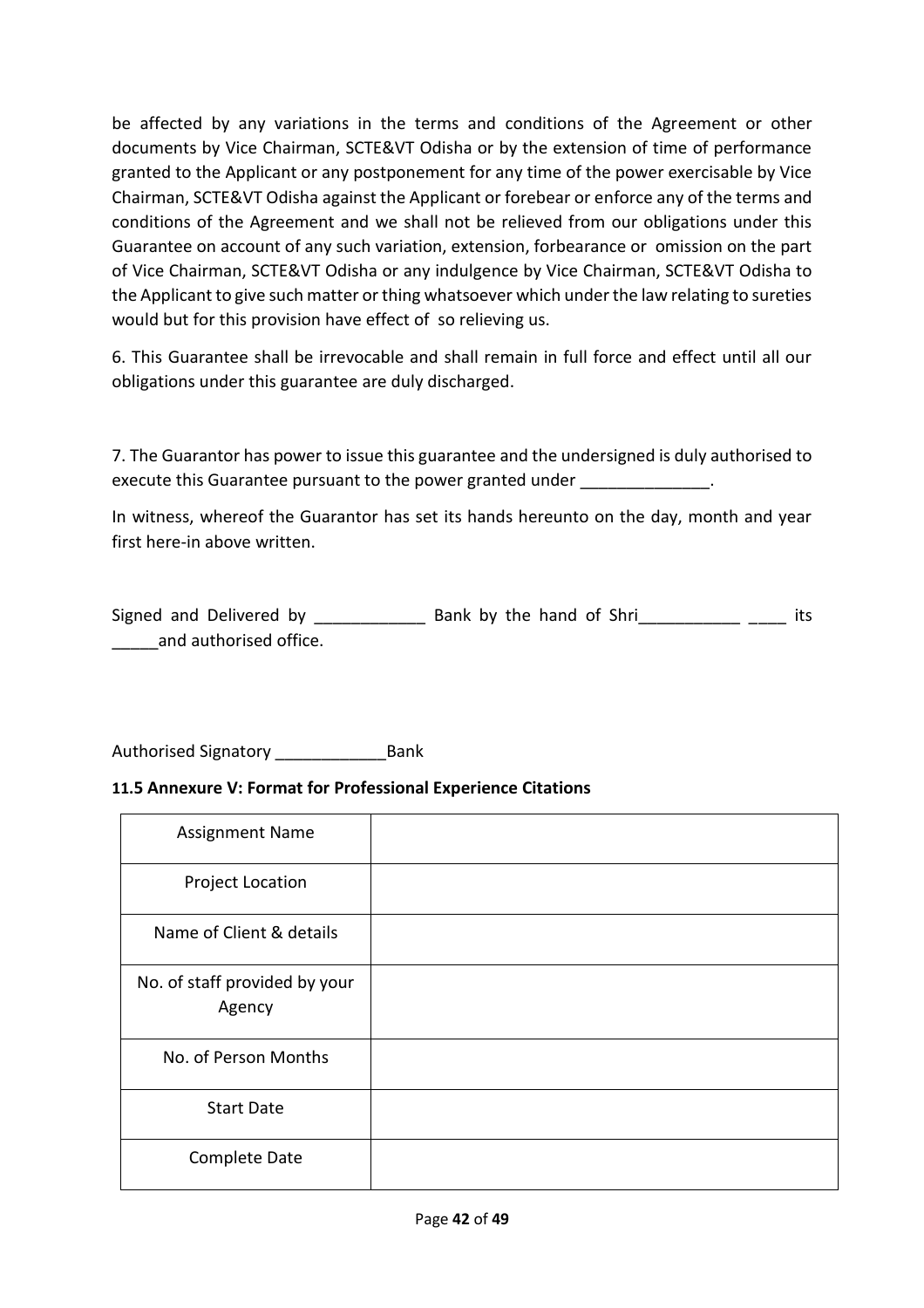be affected by any variations in the terms and conditions of the Agreement or other documents by Vice Chairman, SCTE&VT Odisha or by the extension of time of performance granted to the Applicant or any postponement for any time of the power exercisable by Vice Chairman, SCTE&VT Odisha against the Applicant or forebear or enforce any of the terms and conditions of the Agreement and we shall not be relieved from our obligations under this Guarantee on account of any such variation, extension, forbearance or omission on the part of Vice Chairman, SCTE&VT Odisha or any indulgence by Vice Chairman, SCTE&VT Odisha to the Applicant to give such matter or thing whatsoever which under the law relating to sureties would but for this provision have effect of so relieving us.

6. This Guarantee shall be irrevocable and shall remain in full force and effect until all our obligations under this guarantee are duly discharged.

7. The Guarantor has power to issue this guarantee and the undersigned is duly authorised to execute this Guarantee pursuant to the power granted under \_\_\_\_\_\_\_\_\_\_\_\_\_\_.

In witness, whereof the Guarantor has set its hands hereunto on the day, month and year first here-in above written.

Signed and Delivered by \_\_\_\_\_\_\_\_\_\_\_\_\_\_\_\_ Bank by the hand of Shri\_\_\_\_\_\_\_\_\_\_\_\_\_\_ \_\_\_\_\_ its \_\_\_\_\_and authorised office.

Authorised Signatory \_\_\_\_\_\_\_\_\_\_\_\_Bank

#### **11.5 Annexure V: Format for Professional Experience Citations**

| <b>Assignment Name</b>                  |  |
|-----------------------------------------|--|
| <b>Project Location</b>                 |  |
| Name of Client & details                |  |
| No. of staff provided by your<br>Agency |  |
| No. of Person Months                    |  |
| <b>Start Date</b>                       |  |
| Complete Date                           |  |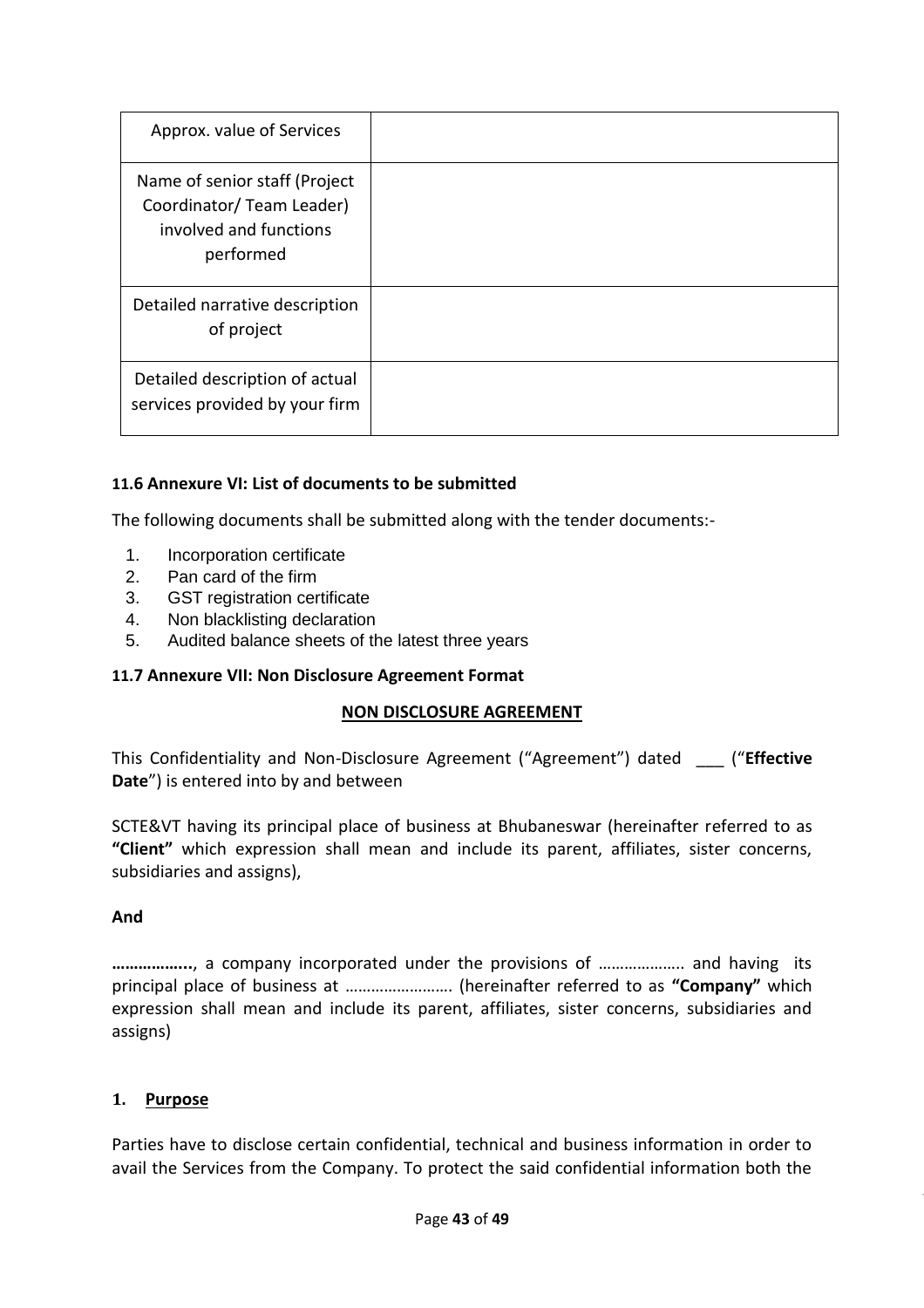| Approx. value of Services                                                                         |  |
|---------------------------------------------------------------------------------------------------|--|
| Name of senior staff (Project<br>Coordinator/ Team Leader)<br>involved and functions<br>performed |  |
| Detailed narrative description<br>of project                                                      |  |
| Detailed description of actual<br>services provided by your firm                                  |  |

#### **11.6 Annexure VI: List of documents to be submitted**

The following documents shall be submitted along with the tender documents:-

- 1. Incorporation certificate
- 2. Pan card of the firm
- 3. GST registration certificate
- 4. Non blacklisting declaration
- 5. Audited balance sheets of the latest three years

#### **11.7 Annexure VII: Non Disclosure Agreement Format**

#### **NON DISCLOSURE AGREEMENT**

This Confidentiality and Non-Disclosure Agreement ("Agreement") dated \_\_\_ ("**Effective Date**") is entered into by and between

SCTE&VT having its principal place of business at Bhubaneswar (hereinafter referred to as **"Client"** which expression shall mean and include its parent, affiliates, sister concerns, subsidiaries and assigns),

#### **And**

**……………...**, a company incorporated under the provisions of ……………….. and having its principal place of business at ……………………. (hereinafter referred to as **"Company"** which expression shall mean and include its parent, affiliates, sister concerns, subsidiaries and assigns)

#### **1. Purpose**

Parties have to disclose certain confidential, technical and business information in order to avail the Services from the Company. To protect the said confidential information both the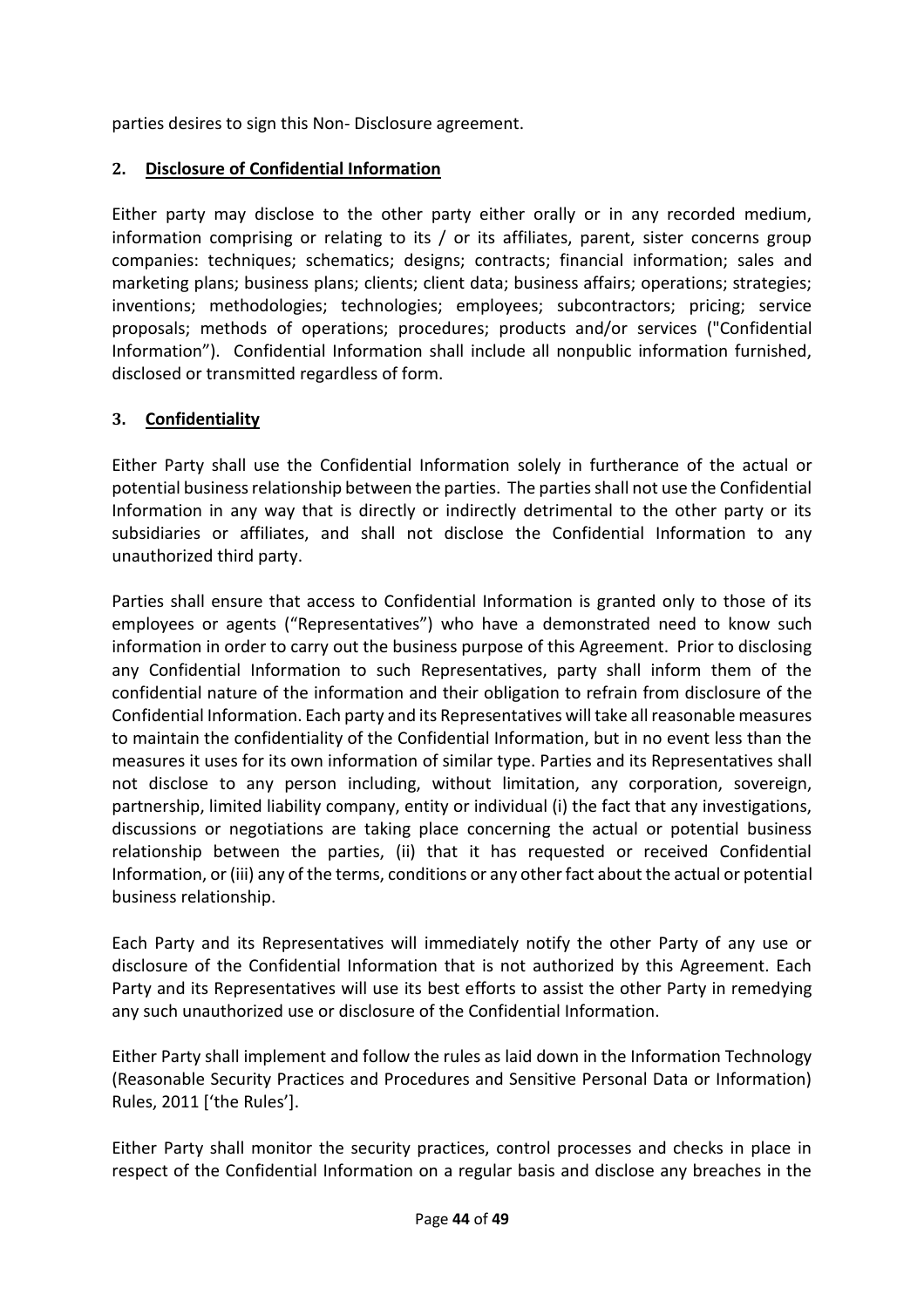parties desires to sign this Non- Disclosure agreement.

# **2. Disclosure of Confidential Information**

Either party may disclose to the other party either orally or in any recorded medium, information comprising or relating to its / or its affiliates, parent, sister concerns group companies: techniques; schematics; designs; contracts; financial information; sales and marketing plans; business plans; clients; client data; business affairs; operations; strategies; inventions; methodologies; technologies; employees; subcontractors; pricing; service proposals; methods of operations; procedures; products and/or services ("Confidential Information"). Confidential Information shall include all nonpublic information furnished, disclosed or transmitted regardless of form.

# **3. Confidentiality**

Either Party shall use the Confidential Information solely in furtherance of the actual or potential business relationship between the parties. The parties shall not use the Confidential Information in any way that is directly or indirectly detrimental to the other party or its subsidiaries or affiliates, and shall not disclose the Confidential Information to any unauthorized third party.

Parties shall ensure that access to Confidential Information is granted only to those of its employees or agents ("Representatives") who have a demonstrated need to know such information in order to carry out the business purpose of this Agreement. Prior to disclosing any Confidential Information to such Representatives, party shall inform them of the confidential nature of the information and their obligation to refrain from disclosure of the Confidential Information. Each party and its Representatives will take all reasonable measures to maintain the confidentiality of the Confidential Information, but in no event less than the measures it uses for its own information of similar type. Parties and its Representatives shall not disclose to any person including, without limitation, any corporation, sovereign, partnership, limited liability company, entity or individual (i) the fact that any investigations, discussions or negotiations are taking place concerning the actual or potential business relationship between the parties, (ii) that it has requested or received Confidential Information, or (iii) any of the terms, conditions or any other fact about the actual or potential business relationship.

Each Party and its Representatives will immediately notify the other Party of any use or disclosure of the Confidential Information that is not authorized by this Agreement. Each Party and its Representatives will use its best efforts to assist the other Party in remedying any such unauthorized use or disclosure of the Confidential Information.

Either Party shall implement and follow the rules as laid down in the Information Technology (Reasonable Security Practices and Procedures and Sensitive Personal Data or Information) Rules, 2011 ['the Rules'].

Either Party shall monitor the security practices, control processes and checks in place in respect of the Confidential Information on a regular basis and disclose any breaches in the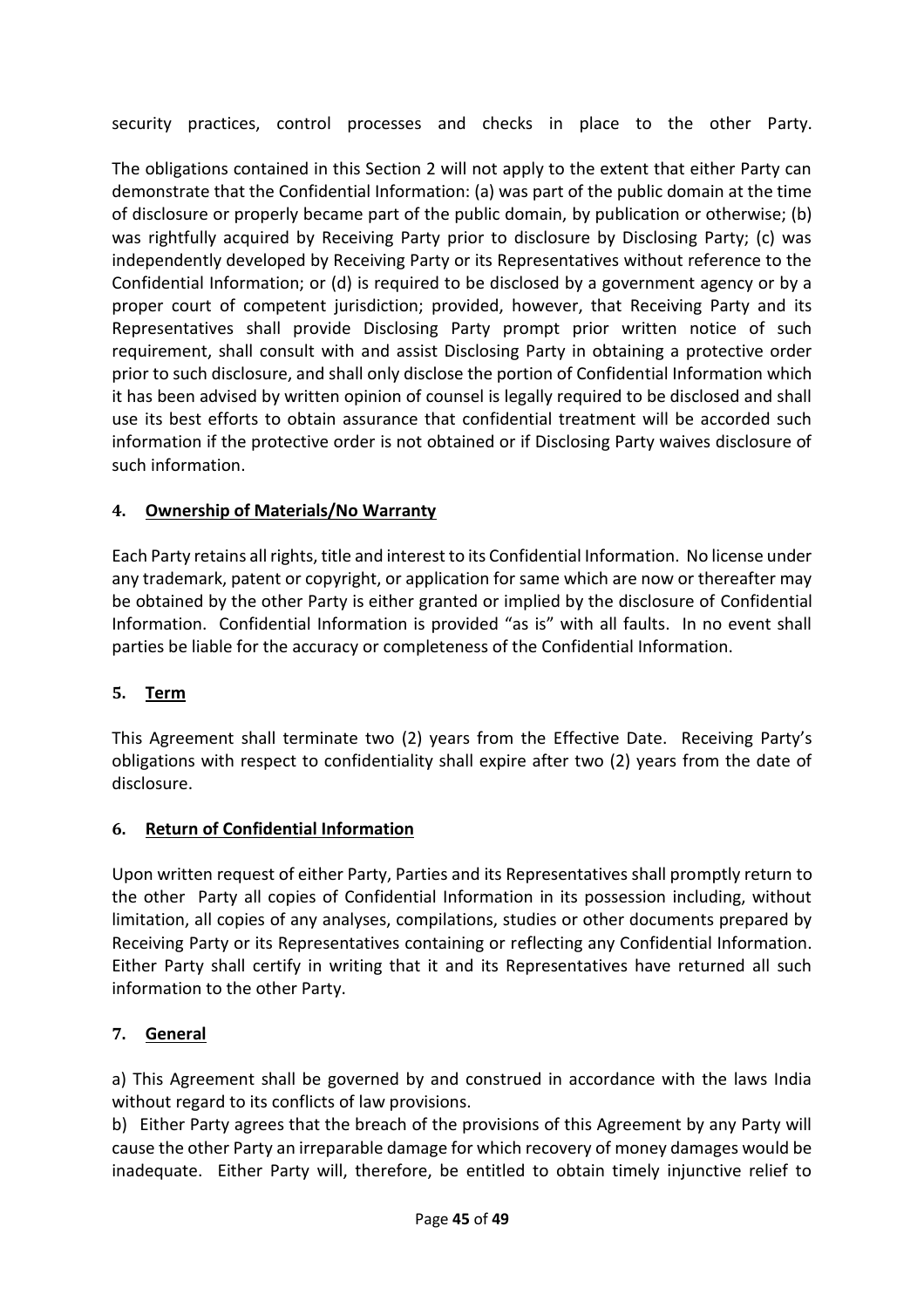security practices, control processes and checks in place to the other Party.

The obligations contained in this Section 2 will not apply to the extent that either Party can demonstrate that the Confidential Information: (a) was part of the public domain at the time of disclosure or properly became part of the public domain, by publication or otherwise; (b) was rightfully acquired by Receiving Party prior to disclosure by Disclosing Party; (c) was independently developed by Receiving Party or its Representatives without reference to the Confidential Information; or (d) is required to be disclosed by a government agency or by a proper court of competent jurisdiction; provided, however, that Receiving Party and its Representatives shall provide Disclosing Party prompt prior written notice of such requirement, shall consult with and assist Disclosing Party in obtaining a protective order prior to such disclosure, and shall only disclose the portion of Confidential Information which it has been advised by written opinion of counsel is legally required to be disclosed and shall use its best efforts to obtain assurance that confidential treatment will be accorded such information if the protective order is not obtained or if Disclosing Party waives disclosure of such information.

# **4. Ownership of Materials/No Warranty**

Each Party retains all rights, title and interest to its Confidential Information. No license under any trademark, patent or copyright, or application for same which are now or thereafter may be obtained by the other Party is either granted or implied by the disclosure of Confidential Information. Confidential Information is provided "as is" with all faults. In no event shall parties be liable for the accuracy or completeness of the Confidential Information.

# **5. Term**

This Agreement shall terminate two (2) years from the Effective Date. Receiving Party's obligations with respect to confidentiality shall expire after two (2) years from the date of disclosure.

# **6. Return of Confidential Information**

Upon written request of either Party, Parties and its Representatives shall promptly return to the other Party all copies of Confidential Information in its possession including, without limitation, all copies of any analyses, compilations, studies or other documents prepared by Receiving Party or its Representatives containing or reflecting any Confidential Information. Either Party shall certify in writing that it and its Representatives have returned all such information to the other Party.

# **7. General**

a) This Agreement shall be governed by and construed in accordance with the laws India without regard to its conflicts of law provisions.

b) Either Party agrees that the breach of the provisions of this Agreement by any Party will cause the other Party an irreparable damage for which recovery of money damages would be inadequate. Either Party will, therefore, be entitled to obtain timely injunctive relief to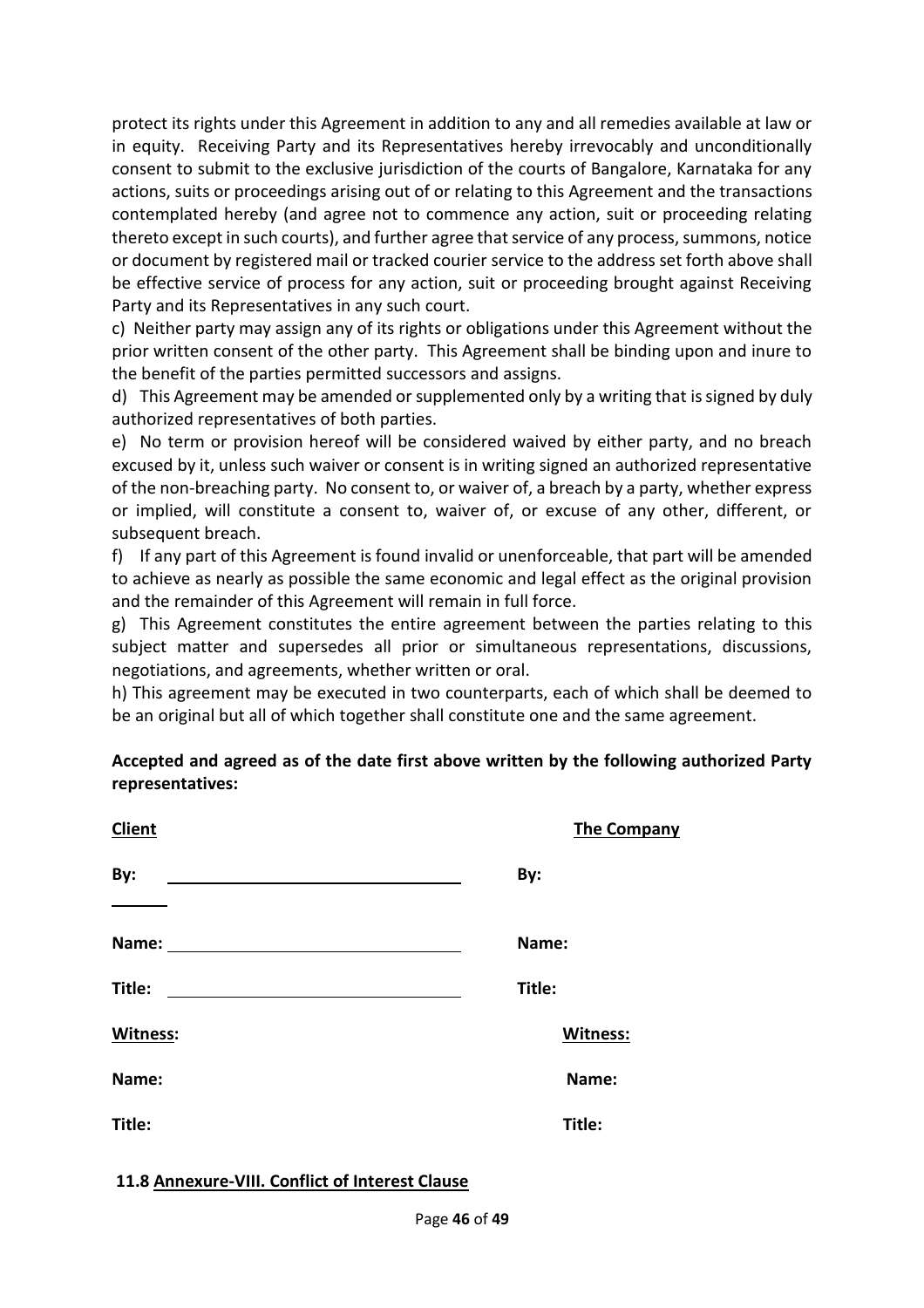protect its rights under this Agreement in addition to any and all remedies available at law or in equity. Receiving Party and its Representatives hereby irrevocably and unconditionally consent to submit to the exclusive jurisdiction of the courts of Bangalore, Karnataka for any actions, suits or proceedings arising out of or relating to this Agreement and the transactions contemplated hereby (and agree not to commence any action, suit or proceeding relating thereto except in such courts), and further agree that service of any process, summons, notice or document by registered mail or tracked courier service to the address set forth above shall be effective service of process for any action, suit or proceeding brought against Receiving Party and its Representatives in any such court.

c) Neither party may assign any of its rights or obligations under this Agreement without the prior written consent of the other party. This Agreement shall be binding upon and inure to the benefit of the parties permitted successors and assigns.

d) This Agreement may be amended or supplemented only by a writing that is signed by duly authorized representatives of both parties.

e) No term or provision hereof will be considered waived by either party, and no breach excused by it, unless such waiver or consent is in writing signed an authorized representative of the non-breaching party. No consent to, or waiver of, a breach by a party, whether express or implied, will constitute a consent to, waiver of, or excuse of any other, different, or subsequent breach.

f) If any part of this Agreement is found invalid or unenforceable, that part will be amended to achieve as nearly as possible the same economic and legal effect as the original provision and the remainder of this Agreement will remain in full force.

g) This Agreement constitutes the entire agreement between the parties relating to this subject matter and supersedes all prior or simultaneous representations, discussions, negotiations, and agreements, whether written or oral.

h) This agreement may be executed in two counterparts, each of which shall be deemed to be an original but all of which together shall constitute one and the same agreement.

# **Accepted and agreed as of the date first above written by the following authorized Party representatives:**

| <b>Client</b>   | <b>The Company</b> |
|-----------------|--------------------|
| By:             | By:                |
| Name:           | Name:              |
| Title:          | Title:             |
| <b>Witness:</b> | Witness:           |
| Name:           | Name:              |
| Title:          | Title:             |
|                 |                    |

**11.8 Annexure-VIII. Conflict of Interest Clause**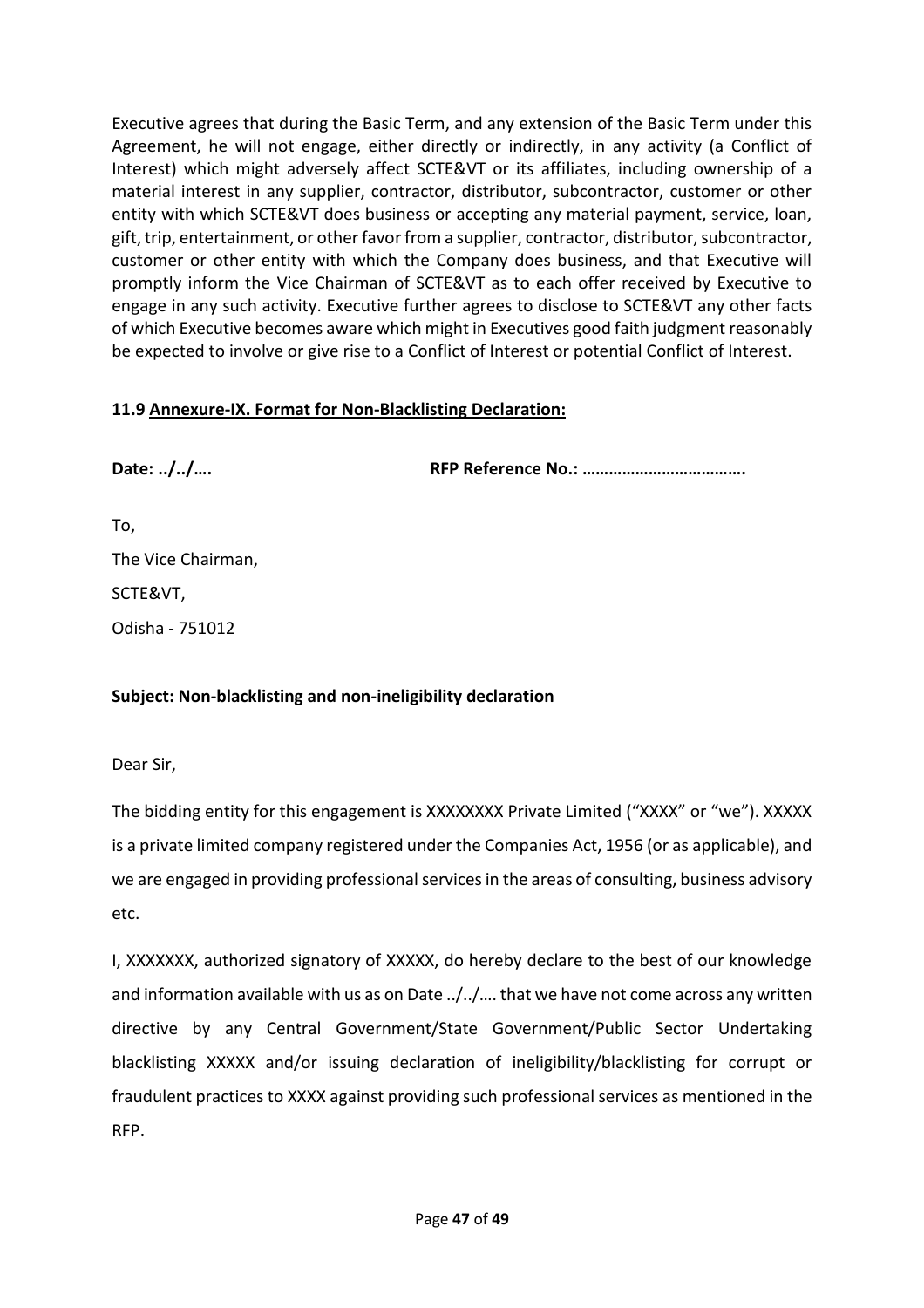Executive agrees that during the Basic Term, and any extension of the Basic Term under this Agreement, he will not engage, either directly or indirectly, in any activity (a Conflict of Interest) which might adversely affect SCTE&VT or its affiliates, including ownership of a material interest in any supplier, contractor, distributor, subcontractor, customer or other entity with which SCTE&VT does business or accepting any material payment, service, loan, gift, trip, entertainment, or other favor from a supplier, contractor, distributor, subcontractor, customer or other entity with which the Company does business, and that Executive will promptly inform the Vice Chairman of SCTE&VT as to each offer received by Executive to engage in any such activity. Executive further agrees to disclose to SCTE&VT any other facts of which Executive becomes aware which might in Executives good faith judgment reasonably be expected to involve or give rise to a Conflict of Interest or potential Conflict of Interest.

# **11.9 Annexure-IX. Format for Non-Blacklisting Declaration:**

**Date: ../../…. RFP Reference No.: ……………………………….**

To, The Vice Chairman, SCTE&VT,

Odisha - 751012

#### **Subject: Non-blacklisting and non-ineligibility declaration**

Dear Sir,

The bidding entity for this engagement is XXXXXXXX Private Limited ("XXXX" or "we"). XXXXX is a private limited company registered under the Companies Act, 1956 (or as applicable), and we are engaged in providing professional services in the areas of consulting, business advisory etc.

I, XXXXXXX, authorized signatory of XXXXX, do hereby declare to the best of our knowledge and information available with us as on Date ../../…. that we have not come across any written directive by any Central Government/State Government/Public Sector Undertaking blacklisting XXXXX and/or issuing declaration of ineligibility/blacklisting for corrupt or fraudulent practices to XXXX against providing such professional services as mentioned in the RFP.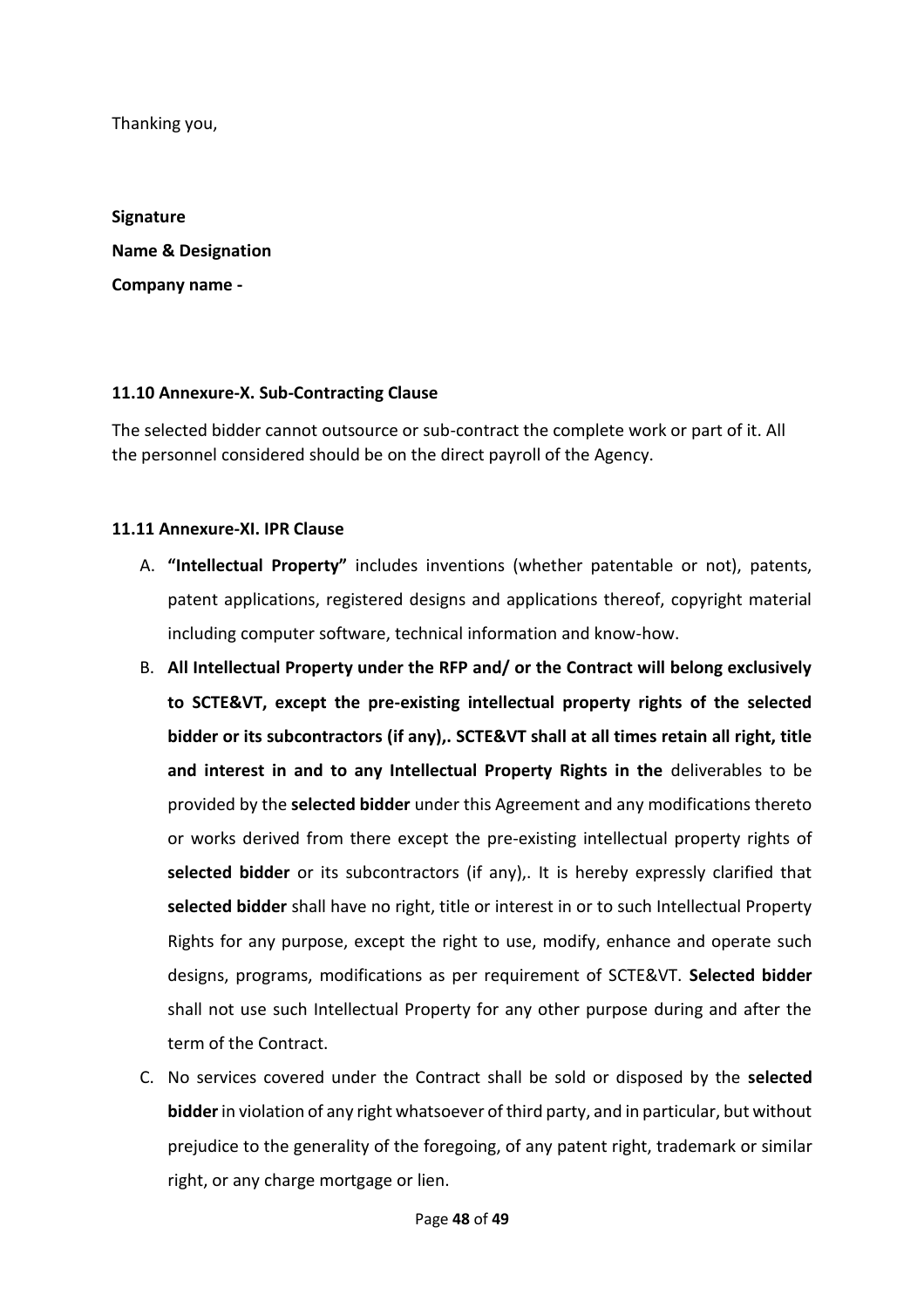Thanking you,

**Signature Name & Designation Company name -**

#### **11.10 Annexure-X. Sub-Contracting Clause**

The selected bidder cannot outsource or sub-contract the complete work or part of it. All the personnel considered should be on the direct payroll of the Agency.

#### **11.11 Annexure-XI. IPR Clause**

- A. **"Intellectual Property"** includes inventions (whether patentable or not), patents, patent applications, registered designs and applications thereof, copyright material including computer software, technical information and know-how.
- B. **All Intellectual Property under the RFP and/ or the Contract will belong exclusively to SCTE&VT, except the pre-existing intellectual property rights of the selected bidder or its subcontractors (if any),. SCTE&VT shall at all times retain all right, title and interest in and to any Intellectual Property Rights in the** deliverables to be provided by the **selected bidder** under this Agreement and any modifications thereto or works derived from there except the pre-existing intellectual property rights of **selected bidder** or its subcontractors (if any),. It is hereby expressly clarified that **selected bidder** shall have no right, title or interest in or to such Intellectual Property Rights for any purpose, except the right to use, modify, enhance and operate such designs, programs, modifications as per requirement of SCTE&VT. **Selected bidder**  shall not use such Intellectual Property for any other purpose during and after the term of the Contract.
- C. No services covered under the Contract shall be sold or disposed by the **selected bidder** in violation of any right whatsoever of third party, and in particular, but without prejudice to the generality of the foregoing, of any patent right, trademark or similar right, or any charge mortgage or lien.